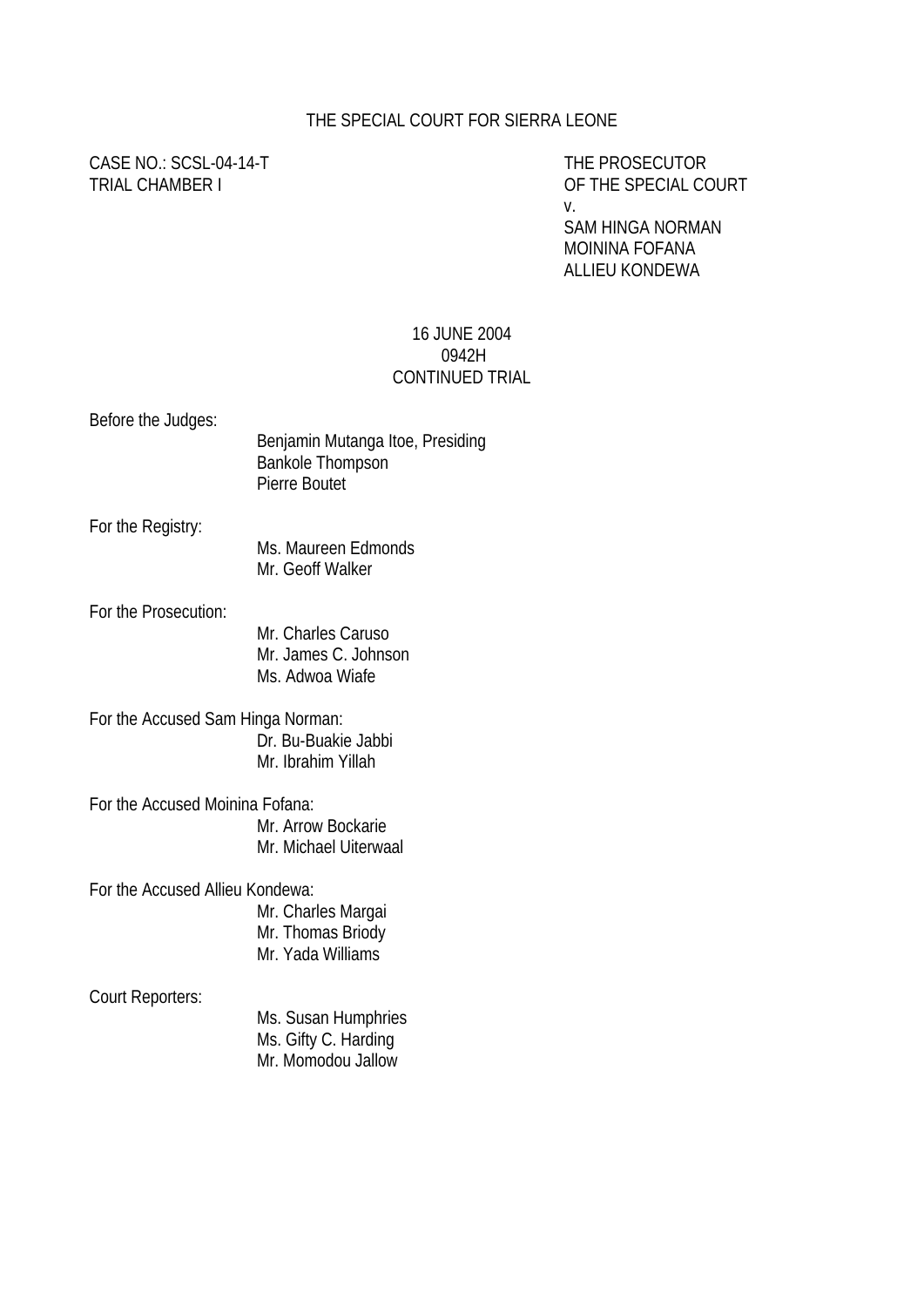#### THE SPECIAL COURT FOR SIERRA LEONE

# CASE NO.: SCSL-04-14-T THE PROSECUTOR

TRIAL CHAMBER I OF THE SPECIAL COURT v.

> SAM HINGA NORMAN MOININA FOFANA ALLIEU KONDEWA

#### 16 JUNE 2004 0942H CONTINUED TRIAL

| Before the Judges:                | Benjamin Mutanga Itoe, Presiding<br><b>Bankole Thompson</b><br>Pierre Boutet |
|-----------------------------------|------------------------------------------------------------------------------|
| For the Registry:                 | Ms. Maureen Edmonds<br>Mr. Geoff Walker                                      |
| For the Prosecution:              | Mr. Charles Caruso<br>Mr. James C. Johnson<br>Ms. Adwoa Wiafe                |
| For the Accused Sam Hinga Norman: | Dr. Bu-Buakie Jabbi<br>Mr. Ibrahim Yillah                                    |
| For the Accused Moinina Fofana:   | Mr. Arrow Bockarie<br>Mr. Michael Uiterwaal                                  |

For the Accused Allieu Kondewa:

Mr. Charles Margai Mr. Thomas Briody Mr. Yada Williams

#### Court Reporters:

Ms. Susan Humphries Ms. Gifty C. Harding Mr. Momodou Jallow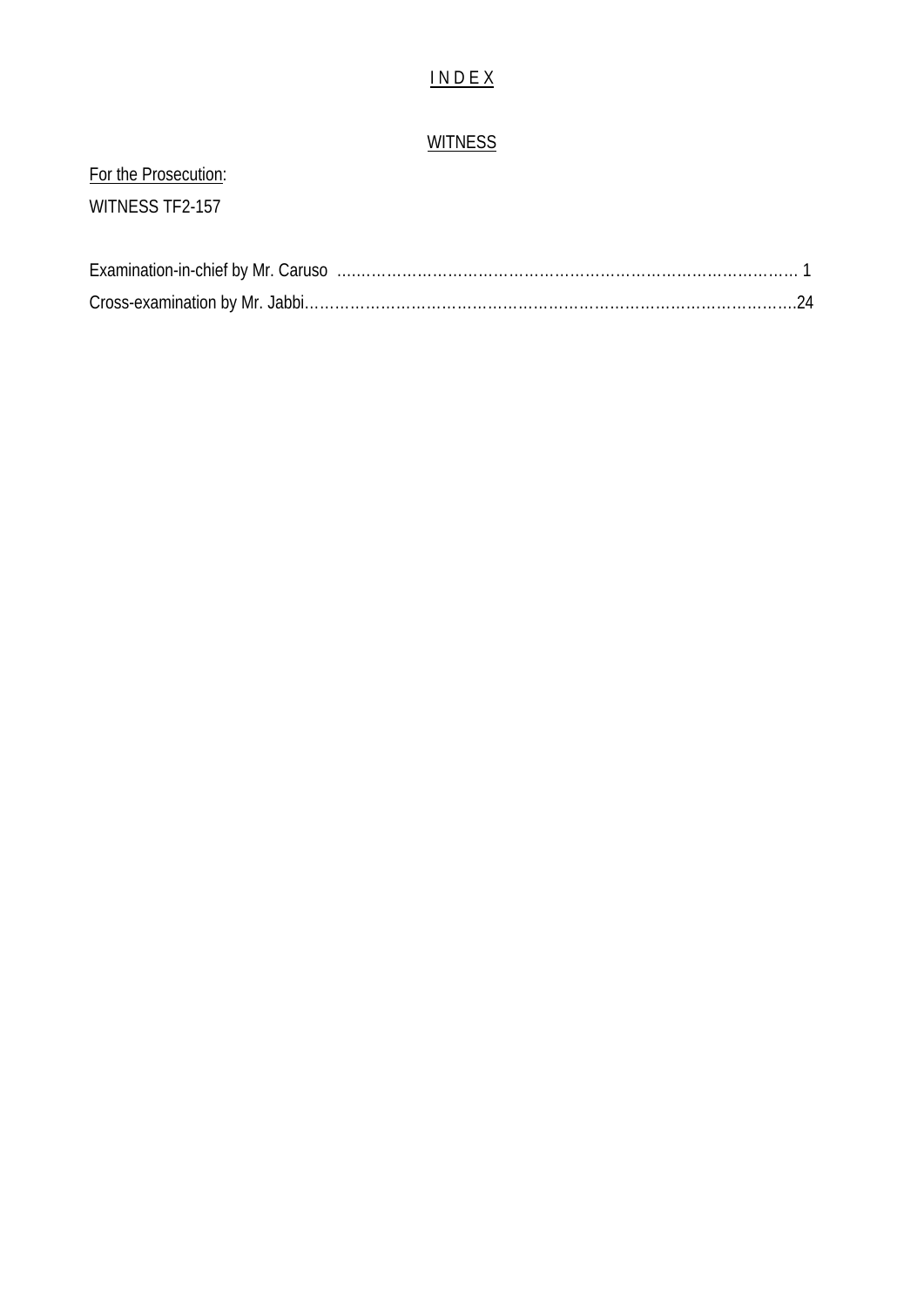## I N D E X

## **WITNESS**

# For the Prosecution: WITNESS TF2-157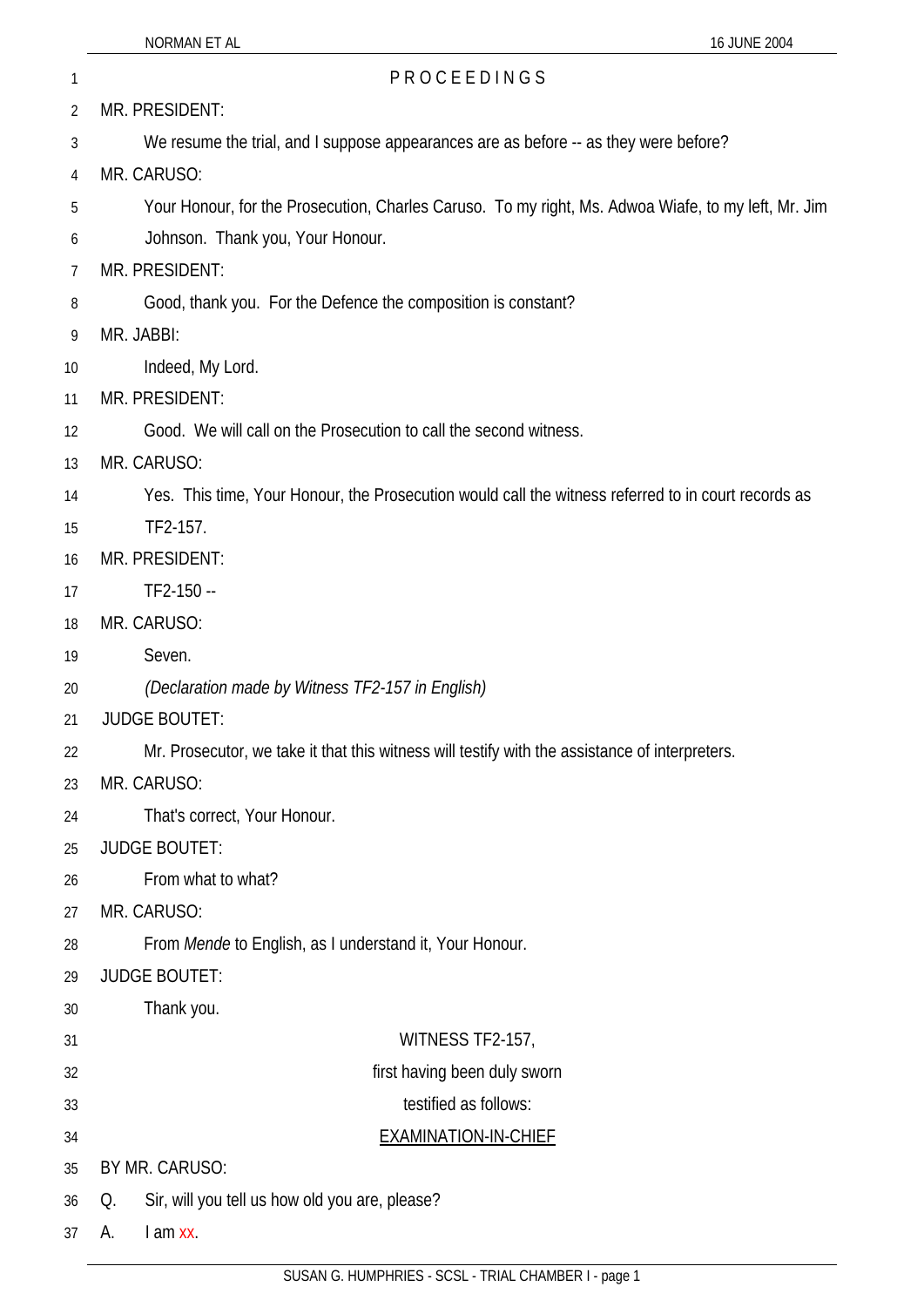| 2 | MR. PRESIDENT: |
|---|----------------|

- 3 We resume the trial, and I suppose appearances are as before -- as they were before?
- 4 MR. CARUSO:
- 5 Your Honour, for the Prosecution, Charles Caruso. To my right, Ms. Adwoa Wiafe, to my left, Mr. Jim
- 6 Johnson. Thank you, Your Honour.
- 7 MR. PRESIDENT:
- 8 Good, thank you. For the Defence the composition is constant?

1 PROCEEDINGS

- 9 MR. JABBI:
- 10 Indeed, My Lord.
- 11 MR. PRESIDENT:
- 12 Good. We will call on the Prosecution to call the second witness.
- 13 MR. CARUSO:
- 14 Yes. This time, Your Honour, the Prosecution would call the witness referred to in court records as
- 15 TF2-157.
- 16 MR. PRESIDENT:
- 17 TF2-150 --
- 18 MR. CARUSO:
- 19 Seven.
- 20 *(Declaration made by Witness TF2-157 in English)*
- 21 JUDGE BOUTET:
- 22 Mr. Prosecutor, we take it that this witness will testify with the assistance of interpreters.
- 23 MR. CARUSO:
- 24 That's correct, Your Honour.
- 25 JUDGE BOUTET:
- 26 From what to what?
- 27 MR. CARUSO:
- 28 From *Mende* to English, as I understand it, Your Honour.
- 29 JUDGE BOUTET:
- 30 Thank you.
- 31 32 WITNESS TF2-157, first having been duly sworn
	- testified as follows:
- 34 EXAMINATION-IN-CHIEF
- 35 BY MR. CARUSO:
- 36 Q. Sir, will you tell us how old you are, please?
- 37 A. I am xx.

33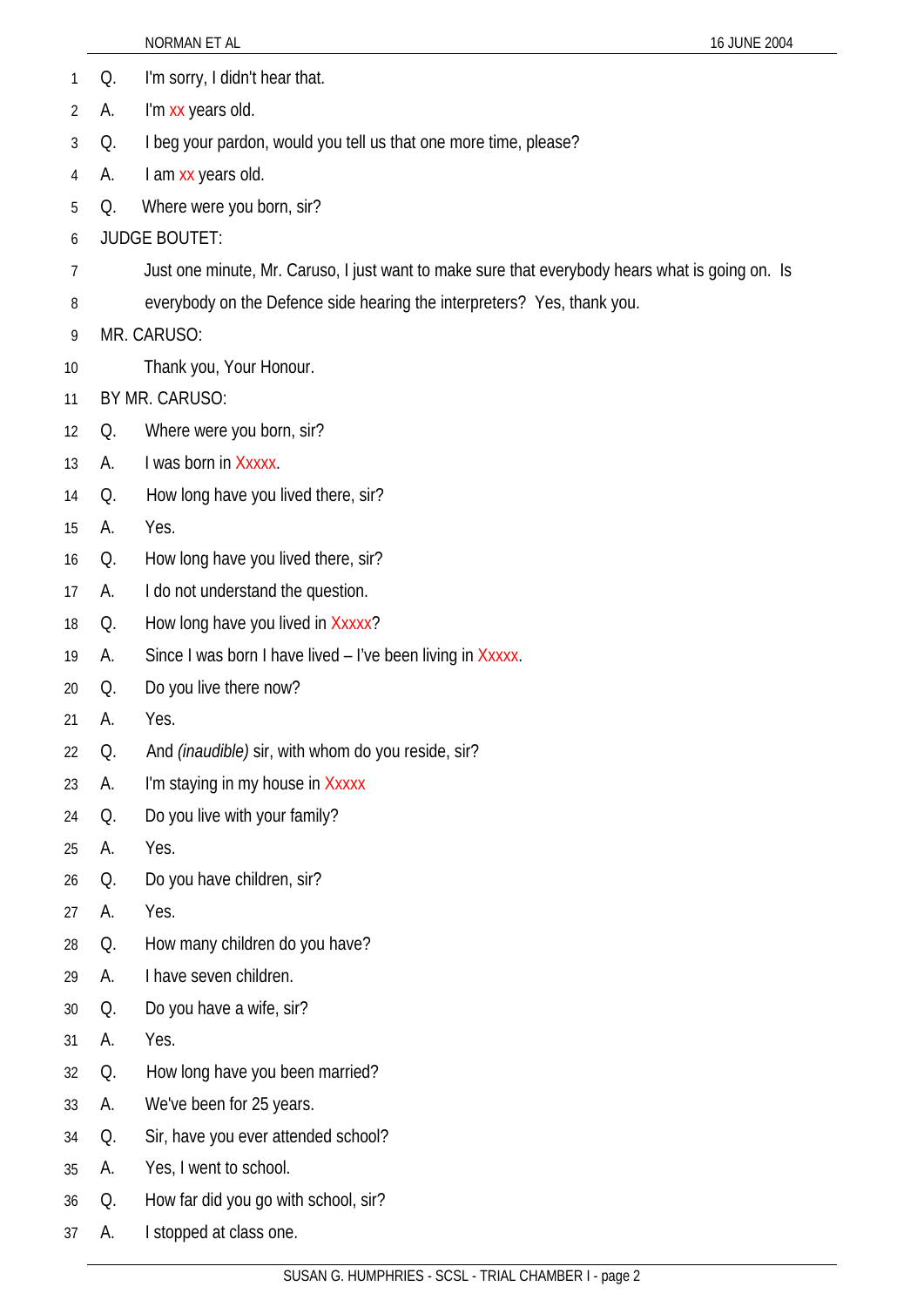- 1 Q. I'm sorry, I didn't hear that.
- 2 A. I'm xx years old.
- 3 Q. I beg your pardon, would you tell us that one more time, please?
- 4 A. I am xx years old.
- 5 Q. Where were you born, sir?
- 6 JUDGE BOUTET:
- 7 Just one minute, Mr. Caruso, I just want to make sure that everybody hears what is going on. Is
- 8 everybody on the Defence side hearing the interpreters? Yes, thank you.
- 9 MR. CARUSO:
- 10 Thank you, Your Honour.
- 11 BY MR. CARUSO:
- 12 Q. Where were you born, sir?
- 13 A. I was born in Xxxxx.
- 14 Q. How long have you lived there, sir?
- 15 A. Yes.
- 16 Q. How long have you lived there, sir?
- 17 A. I do not understand the question.
- 18 Q. How long have you lived in Xxxxx?
- 19 A. Since I was born I have lived – I've been living in Xxxxx.
- 20 Q. Do you live there now?
- 21 A. Yes.
- 22 Q. And *(inaudible)* sir, with whom do you reside, sir?
- 23 A. I'm staying in my house in Xxxxx
- 24 Q. Do you live with your family?
- 25 A. Yes.
- 26 Q. Do you have children, sir?
- 27 A. Yes.
- 28 Q. How many children do you have?
- 29 A. I have seven children.
- 30 Q. Do you have a wife, sir?
- 31 A. Yes.
- 32 Q. How long have you been married?
- 33 A. We've been for 25 years.
- 34 Q. Sir, have you ever attended school?
- 35 A. Yes, I went to school.
- 36 Q. How far did you go with school, sir?
- 37 A. I stopped at class one.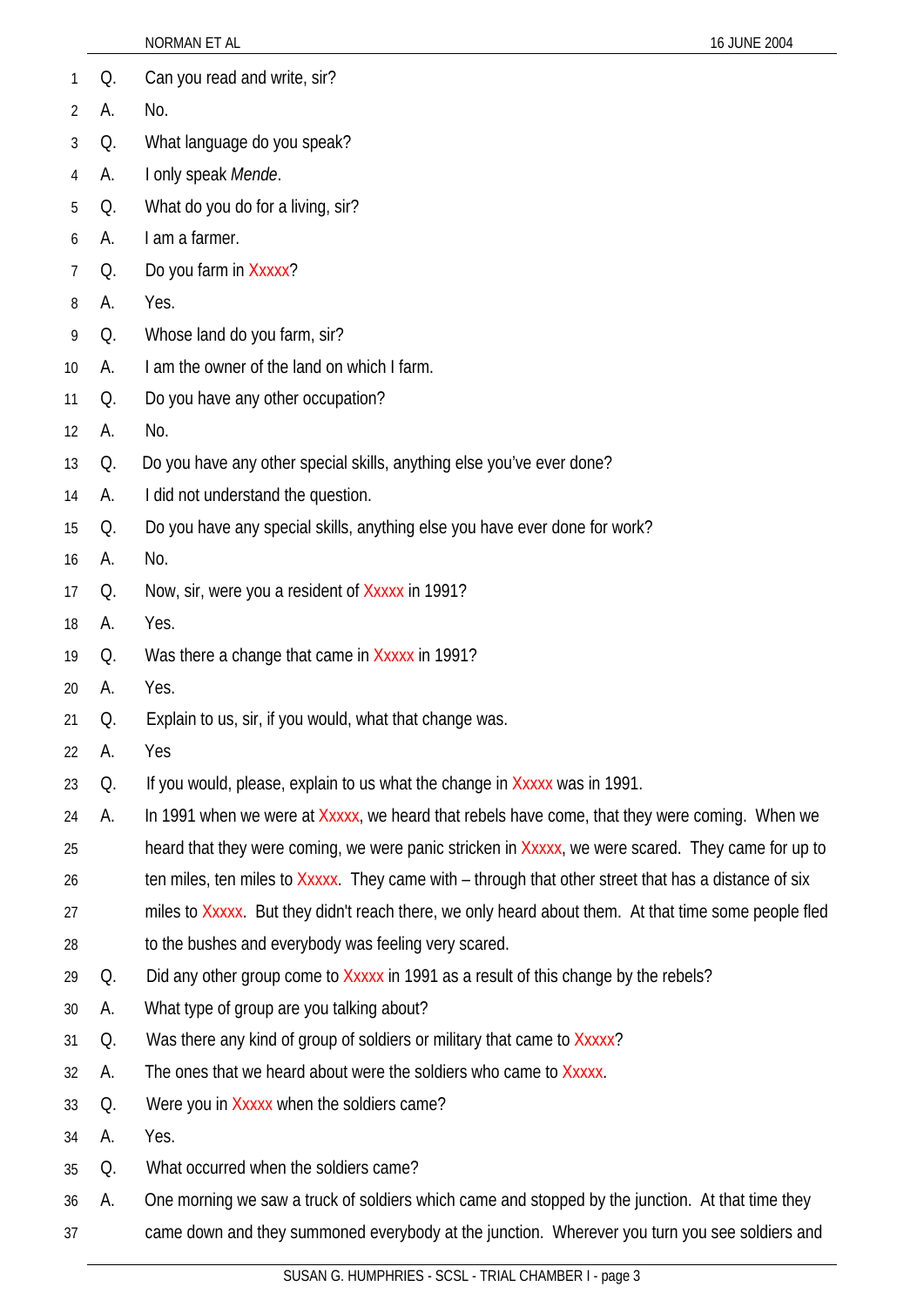|    |    | NORMAN ET AL<br>16 JUNE 2004                                                                         |
|----|----|------------------------------------------------------------------------------------------------------|
| 1  | Q. | Can you read and write, sir?                                                                         |
| 2  | А. | No.                                                                                                  |
| 3  | Q. | What language do you speak?                                                                          |
| 4  | A. | I only speak Mende.                                                                                  |
| 5  | Q. | What do you do for a living, sir?                                                                    |
| 6  | А. | I am a farmer.                                                                                       |
| 7  | Q. | Do you farm in Xxxxx?                                                                                |
| 8  | А. | Yes.                                                                                                 |
| 9  | Q. | Whose land do you farm, sir?                                                                         |
| 10 | А. | I am the owner of the land on which I farm.                                                          |
| 11 | Q. | Do you have any other occupation?                                                                    |
| 12 | А. | No.                                                                                                  |
| 13 | Q. | Do you have any other special skills, anything else you've ever done?                                |
| 14 | А. | I did not understand the question.                                                                   |
| 15 | Q. | Do you have any special skills, anything else you have ever done for work?                           |
| 16 | А. | No.                                                                                                  |
| 17 | Q. | Now, sir, were you a resident of Xxxxx in 1991?                                                      |
| 18 | А. | Yes.                                                                                                 |
| 19 | Q. | Was there a change that came in Xxxxx in 1991?                                                       |
| 20 | А. | Yes.                                                                                                 |
| 21 | Q. | Explain to us, sir, if you would, what that change was.                                              |
| 22 | A. | Yes                                                                                                  |
| 23 | Q. | If you would, please, explain to us what the change in Xxxxx was in 1991.                            |
| 24 | А. | In 1991 when we were at Xxxxx, we heard that rebels have come, that they were coming. When we        |
| 25 |    | heard that they were coming, we were panic stricken in Xxxxx, we were scared. They came for up to    |
| 26 |    | ten miles, ten miles to Xxxxx. They came with – through that other street that has a distance of six |
| 27 |    | miles to Xxxxx. But they didn't reach there, we only heard about them. At that time some people fled |
| 28 |    | to the bushes and everybody was feeling very scared.                                                 |
| 29 | Q. | Did any other group come to Xxxxx in 1991 as a result of this change by the rebels?                  |
| 30 | А. | What type of group are you talking about?                                                            |
| 31 | Q. | Was there any kind of group of soldiers or military that came to Xxxxx?                              |
| 32 | А. | The ones that we heard about were the soldiers who came to Xxxxx.                                    |
| 33 | Q. | Were you in Xxxxx when the soldiers came?                                                            |
| 34 | А. | Yes.                                                                                                 |
| 35 | Q. | What occurred when the soldiers came?                                                                |
| 36 | A. | One morning we saw a truck of soldiers which came and stopped by the junction. At that time they     |
| 37 |    | came down and they summoned everybody at the junction. Wherever you turn you see soldiers and        |
|    |    |                                                                                                      |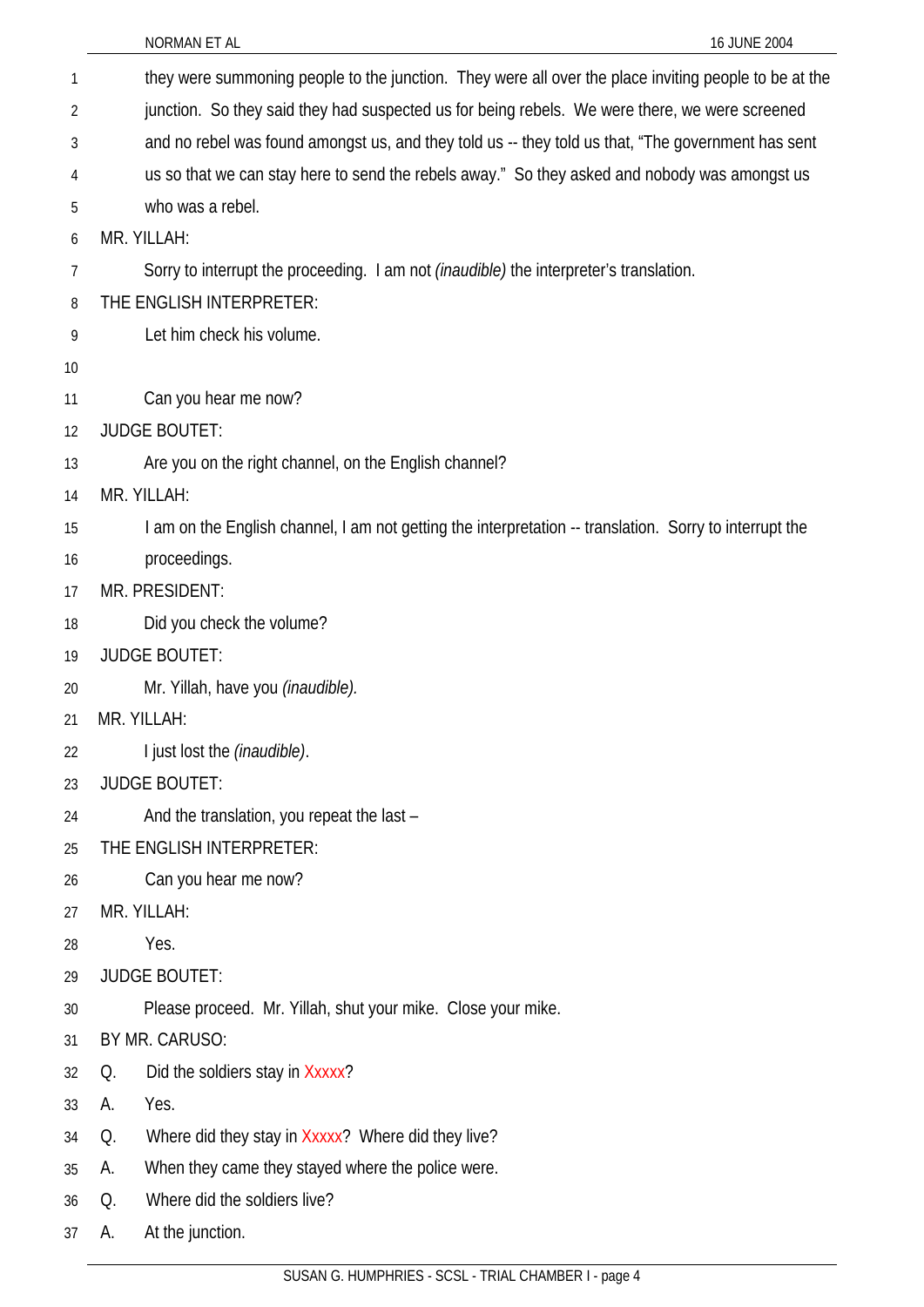| 1  | they were summoning people to the junction. They were all over the place inviting people to be at the   |  |
|----|---------------------------------------------------------------------------------------------------------|--|
| 2  | junction. So they said they had suspected us for being rebels. We were there, we were screened          |  |
| 3  | and no rebel was found amongst us, and they told us -- they told us that, "The government has sent      |  |
| 4  | us so that we can stay here to send the rebels away." So they asked and nobody was amongst us           |  |
| 5  | who was a rebel.                                                                                        |  |
| 6  | MR. YILLAH:                                                                                             |  |
| 7  | Sorry to interrupt the proceeding. I am not <i>(inaudible)</i> the interpreter's translation.           |  |
| 8  | THE ENGLISH INTERPRETER:                                                                                |  |
| 9  | Let him check his volume.                                                                               |  |
| 10 |                                                                                                         |  |
| 11 | Can you hear me now?                                                                                    |  |
| 12 | <b>JUDGE BOUTET:</b>                                                                                    |  |
| 13 | Are you on the right channel, on the English channel?                                                   |  |
| 14 | MR. YILLAH:                                                                                             |  |
| 15 | I am on the English channel, I am not getting the interpretation -- translation. Sorry to interrupt the |  |
| 16 | proceedings.                                                                                            |  |
| 17 | MR. PRESIDENT:                                                                                          |  |
| 18 | Did you check the volume?                                                                               |  |
| 19 | <b>JUDGE BOUTET:</b>                                                                                    |  |
| 20 | Mr. Yillah, have you <i>(inaudible)</i> .                                                               |  |
| 21 | MR. YILLAH:                                                                                             |  |
| 22 | I just lost the (inaudible).                                                                            |  |
| 23 | <b>JUDGE BOUTET:</b>                                                                                    |  |
| 24 | And the translation, you repeat the last -                                                              |  |
| 25 | THE ENGLISH INTERPRETER:                                                                                |  |
| 26 | Can you hear me now?                                                                                    |  |
| 27 | MR. YILLAH:                                                                                             |  |
| 28 | Yes.                                                                                                    |  |
| 29 | <b>JUDGE BOUTET:</b>                                                                                    |  |
| 30 | Please proceed. Mr. Yillah, shut your mike. Close your mike.                                            |  |
| 31 | BY MR. CARUSO:                                                                                          |  |
| 32 | Did the soldiers stay in Xxxxx?<br>Q.                                                                   |  |
| 33 | Yes.<br>А.                                                                                              |  |
| 34 | Where did they stay in Xxxxx? Where did they live?<br>Q.                                                |  |
| 35 | When they came they stayed where the police were.<br>A.                                                 |  |
| 36 | Where did the soldiers live?<br>Q.                                                                      |  |
| 37 | At the junction.<br>A.                                                                                  |  |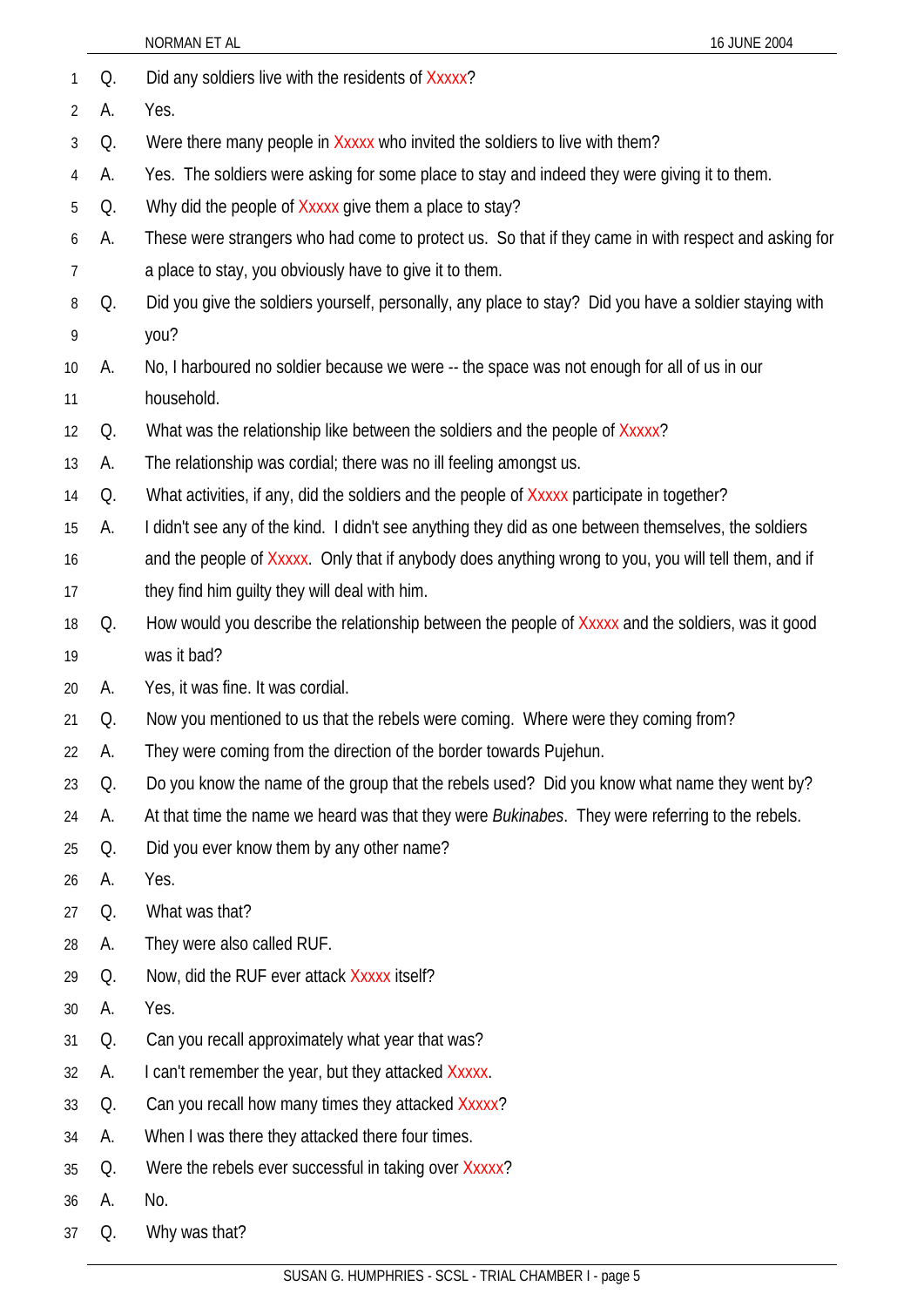|                 |    | 16 JUNE 2004<br>NORMAN ET AL                                                                            |
|-----------------|----|---------------------------------------------------------------------------------------------------------|
| 1               | Q. | Did any soldiers live with the residents of Xxxxx?                                                      |
| 2               | А. | Yes.                                                                                                    |
| 3               | Q. | Were there many people in Xxxxx who invited the soldiers to live with them?                             |
| 4               | А. | Yes. The soldiers were asking for some place to stay and indeed they were giving it to them.            |
| 5               | Q. | Why did the people of Xxxxx give them a place to stay?                                                  |
| 6               | А. | These were strangers who had come to protect us. So that if they came in with respect and asking for    |
| 7               |    | a place to stay, you obviously have to give it to them.                                                 |
| 8               | Q. | Did you give the soldiers yourself, personally, any place to stay? Did you have a soldier staying with  |
| 9               |    | you?                                                                                                    |
| 10 <sup>°</sup> | А. | No, I harboured no soldier because we were -- the space was not enough for all of us in our             |
| 11              |    | household.                                                                                              |
| 12              | Q. | What was the relationship like between the soldiers and the people of Xxxxx?                            |
| 13              | А. | The relationship was cordial; there was no ill feeling amongst us.                                      |
| 14              | Q. | What activities, if any, did the soldiers and the people of Xxxxx participate in together?              |
| 15              | А. | I didn't see any of the kind. I didn't see anything they did as one between themselves, the soldiers    |
| 16              |    | and the people of Xxxxx. Only that if anybody does anything wrong to you, you will tell them, and if    |
| 17              |    | they find him guilty they will deal with him.                                                           |
| 18              | Q. | How would you describe the relationship between the people of Xxxxx and the soldiers, was it good       |
| 19              |    | was it bad?                                                                                             |
| 20              | А. | Yes, it was fine. It was cordial.                                                                       |
| 21              | Q. | Now you mentioned to us that the rebels were coming. Where were they coming from?                       |
| 22              | А. | They were coming from the direction of the border towards Pujehun.                                      |
| 23              | Q. | Do you know the name of the group that the rebels used? Did you know what name they went by?            |
| 24              | А. | At that time the name we heard was that they were <i>Bukinabes</i> . They were referring to the rebels. |
| 25              | Q. | Did you ever know them by any other name?                                                               |
| 26              | А. | Yes.                                                                                                    |
| 27              | Q. | What was that?                                                                                          |
| 28              | А. | They were also called RUF.                                                                              |
| 29              | Q. | Now, did the RUF ever attack Xxxxx itself?                                                              |
| 30              | А. | Yes.                                                                                                    |
| 31              | Q. | Can you recall approximately what year that was?                                                        |
| 32              | А. | I can't remember the year, but they attacked Xxxxx.                                                     |
| 33              | Q. | Can you recall how many times they attacked Xxxxx?                                                      |
| 34              | А. | When I was there they attacked there four times.                                                        |
| 35              | Q. | Were the rebels ever successful in taking over Xxxxx?                                                   |
| 36              | А. | No.                                                                                                     |
| 37              | Q. | Why was that?                                                                                           |
|                 |    |                                                                                                         |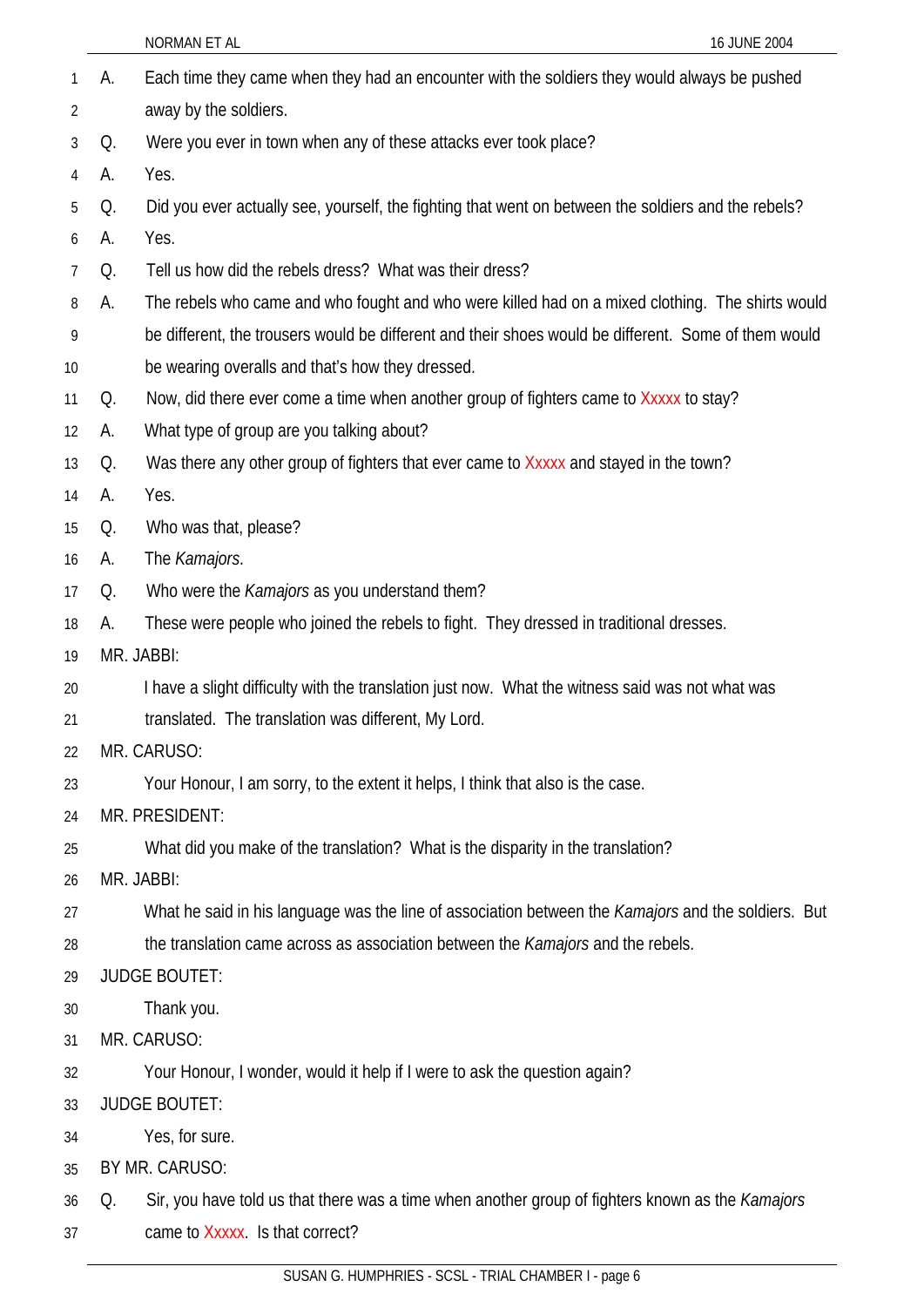|                |    | NORMAN ET AL<br>16 JUNE 2004                                                                         |
|----------------|----|------------------------------------------------------------------------------------------------------|
| 1              | А. | Each time they came when they had an encounter with the soldiers they would always be pushed         |
| 2              |    | away by the soldiers.                                                                                |
| 3              | Q. | Were you ever in town when any of these attacks ever took place?                                     |
| $\overline{4}$ | А. | Yes.                                                                                                 |
| 5              | Q. | Did you ever actually see, yourself, the fighting that went on between the soldiers and the rebels?  |
| 6              | А. | Yes.                                                                                                 |
| 7              | Q. | Tell us how did the rebels dress? What was their dress?                                              |
| 8              | А. | The rebels who came and who fought and who were killed had on a mixed clothing. The shirts would     |
| 9              |    | be different, the trousers would be different and their shoes would be different. Some of them would |
| 10             |    | be wearing overalls and that's how they dressed.                                                     |
| 11             | Q. | Now, did there ever come a time when another group of fighters came to Xxxxx to stay?                |
| 12             | А. | What type of group are you talking about?                                                            |
| 13             | Q. | Was there any other group of fighters that ever came to Xxxxx and stayed in the town?                |
| 14             | А. | Yes.                                                                                                 |
| 15             | Q. | Who was that, please?                                                                                |
| 16             | А. | The Kamajors.                                                                                        |
| 17             | Q. | Who were the Kamajors as you understand them?                                                        |
| 18             | A. | These were people who joined the rebels to fight. They dressed in traditional dresses.               |
| 19             |    | MR. JABBI:                                                                                           |
| 20             |    | I have a slight difficulty with the translation just now. What the witness said was not what was     |
| 21             |    | translated. The translation was different, My Lord.                                                  |
| 22             |    | MR. CARUSO:                                                                                          |
| 23             |    | Your Honour, I am sorry, to the extent it helps, I think that also is the case.                      |
| 24             |    | MR. PRESIDENT:                                                                                       |
| 25             |    | What did you make of the translation? What is the disparity in the translation?                      |
| 26             |    | MR. JABBI:                                                                                           |
| 27             |    | What he said in his language was the line of association between the Kamajors and the soldiers. But  |
| 28             |    | the translation came across as association between the Kamajors and the rebels.                      |
| 29             |    | <b>JUDGE BOUTET:</b>                                                                                 |
| 30             |    | Thank you.                                                                                           |
| 31             |    | MR. CARUSO:                                                                                          |
| 32             |    | Your Honour, I wonder, would it help if I were to ask the question again?                            |
| 33             |    | <b>JUDGE BOUTET:</b>                                                                                 |
| 34             |    | Yes, for sure.                                                                                       |
| 35             |    | BY MR. CARUSO:                                                                                       |
| 36             | Q. | Sir, you have told us that there was a time when another group of fighters known as the Kamajors     |
| 37             |    | came to Xxxxx. Is that correct?                                                                      |
|                |    |                                                                                                      |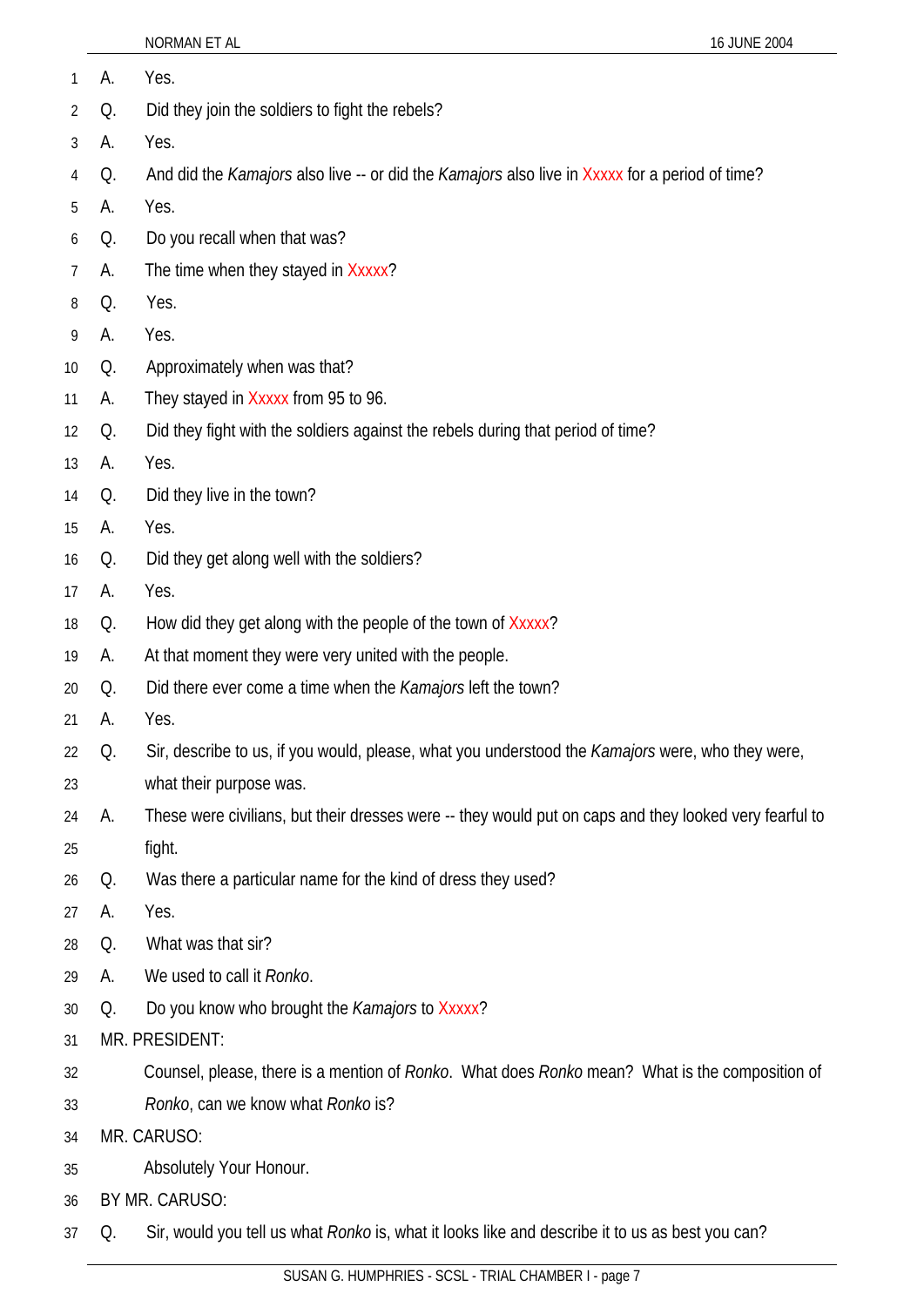|                |    | NORMAN ET AL                                                                                                 | 16 JUNE 2004 |
|----------------|----|--------------------------------------------------------------------------------------------------------------|--------------|
| $\mathbf{1}$   | А. | Yes.                                                                                                         |              |
| $\overline{2}$ | Q. | Did they join the soldiers to fight the rebels?                                                              |              |
| 3              | А. | Yes.                                                                                                         |              |
| 4              | Q. | And did the <i>Kamajors</i> also live -- or did the <i>Kamajors</i> also live in Xxxxx for a period of time? |              |
| 5              | А. | Yes.                                                                                                         |              |
| 6              | Q. | Do you recall when that was?                                                                                 |              |
| $\overline{7}$ | А. | The time when they stayed in Xxxxx?                                                                          |              |
| 8              | Q. | Yes.                                                                                                         |              |
| 9              | А. | Yes.                                                                                                         |              |
| 10             | Q. | Approximately when was that?                                                                                 |              |
| 11             | А. | They stayed in Xxxxx from 95 to 96.                                                                          |              |
| 12             | Q. | Did they fight with the soldiers against the rebels during that period of time?                              |              |
| 13             | А. | Yes.                                                                                                         |              |
| 14             | Q. | Did they live in the town?                                                                                   |              |
| 15             | А. | Yes.                                                                                                         |              |
| 16             | Q. | Did they get along well with the soldiers?                                                                   |              |
| 17             | А. | Yes.                                                                                                         |              |
| 18             | Q. | How did they get along with the people of the town of Xxxxx?                                                 |              |
| 19             | А. | At that moment they were very united with the people.                                                        |              |
| 20             | Q. | Did there ever come a time when the <i>Kamajors</i> left the town?                                           |              |
| 21             | A. | Yes.                                                                                                         |              |
| 22             | Q. | Sir, describe to us, if you would, please, what you understood the Kamajors were, who they were,             |              |
| 23             |    | what their purpose was.                                                                                      |              |
| 24             | А. | These were civilians, but their dresses were -- they would put on caps and they looked very fearful to       |              |
| 25             |    | fight.                                                                                                       |              |
| 26             | Q. | Was there a particular name for the kind of dress they used?                                                 |              |
| 27             | А. | Yes.                                                                                                         |              |
| 28             | Q. | What was that sir?                                                                                           |              |
| $\sim$         |    | عناومها الطواط والمومز                                                                                       |              |

- 29 A. We used to call it *Ronko*.
- 30 Q. Do you know who brought the *Kamajors* to Xxxxx?
- 31 MR. PRESIDENT:
- 32 Counsel, please, there is a mention of *Ronko*. What does *Ronko* mean? What is the composition of
- 33 *Ronko*, can we know what *Ronko* is?
- 34 MR. CARUSO:
- 35 Absolutely Your Honour.
- 36 BY MR. CARUSO:
- 37 Q. Sir, would you tell us what *Ronko* is, what it looks like and describe it to us as best you can?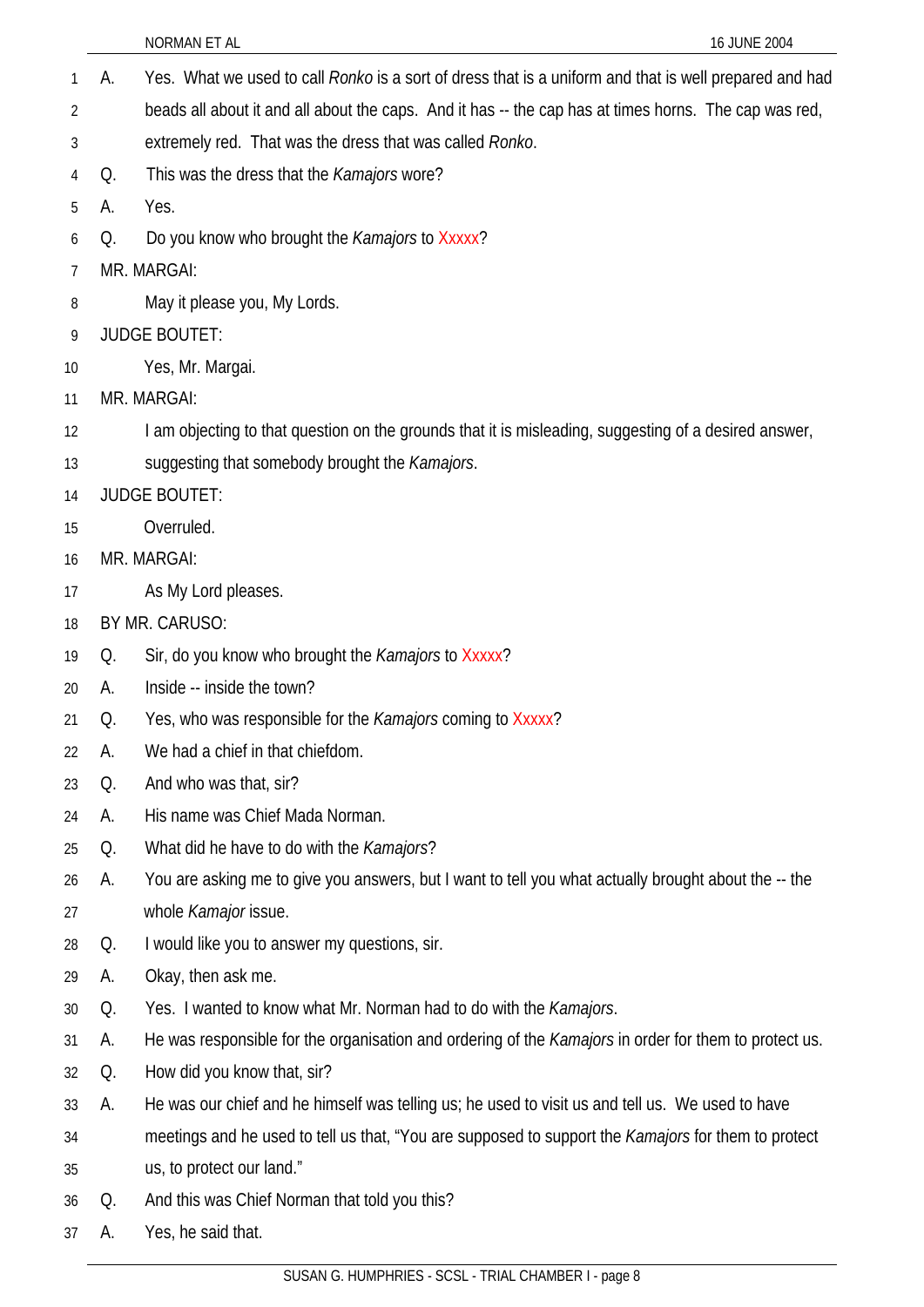- A. Yes. What we used to call *Ronko* is a sort of dress that is a uniform and that is well prepared and had beads all about it and all about the caps. And it has -- the cap has at times horns. The cap was red, extremely red. That was the dress that was called *Ronko*. 1 2 3 4 5 6 7 8 9 10 11 12 13 14 15 16 17 18 19 20 21 22 23 24 25 26 27 28 29 30 31 32 33 34 35 36 37 Q. This was the dress that the *Kamajors* wore? A. Yes. Q. Do you know who brought the *Kamajors* to Xxxxx? MR. MARGAI: May it please you, My Lords. JUDGE BOUTET: Yes, Mr. Margai. MR. MARGAI: I am objecting to that question on the grounds that it is misleading, suggesting of a desired answer, suggesting that somebody brought the *Kamajors*. JUDGE BOUTET: Overruled. MR. MARGAI: As My Lord pleases. BY MR. CARUSO: Q. Sir, do you know who brought the *Kamajors* to Xxxxx? A. Inside -- inside the town? Q. Yes, who was responsible for the *Kamajors* coming to Xxxxx? A. We had a chief in that chiefdom. Q. And who was that, sir? A. His name was Chief Mada Norman. Q. What did he have to do with the *Kamajors*? A. You are asking me to give you answers, but I want to tell you what actually brought about the -- the whole *Kamajor* issue. Q. I would like you to answer my questions, sir. A. Okay, then ask me. Q. Yes. I wanted to know what Mr. Norman had to do with the *Kamajors*. A. He was responsible for the organisation and ordering of the *Kamajors* in order for them to protect us. Q. How did you know that, sir? A. He was our chief and he himself was telling us; he used to visit us and tell us. We used to have meetings and he used to tell us that, "You are supposed to support the *Kamajors* for them to protect us, to protect our land." Q. And this was Chief Norman that told you this? A. Yes, he said that.
	- SUSAN G. HUMPHRIES SCSL TRIAL CHAMBER I page 8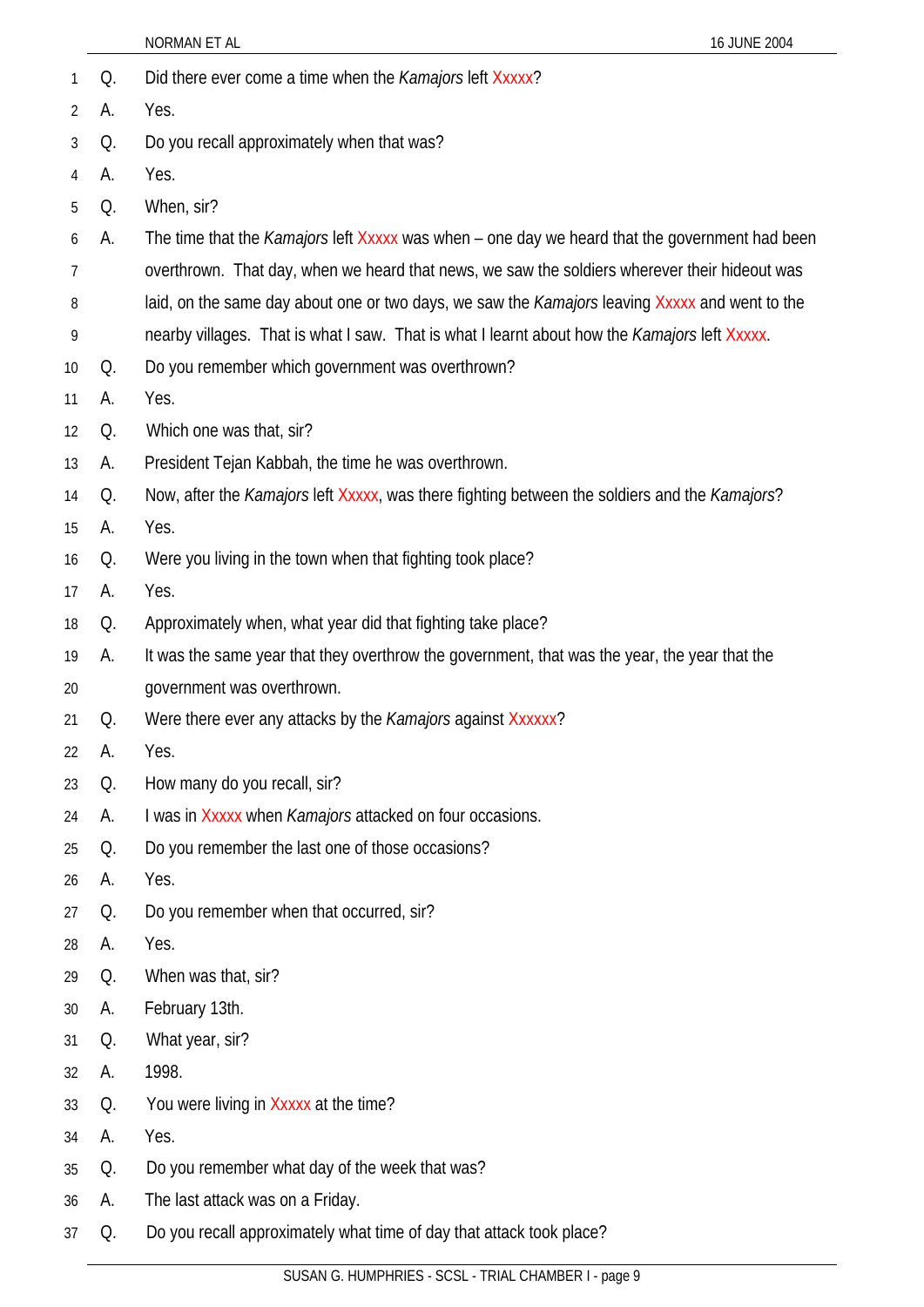|                |    | NORMAN ET AL<br>16 JUNE 2004                                                                   |
|----------------|----|------------------------------------------------------------------------------------------------|
| 1              | Q. | Did there ever come a time when the Kamajors left Xxxxx?                                       |
| $\overline{2}$ | А. | Yes.                                                                                           |
| 3              | Q. | Do you recall approximately when that was?                                                     |
| 4              | А. | Yes.                                                                                           |
| 5              | Q. | When, sir?                                                                                     |
| 6              | А. | The time that the Kamajors left Xxxxx was when – one day we heard that the government had been |
| 7              |    | overthrown. That day, when we heard that news, we saw the soldiers wherever their hideout was  |
| 8              |    | laid, on the same day about one or two days, we saw the Kamajors leaving Xxxxx and went to the |
| 9              |    | nearby villages. That is what I saw. That is what I learnt about how the Kamajors left Xxxxx.  |
| 10             | Q. | Do you remember which government was overthrown?                                               |
| 11             | А. | Yes.                                                                                           |
| 12             | Q. | Which one was that, sir?                                                                       |
| 13             | А. | President Tejan Kabbah, the time he was overthrown.                                            |
| 14             | Q. | Now, after the Kamajors left Xxxxx, was there fighting between the soldiers and the Kamajors?  |
| 15             | А. | Yes.                                                                                           |
| 16             | Q. | Were you living in the town when that fighting took place?                                     |
| 17             | А. | Yes.                                                                                           |
| 18             | Q. | Approximately when, what year did that fighting take place?                                    |
| 19             | А. | It was the same year that they overthrow the government, that was the year, the year that the  |
| 20             |    | government was overthrown.                                                                     |
| 21             | Q. | Were there ever any attacks by the Kamajors against Xxxxxx?                                    |
| 22             | А. | Yes.                                                                                           |
| 23             | Q. | How many do you recall, sir?                                                                   |
| 24             | А. | I was in Xxxxx when <i>Kamajors</i> attacked on four occasions.                                |
| 25             | Q. | Do you remember the last one of those occasions?                                               |
| 26             | А. | Yes.                                                                                           |
| 27             | Q. | Do you remember when that occurred, sir?                                                       |
| 28             | А. | Yes.                                                                                           |
| 29             | Q. | When was that, sir?                                                                            |
| 30             | А. | February 13th.                                                                                 |
| 31             | Q. | What year, sir?                                                                                |
| 32             | А. | 1998.                                                                                          |
| 33             | Q. | You were living in Xxxxx at the time?                                                          |
| 34             | А. | Yes.                                                                                           |
| 35             | Q. | Do you remember what day of the week that was?                                                 |
| 36             | А. | The last attack was on a Friday.                                                               |
| 37             | Q. | Do you recall approximately what time of day that attack took place?                           |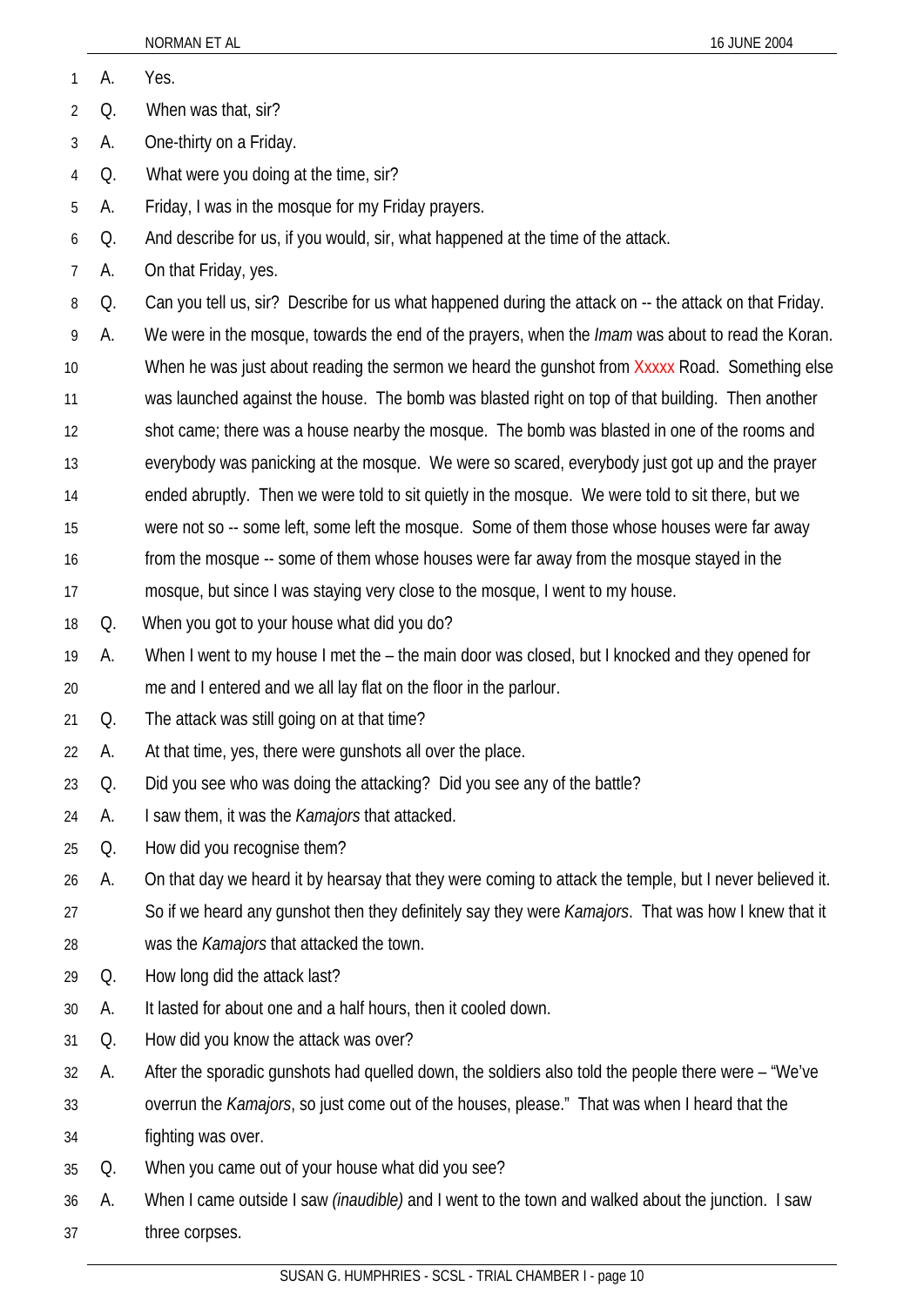| 1  | А. | Yes.                                                                                                        |
|----|----|-------------------------------------------------------------------------------------------------------------|
| 2  | Q. | When was that, sir?                                                                                         |
| 3  | А. | One-thirty on a Friday.                                                                                     |
| 4  | Q. | What were you doing at the time, sir?                                                                       |
| 5  | А. | Friday, I was in the mosque for my Friday prayers.                                                          |
| 6  | Q. | And describe for us, if you would, sir, what happened at the time of the attack.                            |
| 7  | А. | On that Friday, yes.                                                                                        |
| 8  | Q. | Can you tell us, sir? Describe for us what happened during the attack on -- the attack on that Friday.      |
| 9  | А. | We were in the mosque, towards the end of the prayers, when the <i>Imam</i> was about to read the Koran.    |
| 10 |    | When he was just about reading the sermon we heard the gunshot from Xxxxx Road. Something else              |
| 11 |    | was launched against the house. The bomb was blasted right on top of that building. Then another            |
| 12 |    | shot came; there was a house nearby the mosque. The bomb was blasted in one of the rooms and                |
| 13 |    | everybody was panicking at the mosque. We were so scared, everybody just got up and the prayer              |
| 14 |    | ended abruptly. Then we were told to sit quietly in the mosque. We were told to sit there, but we           |
| 15 |    | were not so -- some left, some left the mosque. Some of them those whose houses were far away               |
| 16 |    | from the mosque -- some of them whose houses were far away from the mosque stayed in the                    |
| 17 |    | mosque, but since I was staying very close to the mosque, I went to my house.                               |
| 18 | Q. | When you got to your house what did you do?                                                                 |
| 19 | А. | When I went to my house I met the – the main door was closed, but I knocked and they opened for             |
| 20 |    | me and I entered and we all lay flat on the floor in the parlour.                                           |
| 21 | Q. | The attack was still going on at that time?                                                                 |
| 22 | А. | At that time, yes, there were gunshots all over the place.                                                  |
| 23 | Q. | Did you see who was doing the attacking? Did you see any of the battle?                                     |
| 24 | А. | I saw them, it was the Kamajors that attacked.                                                              |
| 25 | Q. | How did you recognise them?                                                                                 |
| 26 | А. | On that day we heard it by hearsay that they were coming to attack the temple, but I never believed it.     |
| 27 |    | So if we heard any gunshot then they definitely say they were <i>Kamajors</i> . That was how I knew that it |
| 28 |    | was the Kamajors that attacked the town.                                                                    |
| 29 | Q. | How long did the attack last?                                                                               |
| 30 | А. | It lasted for about one and a half hours, then it cooled down.                                              |
| 31 | Q. | How did you know the attack was over?                                                                       |
| 32 | А. | After the sporadic gunshots had quelled down, the soldiers also told the people there were – "We've         |
| 33 |    | overrun the Kamajors, so just come out of the houses, please." That was when I heard that the               |
| 34 |    | fighting was over.                                                                                          |
| 35 | Q. | When you came out of your house what did you see?                                                           |
| 36 | А. | When I came outside I saw <i>(inaudible)</i> and I went to the town and walked about the junction. I saw    |
| 37 |    | three corpses.                                                                                              |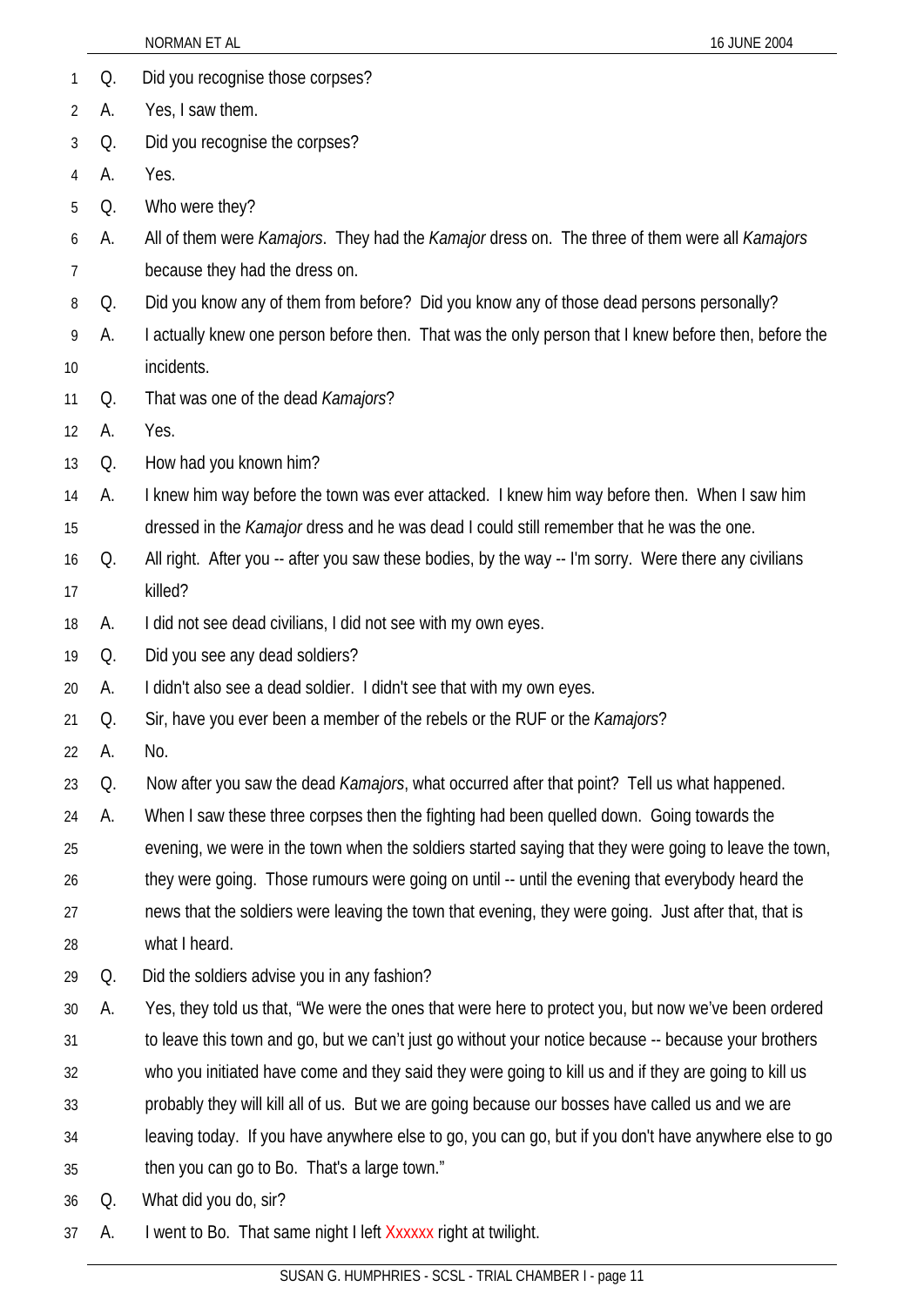|    |    | NORMAN ET AL<br>16 JUNE 2004                                                                                        |
|----|----|---------------------------------------------------------------------------------------------------------------------|
| 1  | Q. | Did you recognise those corpses?                                                                                    |
| 2  | А. | Yes, I saw them.                                                                                                    |
| 3  | Q. | Did you recognise the corpses?                                                                                      |
| 4  | А. | Yes.                                                                                                                |
| 5  | Q. | Who were they?                                                                                                      |
| 6  | А. | All of them were <i>Kamajors</i> . They had the <i>Kamajor</i> dress on. The three of them were all <i>Kamajors</i> |
| 7  |    | because they had the dress on.                                                                                      |
| 8  | Q. | Did you know any of them from before? Did you know any of those dead persons personally?                            |
| 9  | А. | I actually knew one person before then. That was the only person that I knew before then, before the                |
| 10 |    | incidents.                                                                                                          |
| 11 | Q. | That was one of the dead Kamajors?                                                                                  |
| 12 | А. | Yes.                                                                                                                |
| 13 | Q. | How had you known him?                                                                                              |
| 14 | А. | I knew him way before the town was ever attacked. I knew him way before then. When I saw him                        |
| 15 |    | dressed in the Kamajor dress and he was dead I could still remember that he was the one.                            |
| 16 | Q. | All right. After you -- after you saw these bodies, by the way -- I'm sorry. Were there any civilians               |
| 17 |    | killed?                                                                                                             |
| 18 | А. | I did not see dead civilians, I did not see with my own eyes.                                                       |
| 19 | Q. | Did you see any dead soldiers?                                                                                      |
| 20 | А. | I didn't also see a dead soldier. I didn't see that with my own eyes.                                               |
| 21 | Q. | Sir, have you ever been a member of the rebels or the RUF or the Kamajors?                                          |
| 22 | А. | No.                                                                                                                 |
| 23 | Q. | Now after you saw the dead <i>Kamajors</i> , what occurred after that point? Tell us what happened.                 |
| 24 | А. | When I saw these three corpses then the fighting had been quelled down. Going towards the                           |
| 25 |    | evening, we were in the town when the soldiers started saying that they were going to leave the town,               |
| 26 |    | they were going. Those rumours were going on until -- until the evening that everybody heard the                    |
| 27 |    | news that the soldiers were leaving the town that evening, they were going. Just after that, that is                |
| 28 |    | what I heard.                                                                                                       |
| 29 | Q. | Did the soldiers advise you in any fashion?                                                                         |
| 30 | А. | Yes, they told us that, "We were the ones that were here to protect you, but now we've been ordered                 |
| 31 |    | to leave this town and go, but we can't just go without your notice because -- because your brothers                |
| 32 |    | who you initiated have come and they said they were going to kill us and if they are going to kill us               |
| 33 |    | probably they will kill all of us. But we are going because our bosses have called us and we are                    |
| 34 |    | leaving today. If you have anywhere else to go, you can go, but if you don't have anywhere else to go               |
| 35 |    | then you can go to Bo. That's a large town."                                                                        |
| 36 | Q. | What did you do, sir?                                                                                               |
| 37 | А. | I went to Bo. That same night I left Xxxxxx right at twilight.                                                      |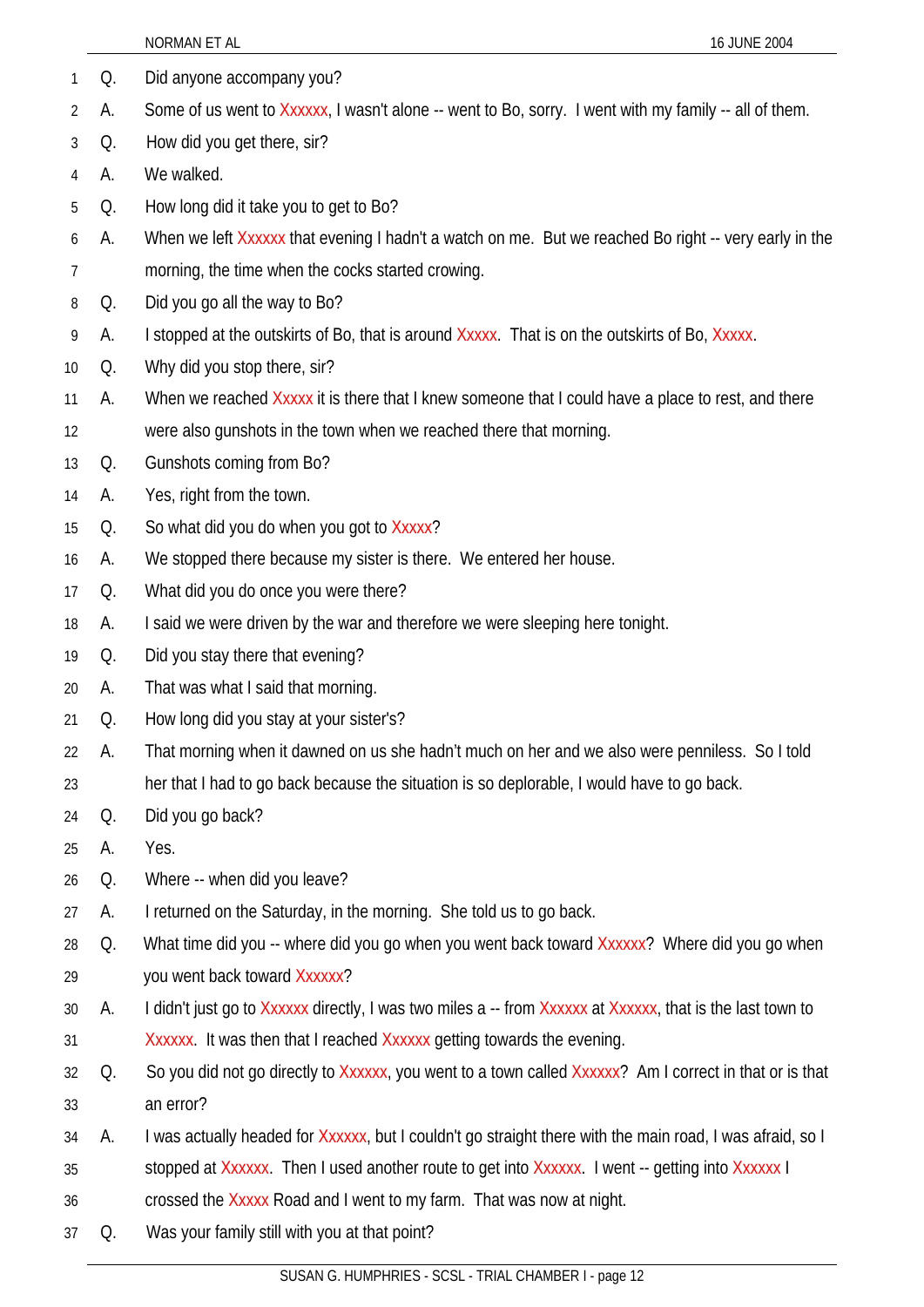| 1              | Q.       | Did anyone accompany you?                                                                                 |
|----------------|----------|-----------------------------------------------------------------------------------------------------------|
| $\overline{2}$ | А.<br>Q. | Some of us went to Xxxxxx, I wasn't alone -- went to Bo, sorry. I went with my family -- all of them.     |
| 3              | A.       | How did you get there, sir?<br>We walked.                                                                 |
| 4              | Q.       | How long did it take you to get to Bo?                                                                    |
| 5              | А.       |                                                                                                           |
| 6              |          | When we left Xxxxxx that evening I hadn't a watch on me. But we reached Bo right -- very early in the     |
| 7              | Q.       | morning, the time when the cocks started crowing.<br>Did you go all the way to Bo?                        |
| 8              | А.       | I stopped at the outskirts of Bo, that is around Xxxxx. That is on the outskirts of Bo, Xxxxx.            |
| 9<br>10        | Q.       | Why did you stop there, sir?                                                                              |
| 11             | А.       | When we reached Xxxxx it is there that I knew someone that I could have a place to rest, and there        |
| 12             |          | were also gunshots in the town when we reached there that morning.                                        |
| 13             | Q.       | Gunshots coming from Bo?                                                                                  |
| 14             | А.       | Yes, right from the town.                                                                                 |
| 15             | Q.       | So what did you do when you got to Xxxxx?                                                                 |
| 16             | А.       | We stopped there because my sister is there. We entered her house.                                        |
| 17             | Q.       | What did you do once you were there?                                                                      |
| 18             | А.       | I said we were driven by the war and therefore we were sleeping here tonight.                             |
| 19             | Q.       | Did you stay there that evening?                                                                          |
| 20             | A.       | That was what I said that morning.                                                                        |
| 21             | Q.       | How long did you stay at your sister's?                                                                   |
| 22             | А.       | That morning when it dawned on us she hadn't much on her and we also were penniless. So I told            |
| 23             |          | her that I had to go back because the situation is so deplorable, I would have to go back.                |
| 24             | Q.       | Did you go back?                                                                                          |
| 25             | А.       | Yes.                                                                                                      |
| 26             | Q.       | Where -- when did you leave?                                                                              |
| 27             | А.       | I returned on the Saturday, in the morning. She told us to go back.                                       |
| 28             | Q.       | What time did you -- where did you go when you went back toward Xxxxxx? Where did you go when             |
| 29             |          | you went back toward Xxxxxx?                                                                              |
| 30             | А.       | I didn't just go to Xxxxxx directly, I was two miles a -- from Xxxxxx at Xxxxxx, that is the last town to |
| 31             |          | Xxxxxx. It was then that I reached Xxxxxx getting towards the evening.                                    |
| 32             | Q.       | So you did not go directly to Xxxxxx, you went to a town called Xxxxxx? Am I correct in that or is that   |
| 33             |          | an error?                                                                                                 |
| 34             | А.       | I was actually headed for Xxxxxx, but I couldn't go straight there with the main road, I was afraid, so I |
| 35             |          | stopped at Xxxxxx. Then I used another route to get into Xxxxxx. I went -- getting into Xxxxxx I          |
| 36             |          | crossed the Xxxxx Road and I went to my farm. That was now at night.                                      |
| 37             | Q.       | Was your family still with you at that point?                                                             |
|                |          |                                                                                                           |

NORMAN ET AL 16 JUNE 2004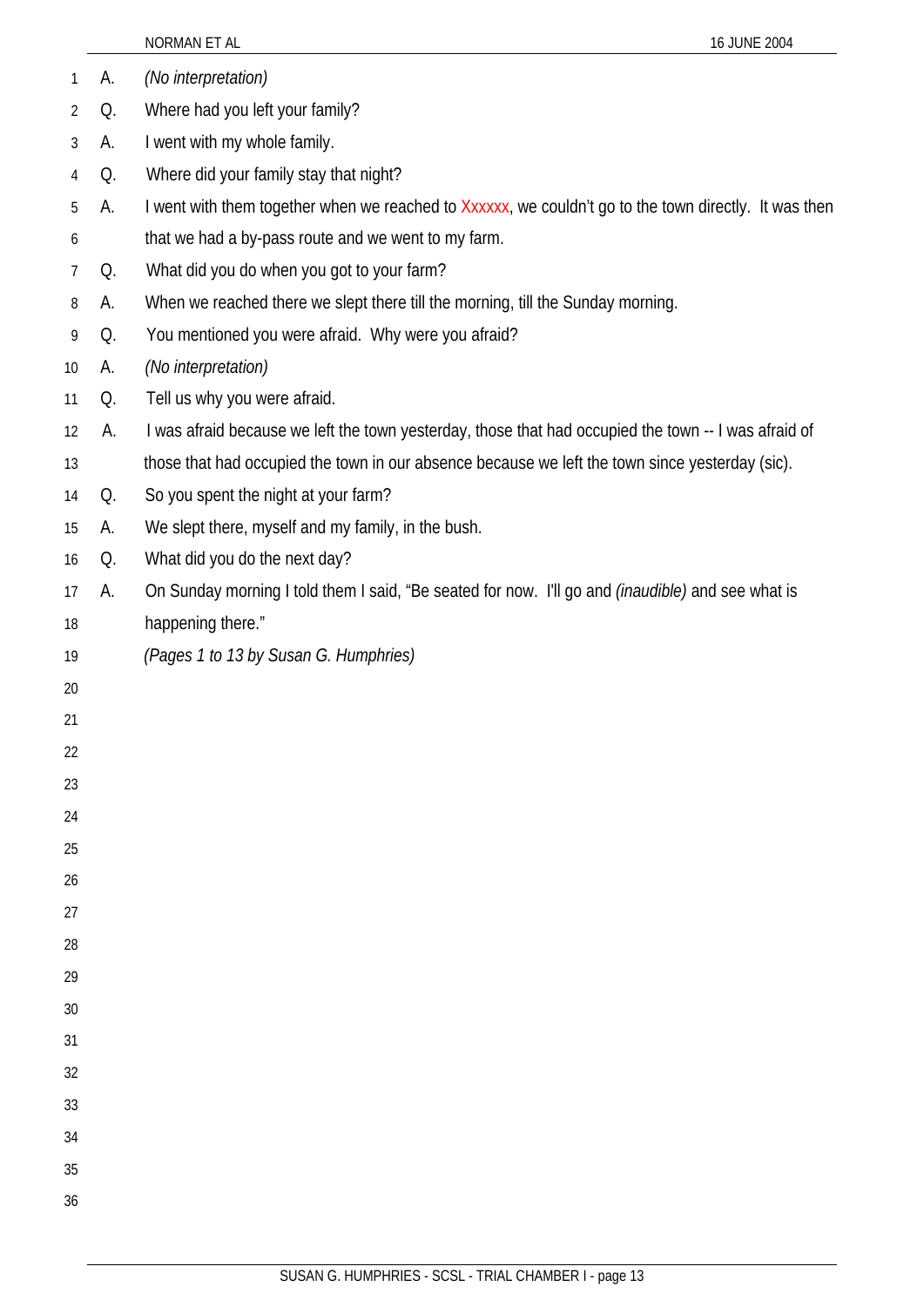|    |    | NORMAN ET AL                                                                                             | 16 JUNE 2004 |
|----|----|----------------------------------------------------------------------------------------------------------|--------------|
| 1  | А. | (No interpretation)                                                                                      |              |
| 2  | Q. | Where had you left your family?                                                                          |              |
| 3  | А. | I went with my whole family.                                                                             |              |
| 4  | Q. | Where did your family stay that night?                                                                   |              |
| 5  | А. | I went with them together when we reached to Xxxxxx, we couldn't go to the town directly. It was then    |              |
| 6  |    | that we had a by-pass route and we went to my farm.                                                      |              |
| 7  | Q. | What did you do when you got to your farm?                                                               |              |
| 8  | А. | When we reached there we slept there till the morning, till the Sunday morning.                          |              |
| 9  | Q. | You mentioned you were afraid. Why were you afraid?                                                      |              |
| 10 | А. | (No interpretation)                                                                                      |              |
| 11 | Q. | Tell us why you were afraid.                                                                             |              |
| 12 | А. | I was afraid because we left the town yesterday, those that had occupied the town -- I was afraid of     |              |
| 13 |    | those that had occupied the town in our absence because we left the town since yesterday (sic).          |              |
| 14 | Q. | So you spent the night at your farm?                                                                     |              |
| 15 | А. | We slept there, myself and my family, in the bush.                                                       |              |
| 16 | Q. | What did you do the next day?                                                                            |              |
| 17 | А. | On Sunday morning I told them I said, "Be seated for now. I'll go and <i>(inaudible)</i> and see what is |              |
| 18 |    | happening there."                                                                                        |              |
| 19 |    | (Pages 1 to 13 by Susan G. Humphries)                                                                    |              |
| 20 |    |                                                                                                          |              |
| 21 |    |                                                                                                          |              |
| 22 |    |                                                                                                          |              |
| 23 |    |                                                                                                          |              |
| 24 |    |                                                                                                          |              |
| 25 |    |                                                                                                          |              |
| 26 |    |                                                                                                          |              |
| 27 |    |                                                                                                          |              |
| 28 |    |                                                                                                          |              |
| 29 |    |                                                                                                          |              |
| 30 |    |                                                                                                          |              |
| 31 |    |                                                                                                          |              |
| 32 |    |                                                                                                          |              |
| 33 |    |                                                                                                          |              |
| 34 |    |                                                                                                          |              |
| 35 |    |                                                                                                          |              |
| 36 |    |                                                                                                          |              |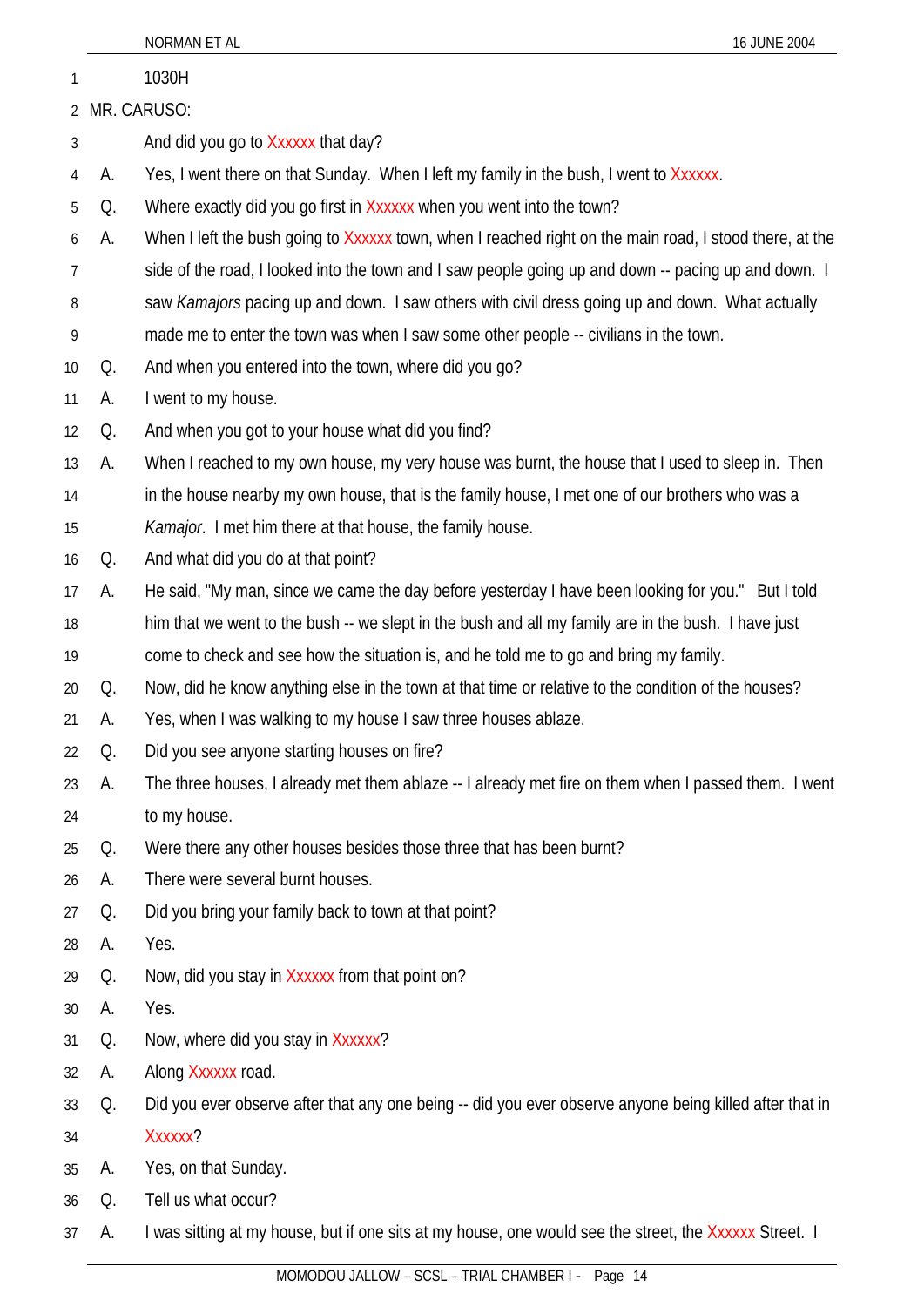|          |          | NORMAN ET AL<br>16 JUNE 2004                                                                            |
|----------|----------|---------------------------------------------------------------------------------------------------------|
| 1        |          | 1030H                                                                                                   |
| 2        |          | MR. CARUSO:                                                                                             |
| 3        |          | And did you go to Xxxxxx that day?                                                                      |
| 4        | А.       | Yes, I went there on that Sunday. When I left my family in the bush, I went to Xxxxxx.                  |
| 5        | Q.       | Where exactly did you go first in Xxxxxx when you went into the town?                                   |
| 6        | А.       | When I left the bush going to Xxxxxx town, when I reached right on the main road, I stood there, at the |
| 7        |          | side of the road, I looked into the town and I saw people going up and down -- pacing up and down. I    |
| 8        |          | saw Kamajors pacing up and down. I saw others with civil dress going up and down. What actually         |
| 9        |          | made me to enter the town was when I saw some other people -- civilians in the town.                    |
| 10       | Q.       | And when you entered into the town, where did you go?                                                   |
| 11       | А.       | I went to my house.                                                                                     |
| 12       | Q.       | And when you got to your house what did you find?                                                       |
| 13       | А.       | When I reached to my own house, my very house was burnt, the house that I used to sleep in. Then        |
| 14       |          | in the house nearby my own house, that is the family house, I met one of our brothers who was a         |
| 15       |          | Kamajor. I met him there at that house, the family house.                                               |
| 16       | Q.       | And what did you do at that point?                                                                      |
| 17       | А.       | He said, "My man, since we came the day before yesterday I have been looking for you." But I told       |
| 18       |          | him that we went to the bush -- we slept in the bush and all my family are in the bush. I have just     |
| 19       |          | come to check and see how the situation is, and he told me to go and bring my family.                   |
| 20       | Q.       | Now, did he know anything else in the town at that time or relative to the condition of the houses?     |
| 21       | А.       | Yes, when I was walking to my house I saw three houses ablaze.                                          |
| 22       | Q.       | Did you see anyone starting houses on fire?                                                             |
| 23       | А.       | The three houses, I already met them ablaze -- I already met fire on them when I passed them. I went    |
| 24       |          | to my house.                                                                                            |
| 25       | Q.       | Were there any other houses besides those three that has been burnt?                                    |
| 26       | А.       | There were several burnt houses.<br>Did you bring your family back to town at that point?               |
| 27<br>28 | Q.<br>А. | Yes.                                                                                                    |
| 29       | Q.       | Now, did you stay in Xxxxxx from that point on?                                                         |
| 30       | А.       | Yes.                                                                                                    |
| 31       | Q.       | Now, where did you stay in Xxxxxx?                                                                      |
| 32       | А.       | Along Xxxxxx road.                                                                                      |
| 33       | Q.       | Did you ever observe after that any one being -- did you ever observe anyone being killed after that in |
| 34       |          | Xxxxxx?                                                                                                 |
| 35       | А.       | Yes, on that Sunday.                                                                                    |
| 36       | Q.       | Tell us what occur?                                                                                     |
| 37       | А.       | I was sitting at my house, but if one sits at my house, one would see the street, the Xxxxxx Street. I  |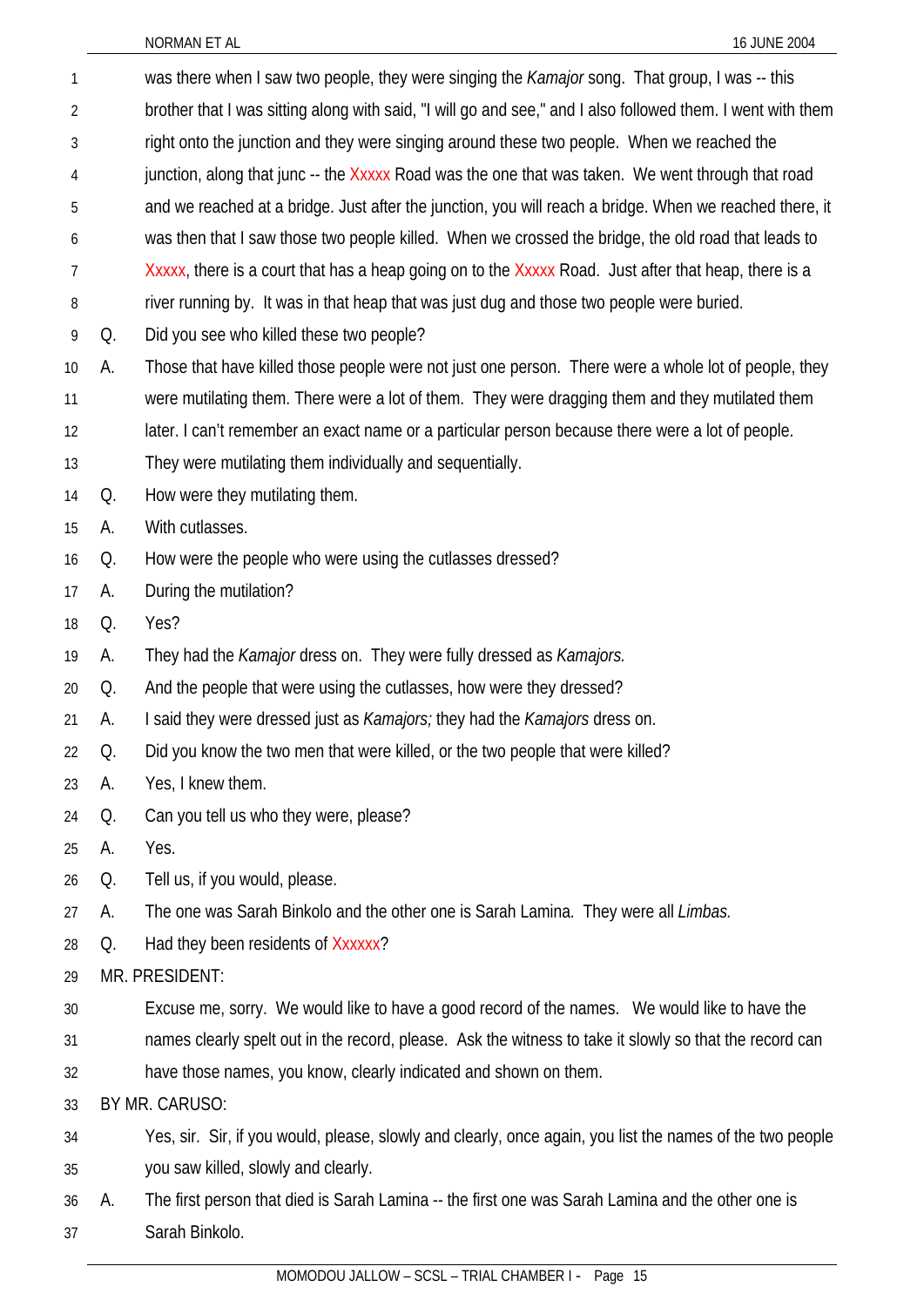| 1              |    | was there when I saw two people, they were singing the <i>Kamajor</i> song. That group, I was -- this       |
|----------------|----|-------------------------------------------------------------------------------------------------------------|
| $\overline{2}$ |    | brother that I was sitting along with said, "I will go and see," and I also followed them. I went with them |
| 3              |    | right onto the junction and they were singing around these two people. When we reached the                  |
| 4              |    | junction, along that junc -- the Xxxxx Road was the one that was taken. We went through that road           |
| 5              |    | and we reached at a bridge. Just after the junction, you will reach a bridge. When we reached there, it     |
| 6              |    | was then that I saw those two people killed. When we crossed the bridge, the old road that leads to         |
| 7              |    | Xxxxx, there is a court that has a heap going on to the Xxxxx Road. Just after that heap, there is a        |
| 8              |    | river running by. It was in that heap that was just dug and those two people were buried.                   |
| 9              | Q. | Did you see who killed these two people?                                                                    |
| 10             | А. | Those that have killed those people were not just one person. There were a whole lot of people, they        |
| 11             |    | were mutilating them. There were a lot of them. They were dragging them and they mutilated them             |
| 12             |    | later. I can't remember an exact name or a particular person because there were a lot of people.            |
| 13             |    | They were mutilating them individually and sequentially.                                                    |
| 14             | Q. | How were they mutilating them.                                                                              |
| 15             | А. | With cutlasses.                                                                                             |
| 16             | Q. | How were the people who were using the cutlasses dressed?                                                   |
| 17             | А. | During the mutilation?                                                                                      |
| 18             | Q. | Yes?                                                                                                        |
| 19             | А. | They had the Kamajor dress on. They were fully dressed as Kamajors.                                         |
| 20             | Q. | And the people that were using the cutlasses, how were they dressed?                                        |
| 21             | А. | I said they were dressed just as <i>Kamajors</i> ; they had the <i>Kamajors</i> dress on.                   |
| 22             | Q. | Did you know the two men that were killed, or the two people that were killed?                              |
| 23             | А. | Yes, I knew them.                                                                                           |
| 24             | Q. | Can you tell us who they were, please?                                                                      |
| 25             | A. | Yes.                                                                                                        |
| 26             | Q. | Tell us, if you would, please.                                                                              |
| 27             | A. | The one was Sarah Binkolo and the other one is Sarah Lamina. They were all Limbas.                          |
| 28             | Q. | Had they been residents of Xxxxxx?                                                                          |
| 29             |    | MR. PRESIDENT:                                                                                              |
| 30             |    | Excuse me, sorry. We would like to have a good record of the names. We would like to have the               |
| 31             |    | names clearly spelt out in the record, please. Ask the witness to take it slowly so that the record can     |
| 32             |    | have those names, you know, clearly indicated and shown on them.                                            |
| 33             |    | BY MR. CARUSO:                                                                                              |
| 34             |    | Yes, sir. Sir, if you would, please, slowly and clearly, once again, you list the names of the two people   |
| 35             |    | you saw killed, slowly and clearly.                                                                         |
| 36             | А. | The first person that died is Sarah Lamina -- the first one was Sarah Lamina and the other one is           |
| 37             |    | Sarah Binkolo.                                                                                              |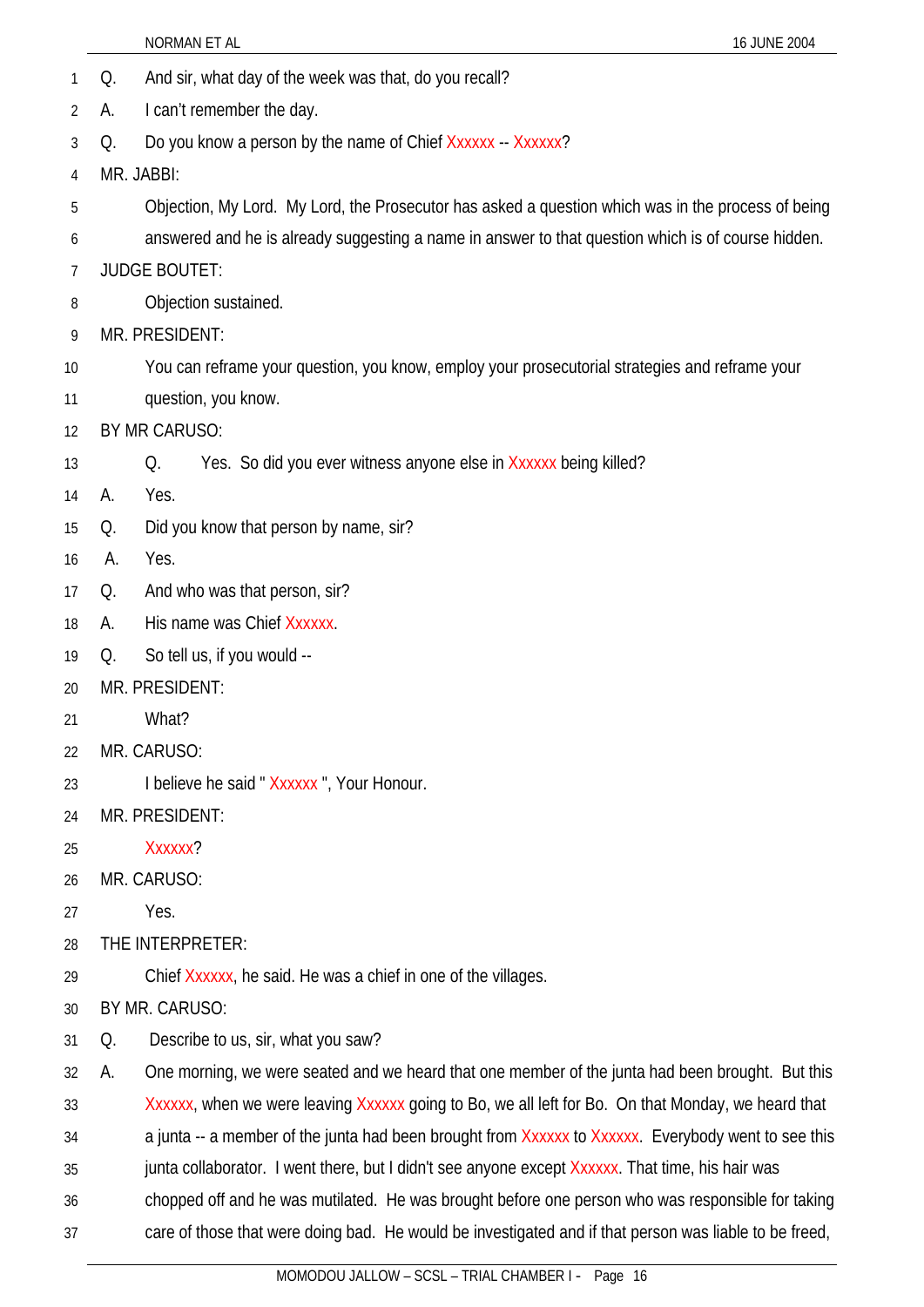- 1 Q. And sir, what day of the week was that, do you recall?
- 2 A. I can't remember the day.
- 3 Q. Do you know a person by the name of Chief Xxxxxx -- Xxxxxx?
- 4 MR. JABBI:
- 5 Objection, My Lord. My Lord, the Prosecutor has asked a question which was in the process of being
- 6 answered and he is already suggesting a name in answer to that question which is of course hidden.
- 7 JUDGE BOUTET:
- 8 Objection sustained.
- 9 MR. PRESIDENT:
- 10 You can reframe your question, you know, employ your prosecutorial strategies and reframe your
- 11 question, you know.
- 12 BY MR CARUSO:
- 13 Q. Yes. So did you ever witness anyone else in Xxxxxx being killed?
- 14 A. Yes.
- 15 Q. Did you know that person by name, sir?
- 16 A. Yes.
- 17 Q. And who was that person, sir?
- 18 A. His name was Chief Xxxxxx.
- 19 Q. So tell us, if you would --
- 20 MR. PRESIDENT:
- 21 What?
- 22 MR. CARUSO:
- 23 I believe he said " Xxxxxx ", Your Honour.
- 24 MR. PRESIDENT:
- 25 Xxxxxx?
- 26 MR. CARUSO:
- 27 Yes.
- 28 THE INTERPRETER:
- 29 Chief Xxxxxx, he said. He was a chief in one of the villages.
- 30 BY MR. CARUSO:
- 31 Q. Describe to us, sir, what you saw?

32 A. One morning, we were seated and we heard that one member of the junta had been brought. But this

33 Xxxxxx, when we were leaving Xxxxxx going to Bo, we all left for Bo. On that Monday, we heard that

34 a junta -- a member of the junta had been brought from Xxxxxx to Xxxxxx. Everybody went to see this

- 35 junta collaborator. I went there, but I didn't see anyone except Xxxxxx. That time, his hair was
- 36 chopped off and he was mutilated. He was brought before one person who was responsible for taking
- 37 care of those that were doing bad. He would be investigated and if that person was liable to be freed,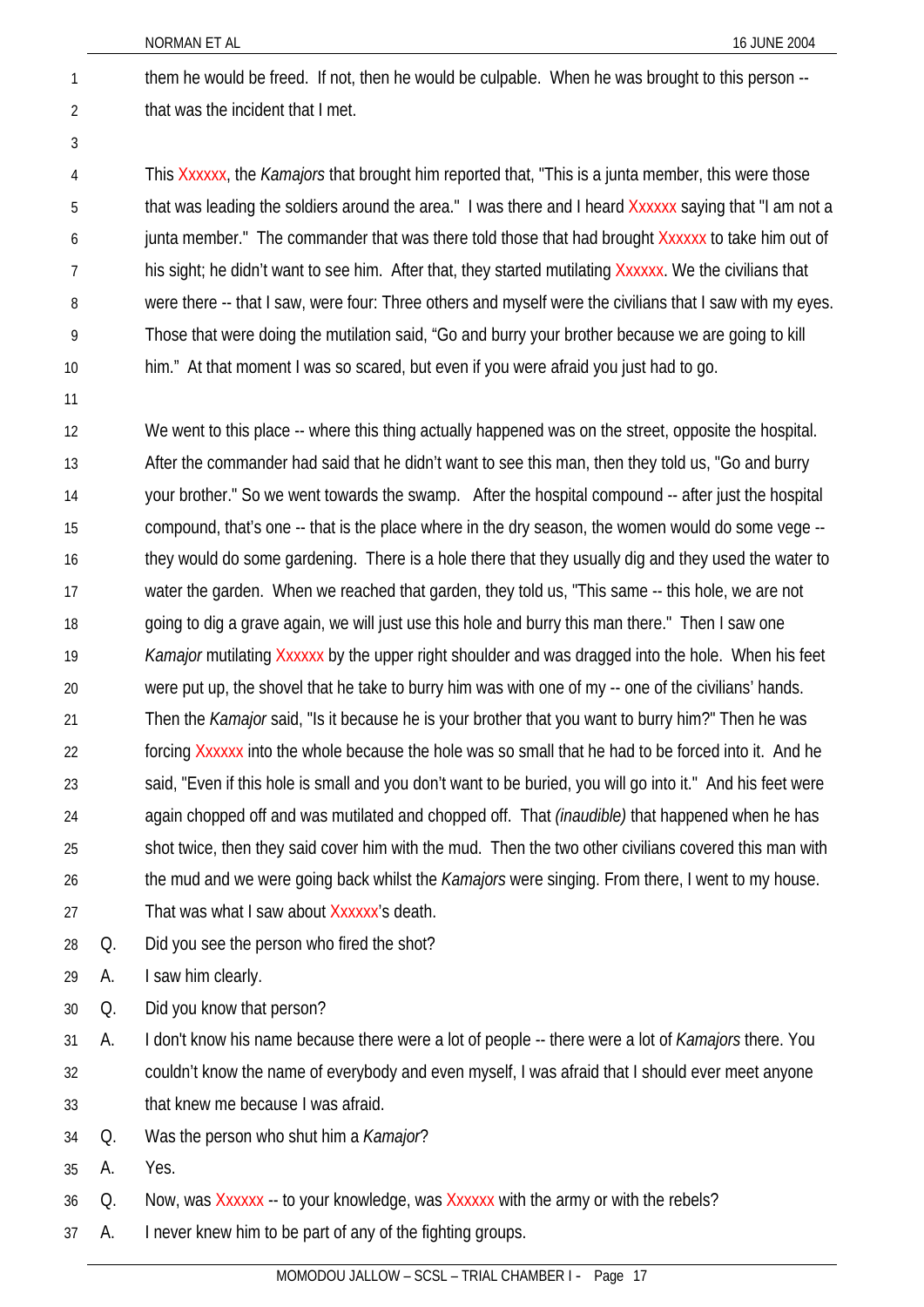them he would be freed. If not, then he would be culpable. When he was brought to this person - that was the incident that I met.

2 3

1

This Xxxxxx, the *Kamajors* that brought him reported that, "This is a junta member, this were those that was leading the soldiers around the area." I was there and I heard Xxxxxx saying that "I am not a junta member." The commander that was there told those that had brought Xxxxxx to take him out of his sight; he didn't want to see him. After that, they started mutilating Xxxxxx. We the civilians that were there -- that I saw, were four: Three others and myself were the civilians that I saw with my eyes. Those that were doing the mutilation said, "Go and burry your brother because we are going to kill him." At that moment I was so scared, but even if you were afraid you just had to go. 4 5 6 7 8 9 10

11

We went to this place -- where this thing actually happened was on the street, opposite the hospital. After the commander had said that he didn't want to see this man, then they told us, "Go and burry your brother." So we went towards the swamp. After the hospital compound -- after just the hospital compound, that's one -- that is the place where in the dry season, the women would do some vege - they would do some gardening. There is a hole there that they usually dig and they used the water to water the garden. When we reached that garden, they told us, "This same -- this hole, we are not going to dig a grave again, we will just use this hole and burry this man there." Then I saw one *Kamajor* mutilating Xxxxxx by the upper right shoulder and was dragged into the hole. When his feet were put up, the shovel that he take to burry him was with one of my -- one of the civilians' hands. Then the *Kamajor* said, "Is it because he is your brother that you want to burry him?" Then he was forcing Xxxxxx into the whole because the hole was so small that he had to be forced into it. And he said, "Even if this hole is small and you don't want to be buried, you will go into it." And his feet were again chopped off and was mutilated and chopped off. That *(inaudible)* that happened when he has shot twice, then they said cover him with the mud. Then the two other civilians covered this man with the mud and we were going back whilst the *Kamajors* were singing. From there, I went to my house. That was what I saw about Xxxxxx's death. 12 13 14 15 16 17 18 19 20 21 22 23 24 25 26 27

28 Q. Did you see the person who fired the shot?

29 A. I saw him clearly.

- 30 Q. Did you know that person?
- 31 32 33 A. I don't know his name because there were a lot of people -- there were a lot of *Kamajors* there. You couldn't know the name of everybody and even myself, I was afraid that I should ever meet anyone that knew me because I was afraid.
- 34 Q. Was the person who shut him a *Kamajor*?
- 35 A. Yes.

36 Q. Now, was Xxxxxx -- to your knowledge, was Xxxxxx with the army or with the rebels?

37 A. I never knew him to be part of any of the fighting groups.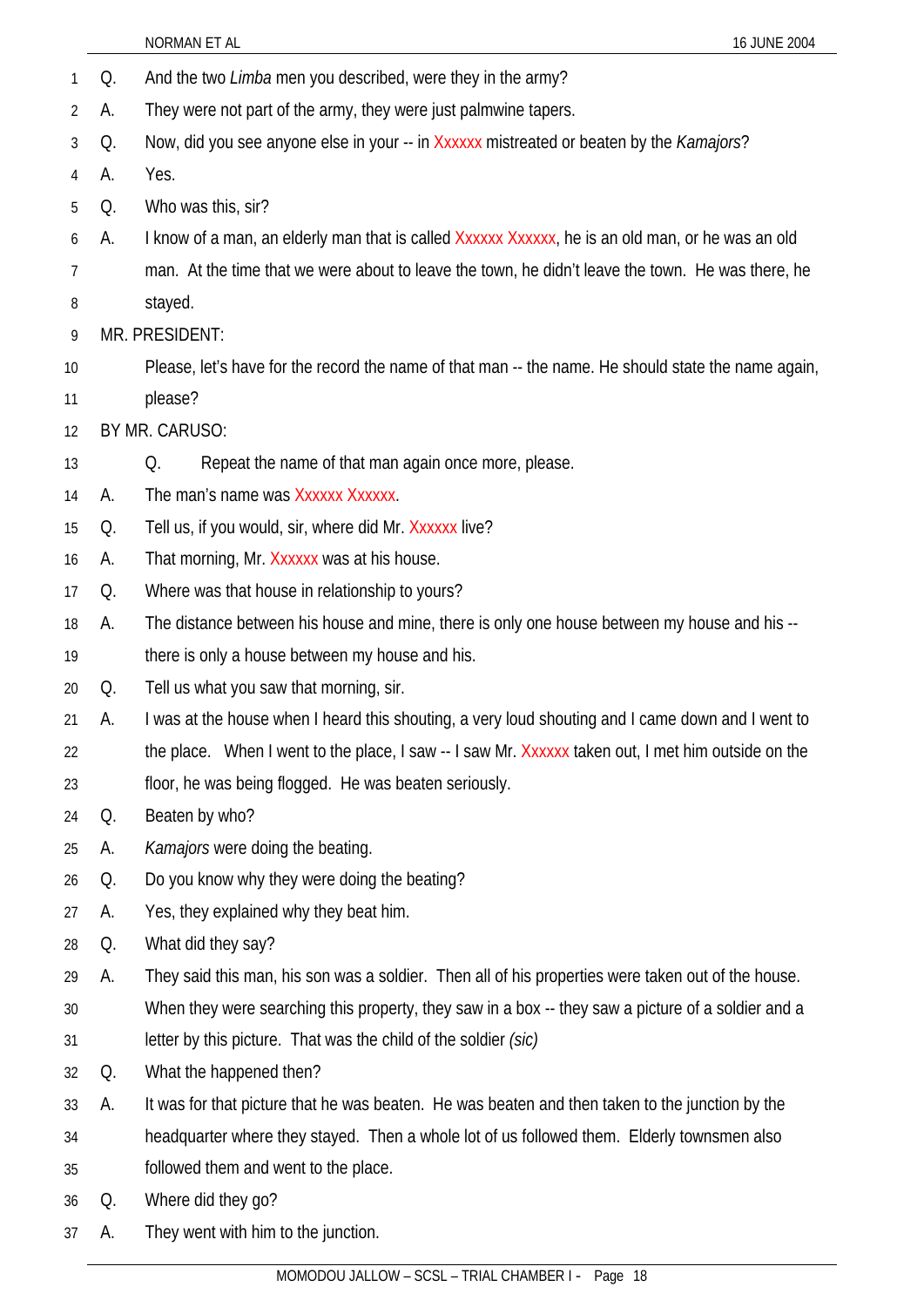| 1              | Q. | And the two <i>Limba</i> men you described, were they in the army?                                  |
|----------------|----|-----------------------------------------------------------------------------------------------------|
| $\overline{2}$ | А. | They were not part of the army, they were just palmwine tapers.                                     |
| 3              | Q. | Now, did you see anyone else in your -- in Xxxxxx mistreated or beaten by the Kamajors?             |
| 4              | А. | Yes.                                                                                                |
| 5              | Q. | Who was this, sir?                                                                                  |
| 6              | А. | I know of a man, an elderly man that is called Xxxxxx Xxxxxx, he is an old man, or he was an old    |
| 7              |    | man. At the time that we were about to leave the town, he didn't leave the town. He was there, he   |
| 8              |    | stayed.                                                                                             |
| 9              |    | MR. PRESIDENT:                                                                                      |
| 10             |    | Please, let's have for the record the name of that man -- the name. He should state the name again, |
| 11             |    | please?                                                                                             |
| 12             |    | BY MR. CARUSO:                                                                                      |
| 13             |    | Repeat the name of that man again once more, please.<br>Q.                                          |
| 14             | А. | The man's name was Xxxxxx Xxxxxx.                                                                   |
| 15             | Q. | Tell us, if you would, sir, where did Mr. Xxxxxx live?                                              |
| 16             | А. | That morning, Mr. Xxxxxx was at his house.                                                          |
| 17             | Q. | Where was that house in relationship to yours?                                                      |
| 18             | A. | The distance between his house and mine, there is only one house between my house and his --        |
| 19             |    | there is only a house between my house and his.                                                     |
| 20             | Q. | Tell us what you saw that morning, sir.                                                             |
| 21             | А. | I was at the house when I heard this shouting, a very loud shouting and I came down and I went to   |
| 22             |    | the place. When I went to the place, I saw -- I saw Mr. Xxxxxx taken out, I met him outside on the  |
| 23             |    | floor, he was being flogged. He was beaten seriously.                                               |
| 24             | Q. | Beaten by who?                                                                                      |
| 25             | А. | Kamajors were doing the beating.                                                                    |
| 26             | Q. | Do you know why they were doing the beating?                                                        |
| 27             | А. | Yes, they explained why they beat him.                                                              |
| 28             | Q. | What did they say?                                                                                  |
| 29             | А. | They said this man, his son was a soldier. Then all of his properties were taken out of the house.  |
| 30             |    | When they were searching this property, they saw in a box -- they saw a picture of a soldier and a  |
| 31             |    | letter by this picture. That was the child of the soldier (sic)                                     |
| 32             | Q. | What the happened then?                                                                             |
| 33             | А. | It was for that picture that he was beaten. He was beaten and then taken to the junction by the     |
| 34             |    | headquarter where they stayed. Then a whole lot of us followed them. Elderly townsmen also          |
| 35             |    | followed them and went to the place.                                                                |
| 36             | Q. | Where did they go?                                                                                  |
| 37             | A. | They went with him to the junction.                                                                 |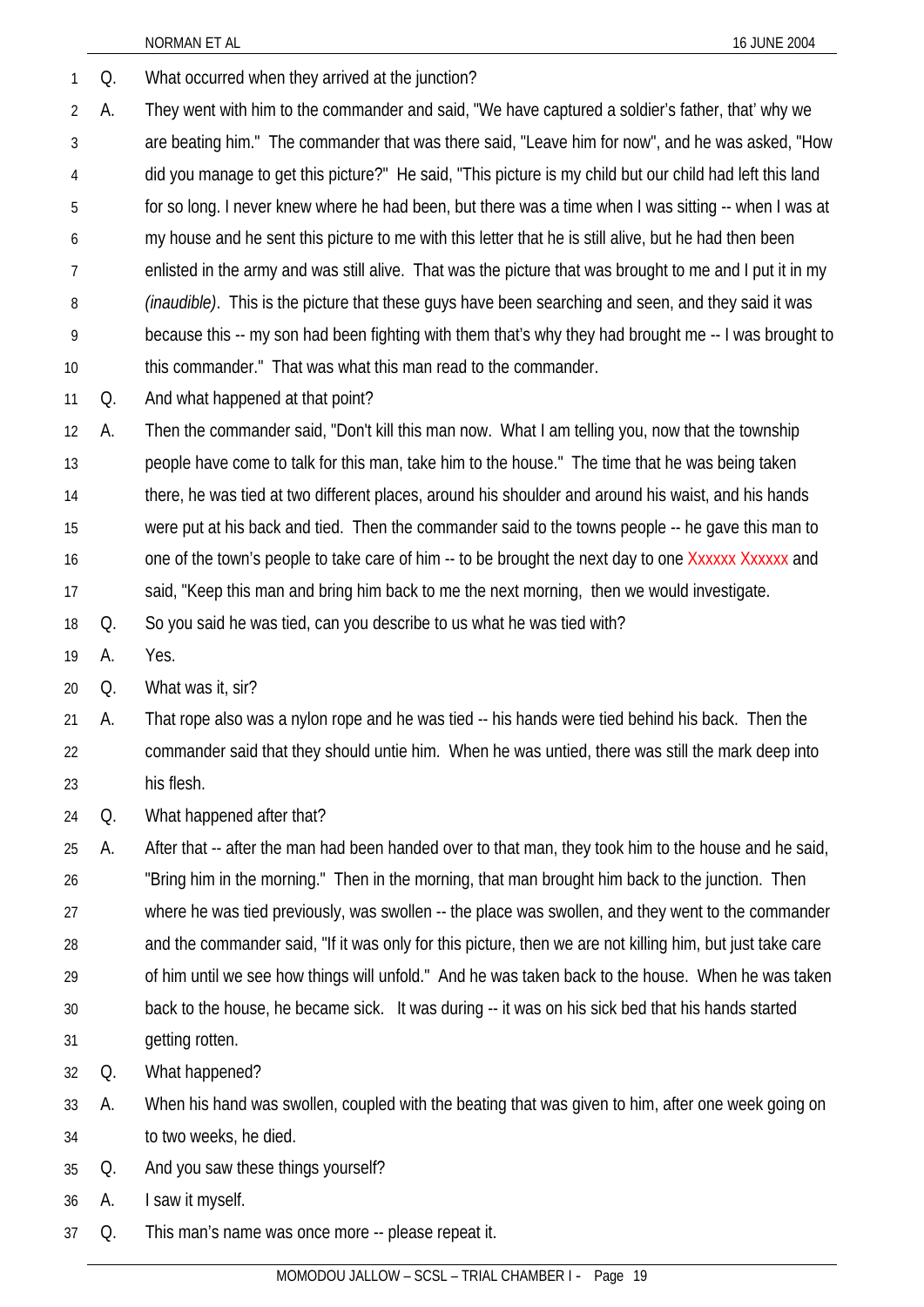1 Q. What occurred when they arrived at the junction?

2 3 4 5 6 7 8 9 10 A. They went with him to the commander and said, "We have captured a soldier's father, that' why we are beating him." The commander that was there said, "Leave him for now", and he was asked, "How did you manage to get this picture?" He said, "This picture is my child but our child had left this land for so long. I never knew where he had been, but there was a time when I was sitting -- when I was at my house and he sent this picture to me with this letter that he is still alive, but he had then been enlisted in the army and was still alive. That was the picture that was brought to me and I put it in my *(inaudible)*. This is the picture that these guys have been searching and seen, and they said it was because this -- my son had been fighting with them that's why they had brought me -- I was brought to this commander." That was what this man read to the commander.

11 Q. And what happened at that point?

12 13 14 15 16 17 A. Then the commander said, "Don't kill this man now. What I am telling you, now that the township people have come to talk for this man, take him to the house." The time that he was being taken there, he was tied at two different places, around his shoulder and around his waist, and his hands were put at his back and tied. Then the commander said to the towns people -- he gave this man to one of the town's people to take care of him -- to be brought the next day to one Xxxxxx Xxxxxx and said, "Keep this man and bring him back to me the next morning, then we would investigate.

18 Q. So you said he was tied, can you describe to us what he was tied with?

19 A. Yes.

20 Q. What was it, sir?

21 22 23 A. That rope also was a nylon rope and he was tied -- his hands were tied behind his back. Then the commander said that they should untie him. When he was untied, there was still the mark deep into his flesh.

24 Q. What happened after that?

25 26 27 28 29 30 31 A. After that -- after the man had been handed over to that man, they took him to the house and he said, "Bring him in the morning." Then in the morning, that man brought him back to the junction. Then where he was tied previously, was swollen -- the place was swollen, and they went to the commander and the commander said, "If it was only for this picture, then we are not killing him, but just take care of him until we see how things will unfold." And he was taken back to the house. When he was taken back to the house, he became sick. It was during -- it was on his sick bed that his hands started getting rotten.

32 Q. What happened?

33 34 A. When his hand was swollen, coupled with the beating that was given to him, after one week going on to two weeks, he died.

35 Q. And you saw these things yourself?

36 A. I saw it myself.

37 Q. This man's name was once more -- please repeat it.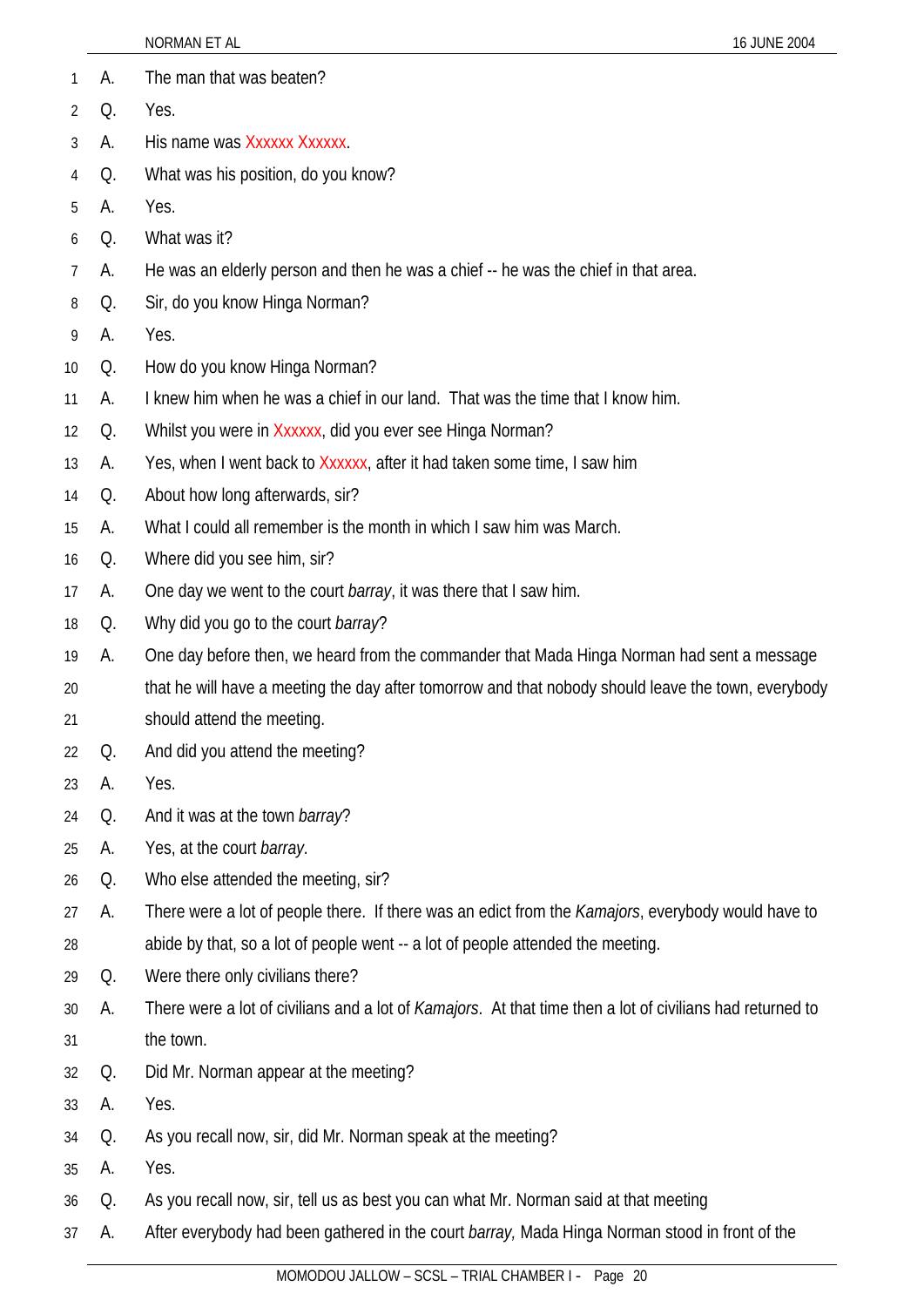|    |    | NORMAN ET AL                                                                                               | 16 JUNE 2004 |
|----|----|------------------------------------------------------------------------------------------------------------|--------------|
| 1  | А. | The man that was beaten?                                                                                   |              |
| 2  | Q. | Yes.                                                                                                       |              |
| 3  | А. | His name was Xxxxxx Xxxxxx.                                                                                |              |
| 4  | Q. | What was his position, do you know?                                                                        |              |
| 5  | А. | Yes.                                                                                                       |              |
| 6  | Q. | What was it?                                                                                               |              |
| 7  | А. | He was an elderly person and then he was a chief -- he was the chief in that area.                         |              |
| 8  | Q. | Sir, do you know Hinga Norman?                                                                             |              |
| 9  | А. | Yes.                                                                                                       |              |
| 10 | Q. | How do you know Hinga Norman?                                                                              |              |
| 11 | А. | I knew him when he was a chief in our land. That was the time that I know him.                             |              |
| 12 | Q. | Whilst you were in Xxxxxx, did you ever see Hinga Norman?                                                  |              |
| 13 | А. | Yes, when I went back to Xxxxxx, after it had taken some time, I saw him                                   |              |
| 14 | Q. | About how long afterwards, sir?                                                                            |              |
| 15 | А. | What I could all remember is the month in which I saw him was March.                                       |              |
| 16 | Q. | Where did you see him, sir?                                                                                |              |
| 17 | А. | One day we went to the court <i>barray</i> , it was there that I saw him.                                  |              |
| 18 | Q. | Why did you go to the court <i>barray</i> ?                                                                |              |
| 19 | А. | One day before then, we heard from the commander that Mada Hinga Norman had sent a message                 |              |
| 20 |    | that he will have a meeting the day after tomorrow and that nobody should leave the town, everybody        |              |
| 21 |    | should attend the meeting.                                                                                 |              |
| 22 | Q. | And did you attend the meeting?                                                                            |              |
| 23 | А. | Yes.                                                                                                       |              |
| 24 | Q. | And it was at the town barray?                                                                             |              |
| 25 | А. | Yes, at the court barray.                                                                                  |              |
| 26 | Q. | Who else attended the meeting, sir?                                                                        |              |
| 27 | А. | There were a lot of people there. If there was an edict from the <i>Kamajors</i> , everybody would have to |              |
| 28 |    | abide by that, so a lot of people went -- a lot of people attended the meeting.                            |              |
| 29 | Q. | Were there only civilians there?                                                                           |              |
| 30 | А. | There were a lot of civilians and a lot of Kamajors. At that time then a lot of civilians had returned to  |              |
| 31 |    | the town.                                                                                                  |              |
| 32 | Q. | Did Mr. Norman appear at the meeting?                                                                      |              |
| 33 | А. | Yes.                                                                                                       |              |
| 34 | Q. | As you recall now, sir, did Mr. Norman speak at the meeting?                                               |              |
| 35 | А. | Yes.                                                                                                       |              |
| 36 | Q. | As you recall now, sir, tell us as best you can what Mr. Norman said at that meeting                       |              |
| 37 | А. | After everybody had been gathered in the court barray, Mada Hinga Norman stood in front of the             |              |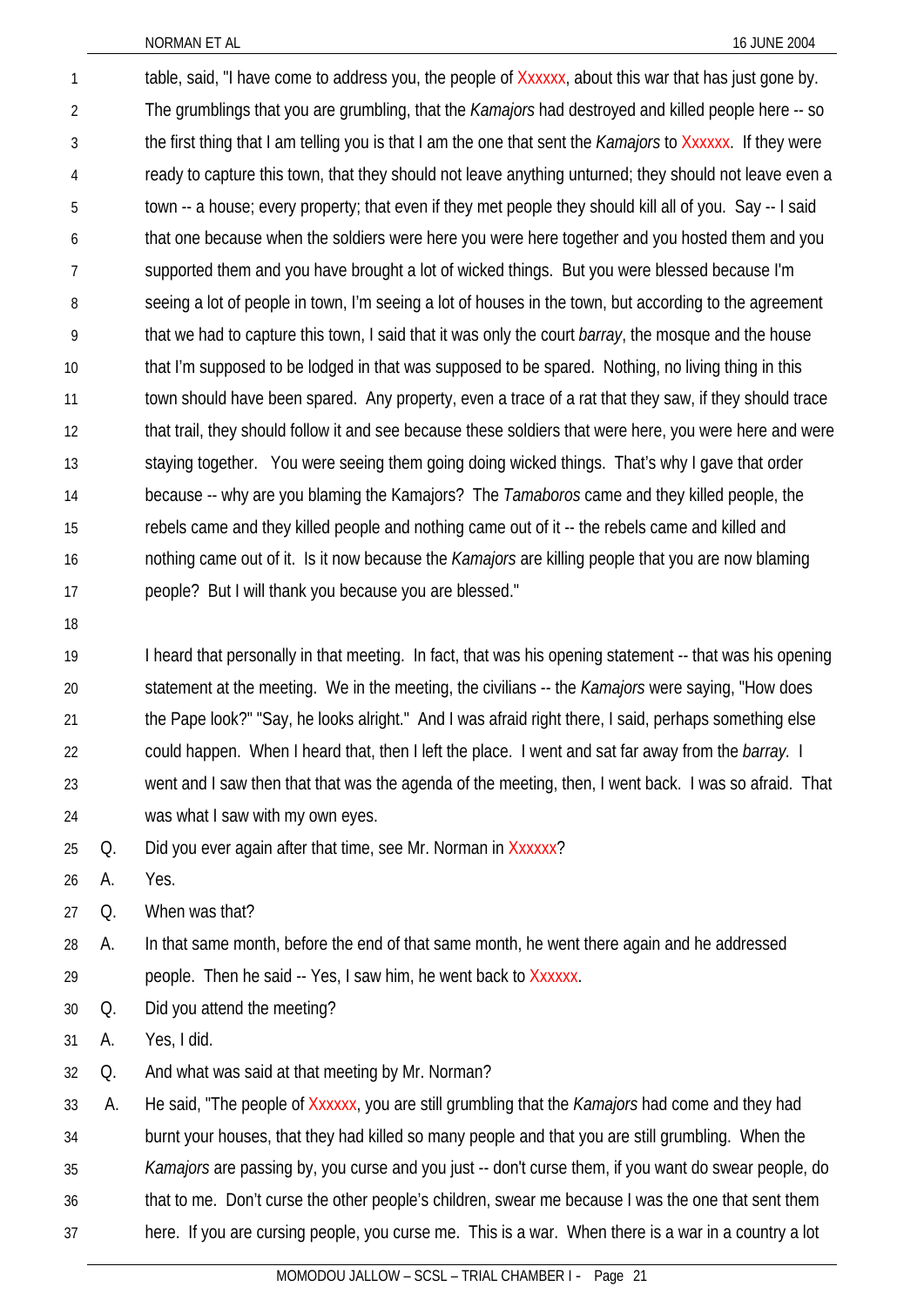table, said, "I have come to address you, the people of Xxxxxx, about this war that has just gone by. The grumblings that you are grumbling, that the *Kamajors* had destroyed and killed people here -- so the first thing that I am telling you is that I am the one that sent the *Kamajors* to Xxxxxx. If they were ready to capture this town, that they should not leave anything unturned; they should not leave even a town -- a house; every property; that even if they met people they should kill all of you. Say -- I said that one because when the soldiers were here you were here together and you hosted them and you supported them and you have brought a lot of wicked things. But you were blessed because I'm seeing a lot of people in town, I'm seeing a lot of houses in the town, but according to the agreement that we had to capture this town, I said that it was only the court *barray*, the mosque and the house that I'm supposed to be lodged in that was supposed to be spared. Nothing, no living thing in this town should have been spared. Any property, even a trace of a rat that they saw, if they should trace that trail, they should follow it and see because these soldiers that were here, you were here and were staying together. You were seeing them going doing wicked things. That's why I gave that order because -- why are you blaming the Kamajors? The *Tamaboros* came and they killed people, the rebels came and they killed people and nothing came out of it -- the rebels came and killed and nothing came out of it. Is it now because the *Kamajors* are killing people that you are now blaming people? But I will thank you because you are blessed." 1 2 3 4 5 6 7 8 9 10 11 12 13 14 15 16 17

18

I heard that personally in that meeting. In fact, that was his opening statement -- that was his opening statement at the meeting. We in the meeting, the civilians -- the *Kamajors* were saying, "How does the Pape look?" "Say, he looks alright." And I was afraid right there, I said, perhaps something else could happen. When I heard that, then I left the place. I went and sat far away from the *barray.* I went and I saw then that that was the agenda of the meeting, then, I went back. I was so afraid. That was what I saw with my own eyes. 19 20 21 22 23 24

25 Q. Did you ever again after that time, see Mr. Norman in Xxxxxx?

26 A. Yes.

27 Q. When was that?

28 A. In that same month, before the end of that same month, he went there again and he addressed

- 29 people. Then he said -- Yes, I saw him, he went back to Xxxxxx.
- 30 Q. Did you attend the meeting?
- 31 A. Yes, I did.
- 32 Q. And what was said at that meeting by Mr. Norman?

33 A. He said, "The people of Xxxxxx, you are still grumbling that the *Kamajors* had come and they had

34 burnt your houses, that they had killed so many people and that you are still grumbling. When the

35 *Kamajors* are passing by, you curse and you just -- don't curse them, if you want do swear people, do

- 36 that to me. Don't curse the other people's children, swear me because I was the one that sent them
- 37 here. If you are cursing people, you curse me. This is a war. When there is a war in a country a lot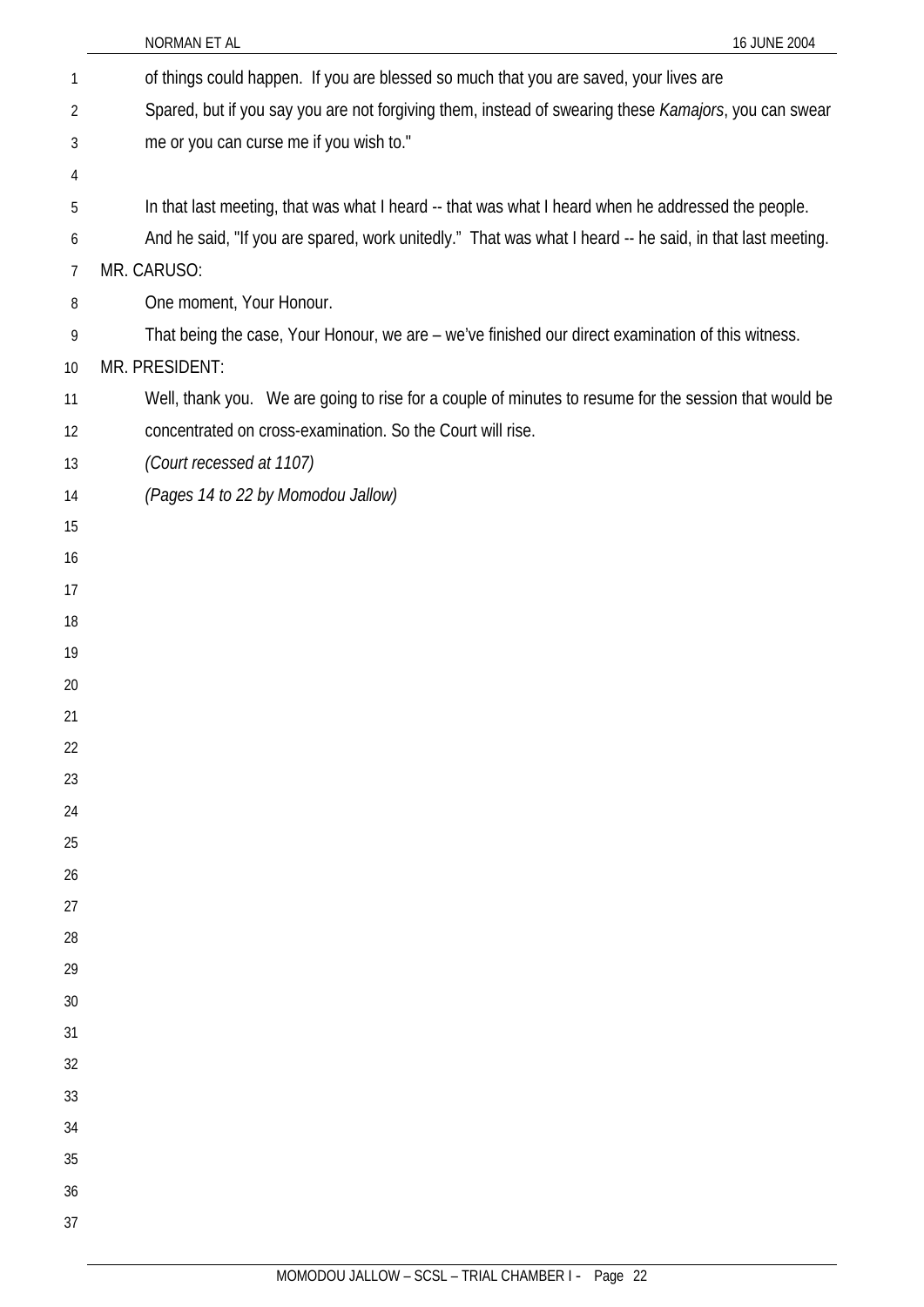|                | NORMAN ET AL<br>16 JUNE 2004                                                                             |
|----------------|----------------------------------------------------------------------------------------------------------|
| $\mathbf{1}$   | of things could happen. If you are blessed so much that you are saved, your lives are                    |
| $\overline{2}$ | Spared, but if you say you are not forgiving them, instead of swearing these Kamajors, you can swear     |
| 3              | me or you can curse me if you wish to."                                                                  |
| 4              |                                                                                                          |
| 5              | In that last meeting, that was what I heard -- that was what I heard when he addressed the people.       |
| 6              | And he said, "If you are spared, work unitedly." That was what I heard -- he said, in that last meeting. |
| $\overline{7}$ | MR. CARUSO:                                                                                              |
| 8              | One moment, Your Honour.                                                                                 |
| 9              | That being the case, Your Honour, we are - we've finished our direct examination of this witness.        |
| 10             | MR. PRESIDENT:                                                                                           |
| 11             | Well, thank you. We are going to rise for a couple of minutes to resume for the session that would be    |
| 12             | concentrated on cross-examination. So the Court will rise.                                               |
| 13             | (Court recessed at 1107)                                                                                 |
| 14             | (Pages 14 to 22 by Momodou Jallow)                                                                       |
| 15             |                                                                                                          |
| 16             |                                                                                                          |
| 17             |                                                                                                          |
| 18             |                                                                                                          |
| 19             |                                                                                                          |
| 20             |                                                                                                          |
| 21             |                                                                                                          |
| 22             |                                                                                                          |
| 23             |                                                                                                          |
| 24             |                                                                                                          |
| 25             |                                                                                                          |
| 26             |                                                                                                          |
| 27<br>28       |                                                                                                          |
| 29             |                                                                                                          |
| 30             |                                                                                                          |
| 31             |                                                                                                          |
| 32             |                                                                                                          |
| 33             |                                                                                                          |
| 34             |                                                                                                          |
| 35             |                                                                                                          |
| 36             |                                                                                                          |
| 37             |                                                                                                          |
|                |                                                                                                          |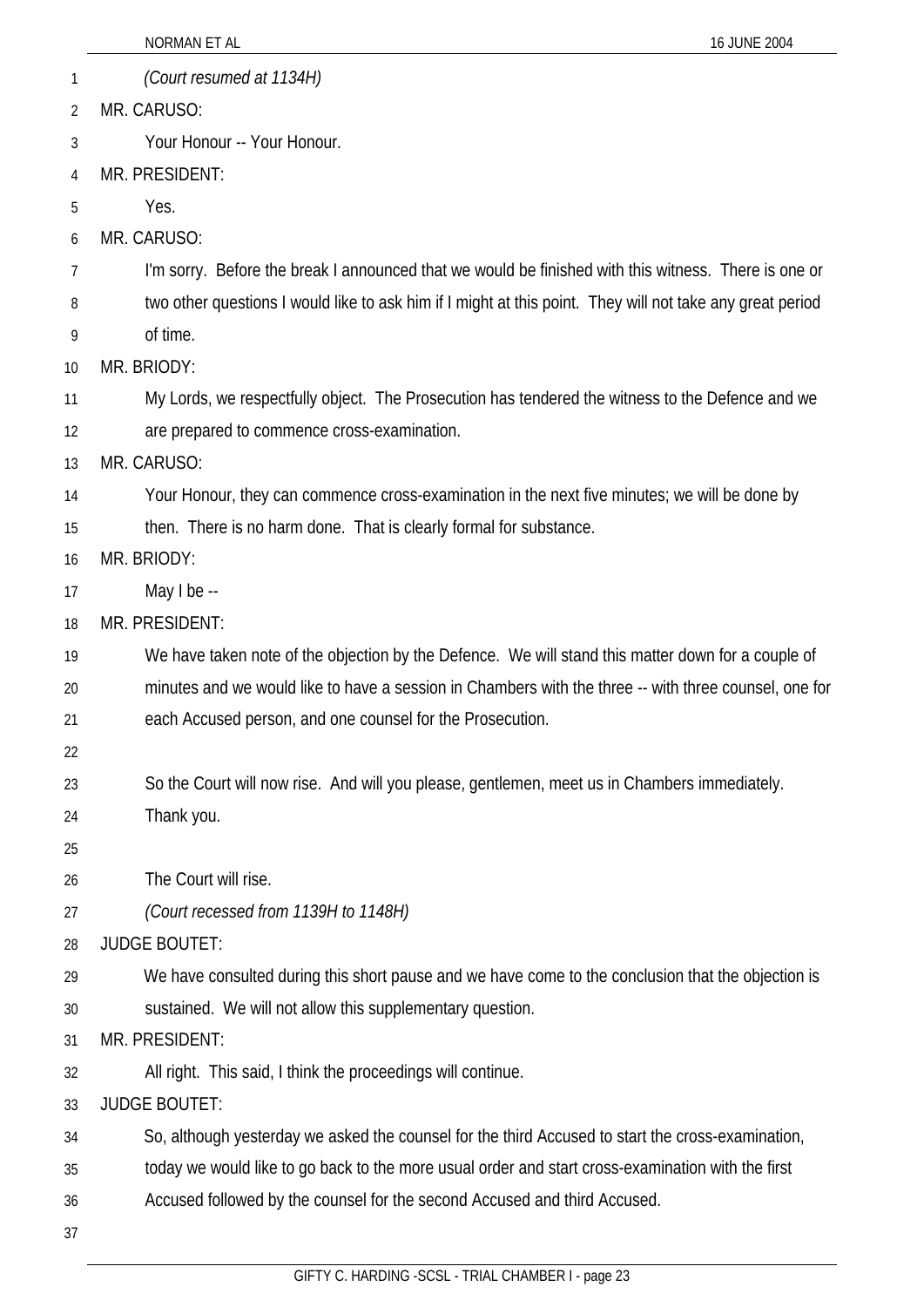|    | NORMAN ET AL<br>16 JUNE 2004                                                                              |
|----|-----------------------------------------------------------------------------------------------------------|
| 1  | (Court resumed at 1134H)                                                                                  |
| 2  | MR. CARUSO:                                                                                               |
| 3  | Your Honour -- Your Honour.                                                                               |
| 4  | MR. PRESIDENT:                                                                                            |
| 5  | Yes.                                                                                                      |
| 6  | MR. CARUSO:                                                                                               |
| 7  | I'm sorry. Before the break I announced that we would be finished with this witness. There is one or      |
| 8  | two other questions I would like to ask him if I might at this point. They will not take any great period |
| 9  | of time.                                                                                                  |
| 10 | MR. BRIODY:                                                                                               |
| 11 | My Lords, we respectfully object. The Prosecution has tendered the witness to the Defence and we          |
| 12 | are prepared to commence cross-examination.                                                               |
| 13 | MR. CARUSO:                                                                                               |
| 14 | Your Honour, they can commence cross-examination in the next five minutes; we will be done by             |
| 15 | then. There is no harm done. That is clearly formal for substance.                                        |
| 16 | MR. BRIODY:                                                                                               |
| 17 | May I be --                                                                                               |
| 18 | MR. PRESIDENT:                                                                                            |
| 19 | We have taken note of the objection by the Defence. We will stand this matter down for a couple of        |
| 20 | minutes and we would like to have a session in Chambers with the three -- with three counsel, one for     |
| 21 | each Accused person, and one counsel for the Prosecution.                                                 |
| 22 |                                                                                                           |
| 23 | So the Court will now rise. And will you please, gentlemen, meet us in Chambers immediately.              |
| 24 | Thank you.                                                                                                |
| 25 |                                                                                                           |
| 26 | The Court will rise.                                                                                      |
| 27 | (Court recessed from 1139H to 1148H)                                                                      |
| 28 | <b>JUDGE BOUTET:</b>                                                                                      |
| 29 | We have consulted during this short pause and we have come to the conclusion that the objection is        |
| 30 | sustained. We will not allow this supplementary question.                                                 |
| 31 | MR. PRESIDENT:                                                                                            |
| 32 | All right. This said, I think the proceedings will continue.                                              |
| 33 | <b>JUDGE BOUTET:</b>                                                                                      |
| 34 | So, although yesterday we asked the counsel for the third Accused to start the cross-examination,         |
| 35 | today we would like to go back to the more usual order and start cross-examination with the first         |
| 36 | Accused followed by the counsel for the second Accused and third Accused.                                 |
| 37 |                                                                                                           |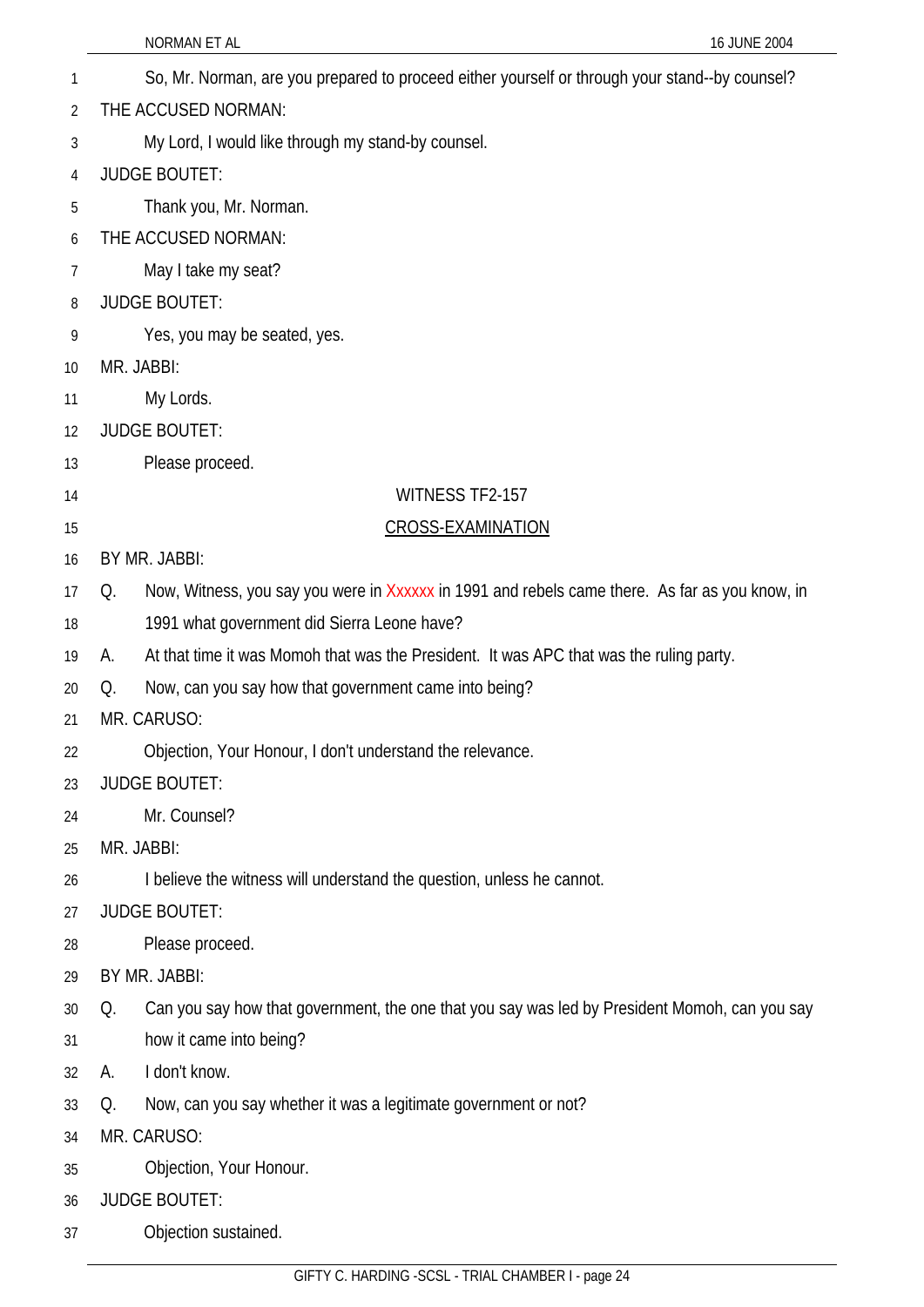|    | NORMAN ET AL<br>16 JUNE 2004                                                                         |
|----|------------------------------------------------------------------------------------------------------|
| 1  | So, Mr. Norman, are you prepared to proceed either yourself or through your stand--by counsel?       |
| 2  | THE ACCUSED NORMAN:                                                                                  |
| 3  | My Lord, I would like through my stand-by counsel.                                                   |
| 4  | <b>JUDGE BOUTET:</b>                                                                                 |
| 5  | Thank you, Mr. Norman.                                                                               |
| 6  | THE ACCUSED NORMAN:                                                                                  |
| 7  | May I take my seat?                                                                                  |
| 8  | <b>JUDGE BOUTET:</b>                                                                                 |
| 9  | Yes, you may be seated, yes.                                                                         |
| 10 | MR. JABBI:                                                                                           |
| 11 | My Lords.                                                                                            |
| 12 | <b>JUDGE BOUTET:</b>                                                                                 |
| 13 | Please proceed.                                                                                      |
| 14 | WITNESS TF2-157                                                                                      |
| 15 | <b>CROSS-EXAMINATION</b>                                                                             |
| 16 | BY MR. JABBI:                                                                                        |
| 17 | Now, Witness, you say you were in Xxxxxx in 1991 and rebels came there. As far as you know, in<br>Q. |
| 18 | 1991 what government did Sierra Leone have?                                                          |
| 19 | At that time it was Momoh that was the President. It was APC that was the ruling party.<br>А.        |
| 20 | Now, can you say how that government came into being?<br>Q.                                          |
| 21 | MR. CARUSO:                                                                                          |
| 22 | Objection, Your Honour, I don't understand the relevance.                                            |
| 23 | <b>JUDGE BOUTET:</b>                                                                                 |
| 24 | Mr. Counsel?                                                                                         |
| 25 | MR. JABBI:                                                                                           |
| 26 | I believe the witness will understand the question, unless he cannot.                                |
| 27 | <b>JUDGE BOUTET:</b>                                                                                 |
| 28 | Please proceed.                                                                                      |
| 29 | BY MR. JABBI:                                                                                        |
| 30 | Can you say how that government, the one that you say was led by President Momoh, can you say<br>Q.  |
| 31 | how it came into being?                                                                              |
| 32 | I don't know.<br>А.                                                                                  |
| 33 | Now, can you say whether it was a legitimate government or not?<br>Q.                                |
| 34 | MR. CARUSO:                                                                                          |
| 35 | Objection, Your Honour.                                                                              |
| 36 | <b>JUDGE BOUTET:</b>                                                                                 |
| 37 | Objection sustained.                                                                                 |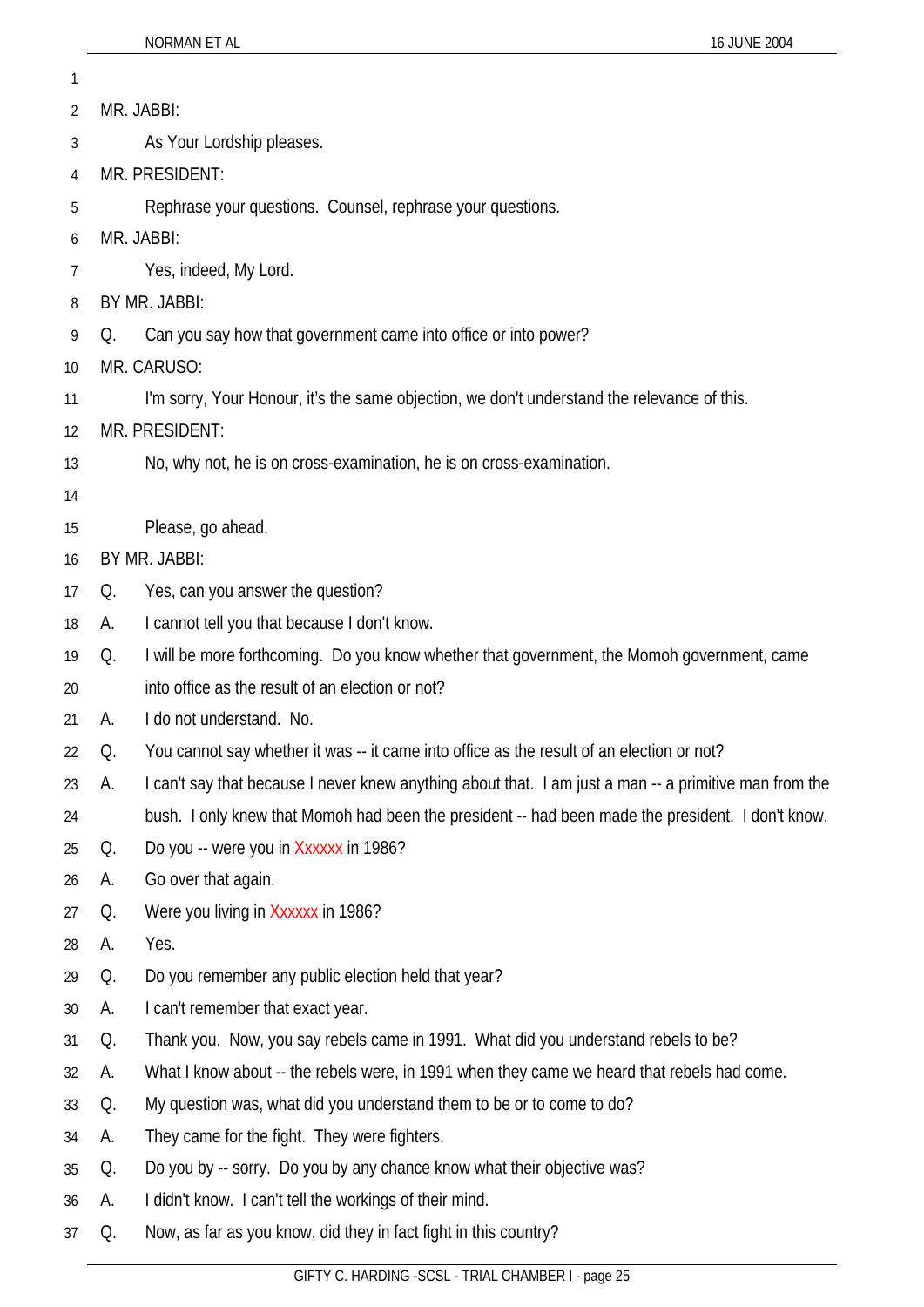| 1  |            |                                                                                                        |  |
|----|------------|--------------------------------------------------------------------------------------------------------|--|
| 2  | MR. JABBI: |                                                                                                        |  |
| 3  |            | As Your Lordship pleases.                                                                              |  |
| 4  |            | MR. PRESIDENT:                                                                                         |  |
| 5  |            | Rephrase your questions. Counsel, rephrase your questions.                                             |  |
| 6  |            | MR. JABBI:                                                                                             |  |
| 7  |            | Yes, indeed, My Lord.                                                                                  |  |
| 8  |            | BY MR. JABBI:                                                                                          |  |
| 9  | Q.         | Can you say how that government came into office or into power?                                        |  |
| 10 |            | MR. CARUSO:                                                                                            |  |
| 11 |            | I'm sorry, Your Honour, it's the same objection, we don't understand the relevance of this.            |  |
| 12 |            | MR. PRESIDENT:                                                                                         |  |
| 13 |            | No, why not, he is on cross-examination, he is on cross-examination.                                   |  |
| 14 |            |                                                                                                        |  |
| 15 |            | Please, go ahead.                                                                                      |  |
| 16 |            | BY MR. JABBI:                                                                                          |  |
| 17 | Q.         | Yes, can you answer the question?                                                                      |  |
| 18 | А.         | I cannot tell you that because I don't know.                                                           |  |
| 19 | Q.         | I will be more forthcoming. Do you know whether that government, the Momoh government, came            |  |
| 20 |            | into office as the result of an election or not?                                                       |  |
| 21 | А.         | I do not understand. No.                                                                               |  |
| 22 | Q.         | You cannot say whether it was -- it came into office as the result of an election or not?              |  |
| 23 | А.         | I can't say that because I never knew anything about that. I am just a man -- a primitive man from the |  |
| 24 |            | bush. I only knew that Momoh had been the president -- had been made the president. I don't know.      |  |
| 25 | Q.         | Do you -- were you in Xxxxxx in 1986?                                                                  |  |
| 26 | А.         | Go over that again.                                                                                    |  |
| 27 | Q.         | Were you living in Xxxxxx in 1986?                                                                     |  |
| 28 | А.         | Yes.                                                                                                   |  |
| 29 | Q.         | Do you remember any public election held that year?                                                    |  |
| 30 | А.         | I can't remember that exact year.                                                                      |  |
| 31 | Q.         | Thank you. Now, you say rebels came in 1991. What did you understand rebels to be?                     |  |
| 32 | А.         | What I know about -- the rebels were, in 1991 when they came we heard that rebels had come.            |  |
| 33 | Q.         | My question was, what did you understand them to be or to come to do?                                  |  |
| 34 | А.         | They came for the fight. They were fighters.                                                           |  |
| 35 | Q.         | Do you by -- sorry. Do you by any chance know what their objective was?                                |  |
| 36 | A.         | I didn't know. I can't tell the workings of their mind.                                                |  |
| 37 | Q.         | Now, as far as you know, did they in fact fight in this country?                                       |  |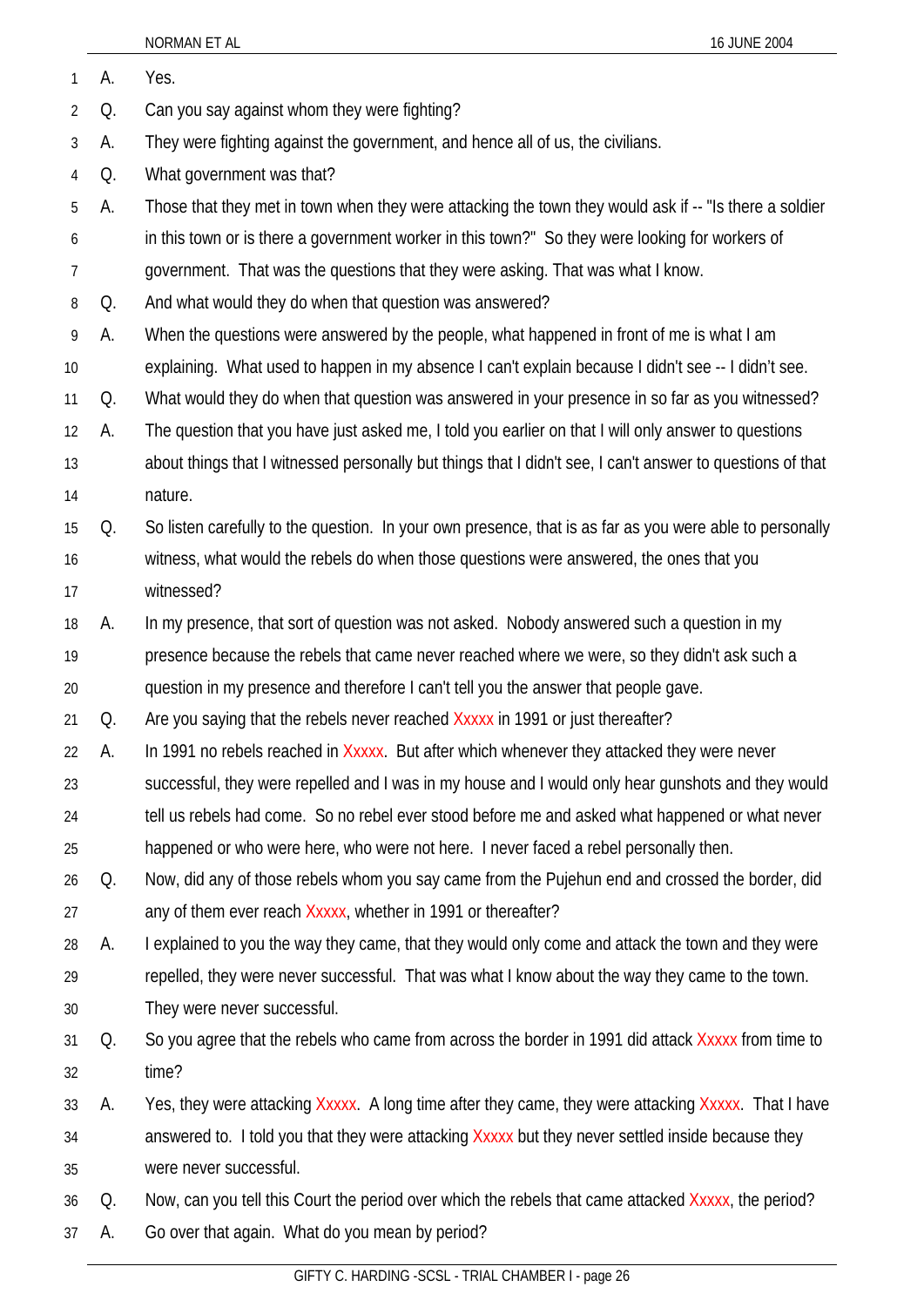| 1              | А.           | Yes.                                                                                                       |
|----------------|--------------|------------------------------------------------------------------------------------------------------------|
| $\overline{2}$ | Q.           | Can you say against whom they were fighting?                                                               |
| 3              | А.           | They were fighting against the government, and hence all of us, the civilians.                             |
| $\overline{4}$ | Q.           | What government was that?                                                                                  |
| 5              | А.           | Those that they met in town when they were attacking the town they would ask if -- "Is there a soldier     |
| 6              |              | in this town or is there a government worker in this town?" So they were looking for workers of            |
| $\overline{7}$ |              | government. That was the questions that they were asking. That was what I know.                            |
| 8              | Q.           | And what would they do when that question was answered?                                                    |
| 9              | А.           | When the questions were answered by the people, what happened in front of me is what I am                  |
| 10             |              | explaining. What used to happen in my absence I can't explain because I didn't see -- I didn't see.        |
| 11             | Q.           | What would they do when that question was answered in your presence in so far as you witnessed?            |
| 12             | А.           | The question that you have just asked me, I told you earlier on that I will only answer to questions       |
| 13             |              | about things that I witnessed personally but things that I didn't see, I can't answer to questions of that |
| 14             |              | nature.                                                                                                    |
| 15             | Q.           | So listen carefully to the question. In your own presence, that is as far as you were able to personally   |
| 16             |              | witness, what would the rebels do when those questions were answered, the ones that you                    |
| 17             |              | witnessed?                                                                                                 |
| 18             | А.           | In my presence, that sort of question was not asked. Nobody answered such a question in my                 |
| 19             |              | presence because the rebels that came never reached where we were, so they didn't ask such a               |
| 20             |              | question in my presence and therefore I can't tell you the answer that people gave.                        |
| 21             | Q.           | Are you saying that the rebels never reached Xxxxx in 1991 or just thereafter?                             |
| 22             | $\mathsf{A}$ | In 1991 no rebels reached in Xxxxx. But after which whenever they attacked they were never                 |
| 23             |              | successful, they were repelled and I was in my house and I would only hear gunshots and they would         |
| 24             |              | tell us rebels had come. So no rebel ever stood before me and asked what happened or what never            |
| 25             |              | happened or who were here, who were not here. I never faced a rebel personally then.                       |
| 26             | Q.           | Now, did any of those rebels whom you say came from the Pujehun end and crossed the border, did            |
| 27             |              | any of them ever reach Xxxxx, whether in 1991 or thereafter?                                               |
| 28             | А.           | I explained to you the way they came, that they would only come and attack the town and they were          |
| 29             |              | repelled, they were never successful. That was what I know about the way they came to the town.            |
| 30             |              | They were never successful.                                                                                |
| 31             | Q.           | So you agree that the rebels who came from across the border in 1991 did attack Xxxxx from time to         |
| 32             |              | time?                                                                                                      |
| 33             | А.           | Yes, they were attacking Xxxxx. A long time after they came, they were attacking Xxxxx. That I have        |
| 34             |              | answered to. I told you that they were attacking Xxxxx but they never settled inside because they          |
| 35             |              | were never successful.                                                                                     |
| 36             | Q.           | Now, can you tell this Court the period over which the rebels that came attacked Xxxxx, the period?        |
| 37             | A.           | Go over that again. What do you mean by period?                                                            |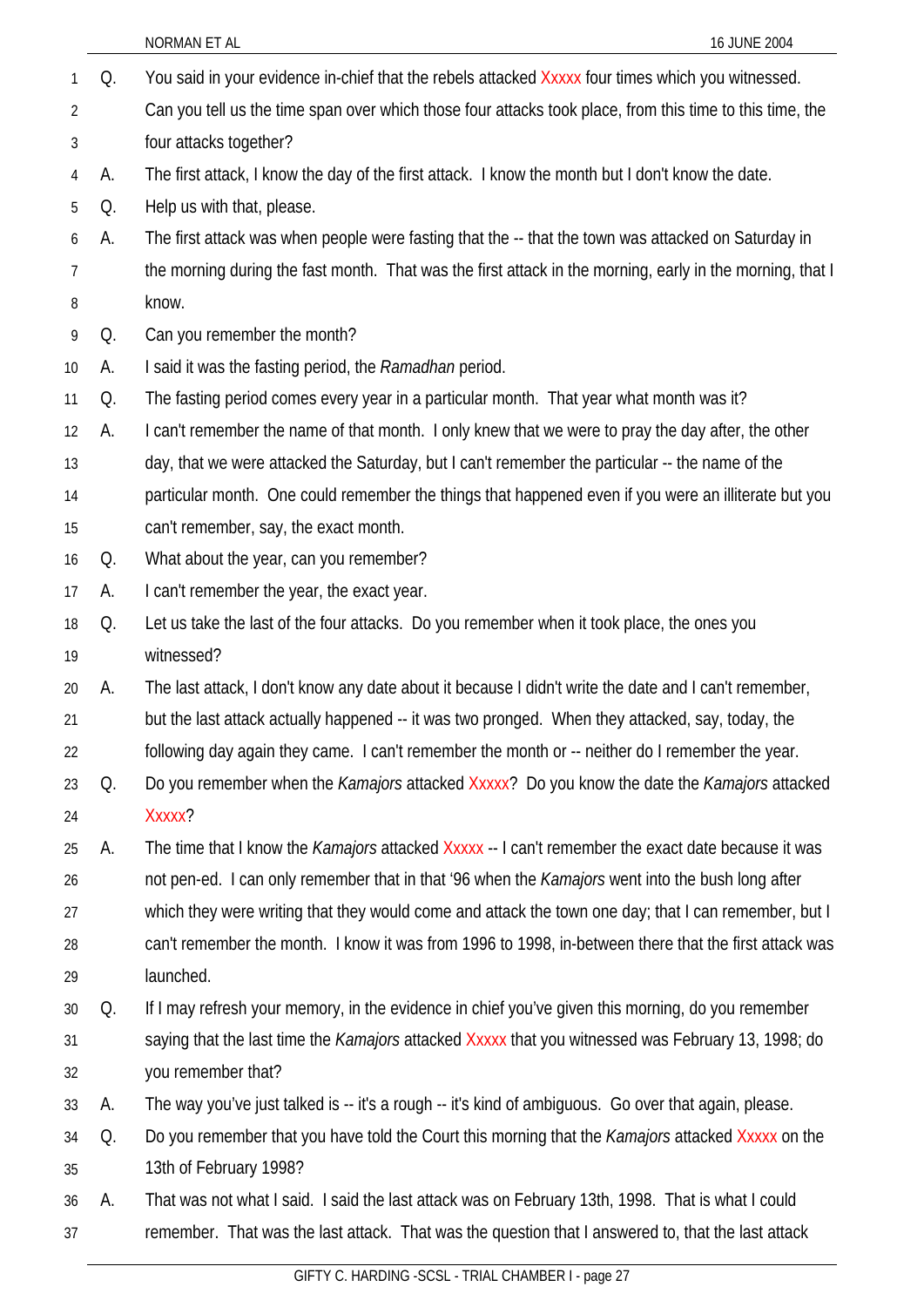|                |    | NORMAN ET AL<br>16 JUNE 2004                                                                              |
|----------------|----|-----------------------------------------------------------------------------------------------------------|
| 1              | Q. | You said in your evidence in-chief that the rebels attacked Xxxxx four times which you witnessed.         |
| $\overline{2}$ |    | Can you tell us the time span over which those four attacks took place, from this time to this time, the  |
| 3              |    | four attacks together?                                                                                    |
| 4              | А. | The first attack, I know the day of the first attack. I know the month but I don't know the date.         |
| 5              | Q. | Help us with that, please.                                                                                |
| 6              | А. | The first attack was when people were fasting that the -- that the town was attacked on Saturday in       |
| 7              |    | the morning during the fast month. That was the first attack in the morning, early in the morning, that I |
| 8              |    | know.                                                                                                     |
| 9              | Q. | Can you remember the month?                                                                               |
| 10             | A. | I said it was the fasting period, the Ramadhan period.                                                    |
| 11             | Q. | The fasting period comes every year in a particular month. That year what month was it?                   |
| 12             | А. | I can't remember the name of that month. I only knew that we were to pray the day after, the other        |
| 13             |    | day, that we were attacked the Saturday, but I can't remember the particular -- the name of the           |
| 14             |    | particular month. One could remember the things that happened even if you were an illiterate but you      |
| 15             |    | can't remember, say, the exact month.                                                                     |
| 16             | Q. | What about the year, can you remember?                                                                    |
| 17             | А. | I can't remember the year, the exact year.                                                                |
| 18             | Q. | Let us take the last of the four attacks. Do you remember when it took place, the ones you                |
| 19             |    | witnessed?                                                                                                |
| 20             | А. | The last attack, I don't know any date about it because I didn't write the date and I can't remember,     |
| 21             |    | but the last attack actually happened -- it was two pronged. When they attacked, say, today, the          |
| 22             |    | following day again they came. I can't remember the month or -- neither do I remember the year.           |
| 23             | Q. | Do you remember when the Kamajors attacked Xxxxx? Do you know the date the Kamajors attacked              |
| 24             |    | Xxxxx?                                                                                                    |
| 25             | А. | The time that I know the <i>Kamajors</i> attacked Xxxxx -- I can't remember the exact date because it was |
| 26             |    | not pen-ed. I can only remember that in that '96 when the Kamajors went into the bush long after          |
| 27             |    | which they were writing that they would come and attack the town one day; that I can remember, but I      |
| 28             |    | can't remember the month. I know it was from 1996 to 1998, in-between there that the first attack was     |
| 29             |    | launched.                                                                                                 |
| 30             | Q. | If I may refresh your memory, in the evidence in chief you've given this morning, do you remember         |
| 31             |    | saying that the last time the Kamajors attacked Xxxxx that you witnessed was February 13, 1998; do        |
| 32             |    | you remember that?                                                                                        |
| 33             | А. | The way you've just talked is -- it's a rough -- it's kind of ambiguous. Go over that again, please.      |
| 34             | Q. | Do you remember that you have told the Court this morning that the <i>Kamajors</i> attacked Xxxxx on the  |
| 35             |    | 13th of February 1998?                                                                                    |
| 36             | А. | That was not what I said. I said the last attack was on February 13th, 1998. That is what I could         |
| 37             |    | remember. That was the last attack. That was the question that I answered to, that the last attack        |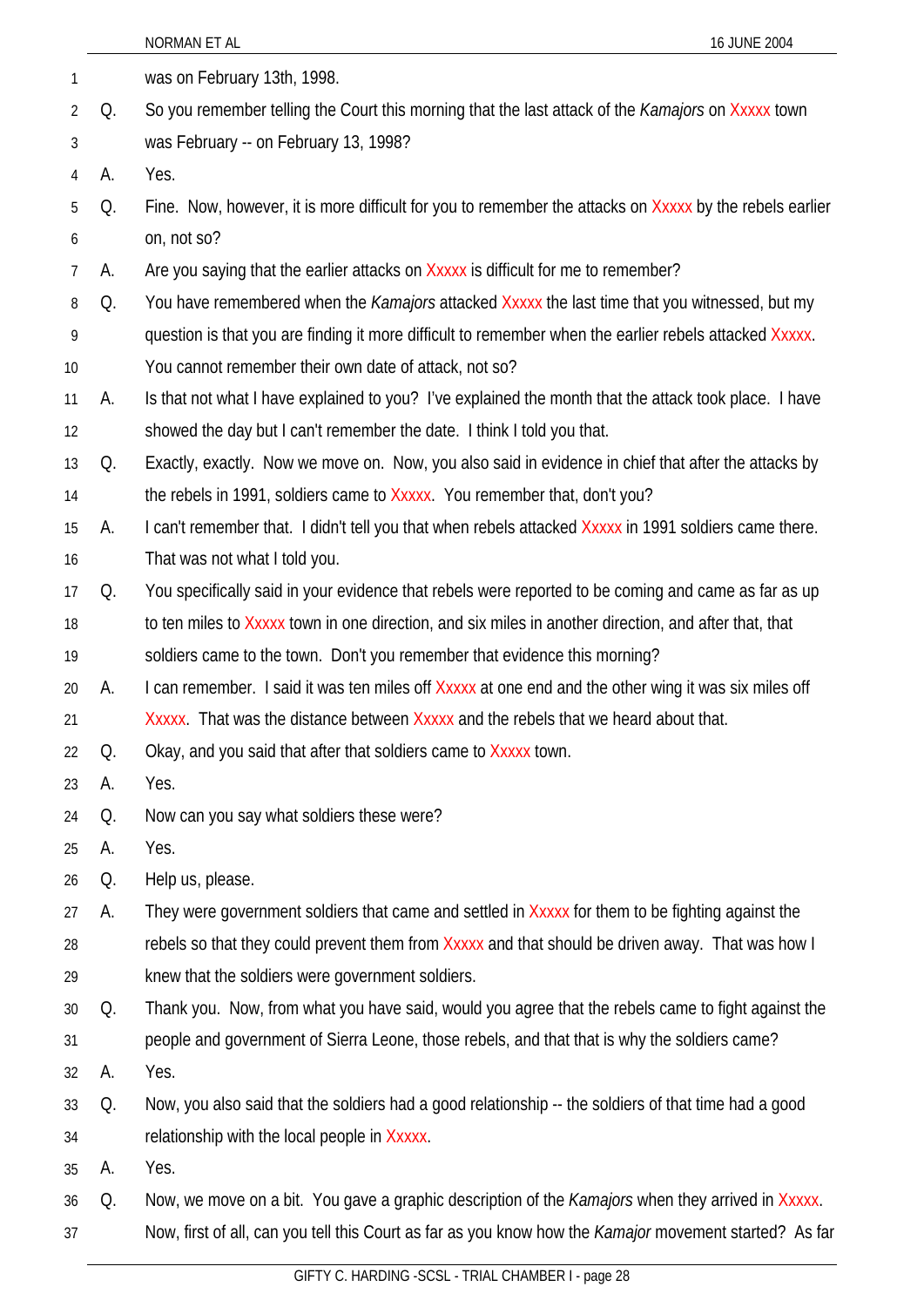|                |    | NORMAN ET AL<br>16 JUNE 2004                                                                             |
|----------------|----|----------------------------------------------------------------------------------------------------------|
| $\mathbf{1}$   |    | was on February 13th, 1998.                                                                              |
| $\overline{2}$ | Q. | So you remember telling the Court this morning that the last attack of the <i>Kamajors</i> on Xxxxx town |
| 3              |    | was February -- on February 13, 1998?                                                                    |
| 4              | А. | Yes.                                                                                                     |
| 5              | Q. | Fine. Now, however, it is more difficult for you to remember the attacks on Xxxxx by the rebels earlier  |
| 6              |    | on, not so?                                                                                              |
| $\overline{7}$ | А. | Are you saying that the earlier attacks on Xxxxx is difficult for me to remember?                        |
| 8              | Q. | You have remembered when the <i>Kamajors</i> attacked Xxxxx the last time that you witnessed, but my     |
| 9              |    | question is that you are finding it more difficult to remember when the earlier rebels attacked Xxxxx.   |
| 10             |    | You cannot remember their own date of attack, not so?                                                    |
| 11             | А. | Is that not what I have explained to you? I've explained the month that the attack took place. I have    |
| 12             |    | showed the day but I can't remember the date. I think I told you that.                                   |
| 13             | Q. | Exactly, exactly. Now we move on. Now, you also said in evidence in chief that after the attacks by      |
| 14             |    | the rebels in 1991, soldiers came to Xxxxx. You remember that, don't you?                                |
| 15             | А. | I can't remember that. I didn't tell you that when rebels attacked Xxxxx in 1991 soldiers came there.    |
| 16             |    | That was not what I told you.                                                                            |
| 17             | Q. | You specifically said in your evidence that rebels were reported to be coming and came as far as up      |
| 18             |    | to ten miles to Xxxxx town in one direction, and six miles in another direction, and after that, that    |
| 19             |    | soldiers came to the town. Don't you remember that evidence this morning?                                |
| 20             | А. | I can remember. I said it was ten miles off Xxxxx at one end and the other wing it was six miles off     |
| 21             |    | Xxxxx. That was the distance between Xxxxx and the rebels that we heard about that.                      |
| 22             | Q. | Okay, and you said that after that soldiers came to Xxxxx town.                                          |
| 23             | А. | Yes.                                                                                                     |
| 24             | Q. | Now can you say what soldiers these were?                                                                |
| 25             | А. | Yes.                                                                                                     |
| 26             | Q. | Help us, please.                                                                                         |
| 27             | А. | They were government soldiers that came and settled in Xxxxx for them to be fighting against the         |
| 28             |    | rebels so that they could prevent them from Xxxxx and that should be driven away. That was how I         |
| 29             |    | knew that the soldiers were government soldiers.                                                         |
| $30\,$         | Q. | Thank you. Now, from what you have said, would you agree that the rebels came to fight against the       |
| 31             |    | people and government of Sierra Leone, those rebels, and that that is why the soldiers came?             |
| 32             | А. | Yes.                                                                                                     |
| 33             | Q. | Now, you also said that the soldiers had a good relationship -- the soldiers of that time had a good     |
| 34             |    | relationship with the local people in Xxxxx.                                                             |
| 35             | А. | Yes.                                                                                                     |
| 36             | Q. | Now, we move on a bit. You gave a graphic description of the Kamajors when they arrived in Xxxxx.        |
| 37             |    | Now, first of all, can you tell this Court as far as you know how the Kamajor movement started? As far   |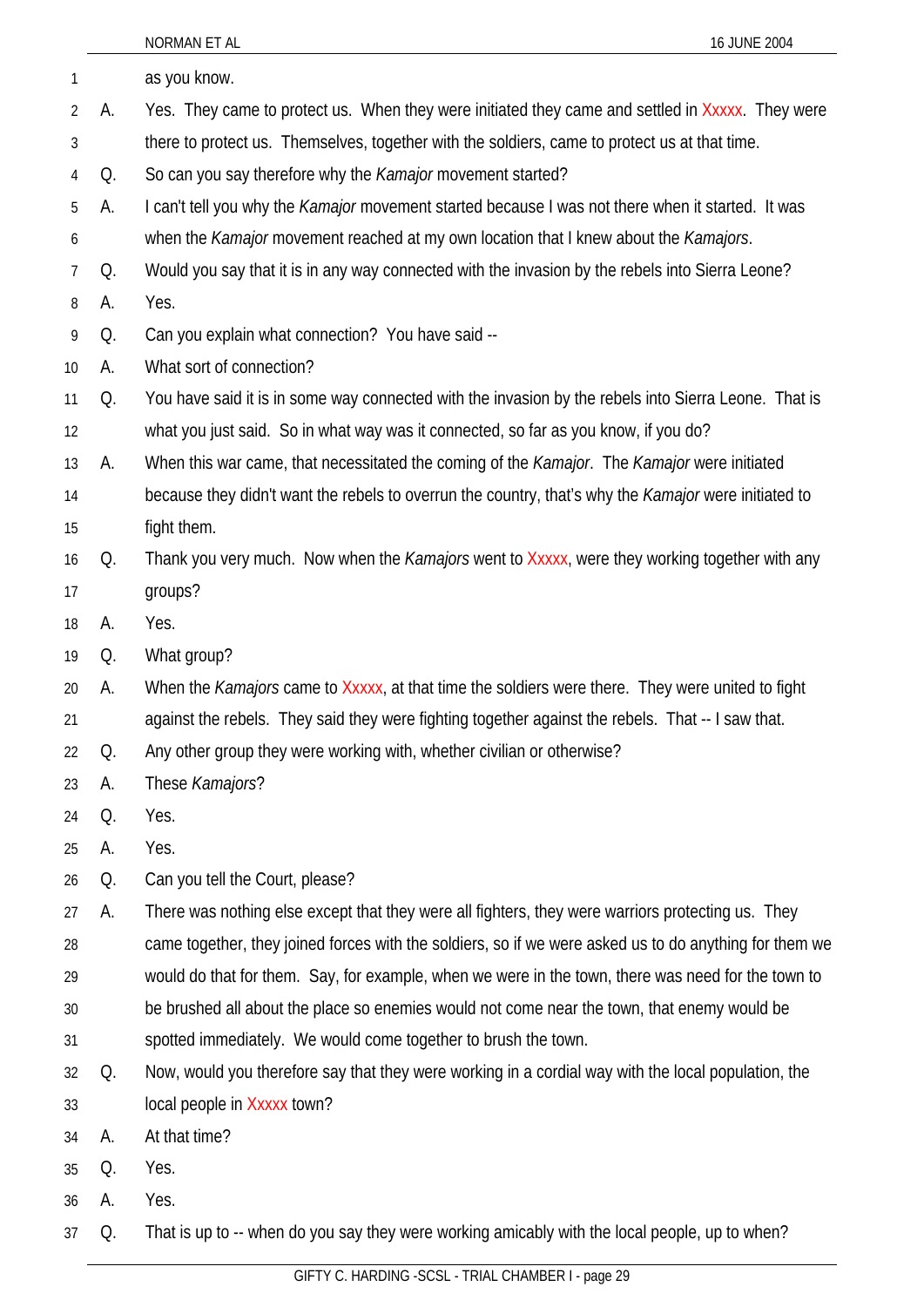|    |    | NORMAN ET AL<br>16 JUNE 2004                                                                             |
|----|----|----------------------------------------------------------------------------------------------------------|
| 1  |    | as you know.                                                                                             |
| 2  | А. | Yes. They came to protect us. When they were initiated they came and settled in Xxxxx. They were         |
| 3  |    | there to protect us. Themselves, together with the soldiers, came to protect us at that time.            |
| 4  | Q. | So can you say therefore why the Kamajor movement started?                                               |
| 5  | А. | I can't tell you why the <i>Kamajor</i> movement started because I was not there when it started. It was |
| 6  |    | when the Kamajor movement reached at my own location that I knew about the Kamajors.                     |
| 7  | Q. | Would you say that it is in any way connected with the invasion by the rebels into Sierra Leone?         |
| 8  | А. | Yes.                                                                                                     |
| 9  | Q. | Can you explain what connection? You have said --                                                        |
| 10 | А. | What sort of connection?                                                                                 |
| 11 | Q. | You have said it is in some way connected with the invasion by the rebels into Sierra Leone. That is     |
| 12 |    | what you just said. So in what way was it connected, so far as you know, if you do?                      |
| 13 | А. | When this war came, that necessitated the coming of the Kamajor. The Kamajor were initiated              |
| 14 |    | because they didn't want the rebels to overrun the country, that's why the Kamajor were initiated to     |
| 15 |    | fight them.                                                                                              |
| 16 | Q. | Thank you very much. Now when the <i>Kamajors</i> went to Xxxxx, were they working together with any     |
| 17 |    | groups?                                                                                                  |
| 18 | А. | Yes.                                                                                                     |
| 19 | Q. | What group?                                                                                              |
| 20 | A. | When the Kamajors came to Xxxxx, at that time the soldiers were there. They were united to fight         |
| 21 |    | against the rebels. They said they were fighting together against the rebels. That -- I saw that.        |
| 22 | Q. | Any other group they were working with, whether civilian or otherwise?                                   |
| 23 | A. | These Kamajors?                                                                                          |
| 24 | Q. | Yes.                                                                                                     |
| 25 | А. | Yes.                                                                                                     |
| 26 | Q. | Can you tell the Court, please?                                                                          |
| 27 | A. | There was nothing else except that they were all fighters, they were warriors protecting us. They        |
| 28 |    | came together, they joined forces with the soldiers, so if we were asked us to do anything for them we   |
| 29 |    | would do that for them. Say, for example, when we were in the town, there was need for the town to       |
| 30 |    | be brushed all about the place so enemies would not come near the town, that enemy would be              |
| 31 |    | spotted immediately. We would come together to brush the town.                                           |
| 32 | Q. | Now, would you therefore say that they were working in a cordial way with the local population, the      |
| 33 |    | local people in Xxxxx town?                                                                              |
| 34 | А. | At that time?                                                                                            |
| 35 | Q. | Yes.                                                                                                     |
| 36 | А. | Yes.                                                                                                     |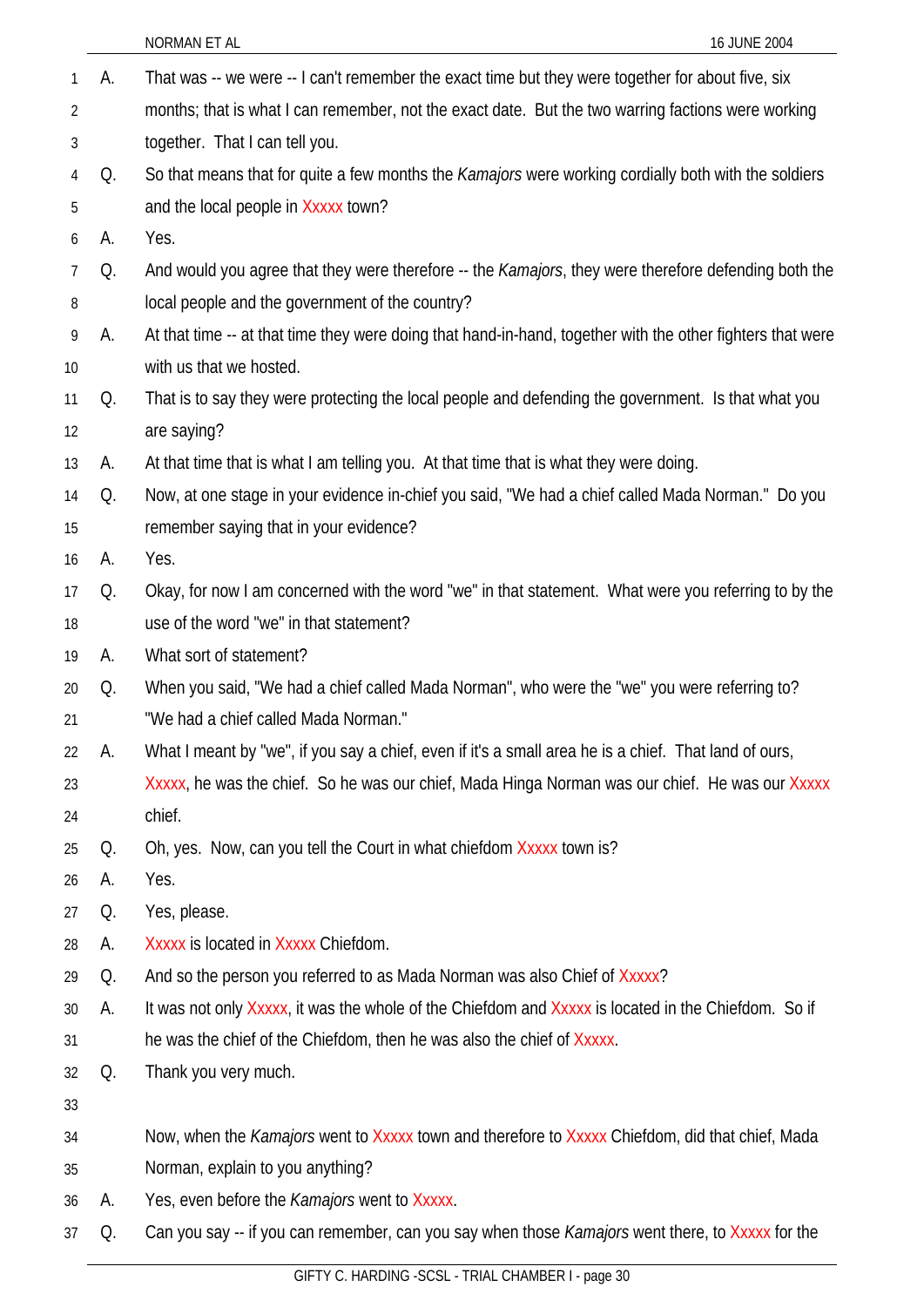|    |    | NORMAN ET AL<br>16 JUNE 2004                                                                               |
|----|----|------------------------------------------------------------------------------------------------------------|
| 1  | А. | That was -- we were -- I can't remember the exact time but they were together for about five, six          |
| 2  |    | months; that is what I can remember, not the exact date. But the two warring factions were working         |
| 3  |    | together. That I can tell you.                                                                             |
| 4  | Q. | So that means that for quite a few months the Kamajors were working cordially both with the soldiers       |
| 5  |    | and the local people in Xxxxx town?                                                                        |
| 6  | А. | Yes.                                                                                                       |
| 7  | Q. | And would you agree that they were therefore -- the Kamajors, they were therefore defending both the       |
| 8  |    | local people and the government of the country?                                                            |
| 9  | А. | At that time -- at that time they were doing that hand-in-hand, together with the other fighters that were |
| 10 |    | with us that we hosted.                                                                                    |
| 11 | Q. | That is to say they were protecting the local people and defending the government. Is that what you        |
| 12 |    | are saying?                                                                                                |
| 13 | А. | At that time that is what I am telling you. At that time that is what they were doing.                     |
| 14 | Q. | Now, at one stage in your evidence in-chief you said, "We had a chief called Mada Norman." Do you          |
| 15 |    | remember saying that in your evidence?                                                                     |
| 16 | А. | Yes.                                                                                                       |
| 17 | Q. | Okay, for now I am concerned with the word "we" in that statement. What were you referring to by the       |
| 18 |    | use of the word "we" in that statement?                                                                    |
| 19 | А. | What sort of statement?                                                                                    |
| 20 | Q. | When you said, "We had a chief called Mada Norman", who were the "we" you were referring to?               |
| 21 |    | "We had a chief called Mada Norman."                                                                       |
| 22 | А. | What I meant by "we", if you say a chief, even if it's a small area he is a chief. That land of ours,      |
| 23 |    | Xxxxx, he was the chief. So he was our chief, Mada Hinga Norman was our chief. He was our Xxxxx            |
| 24 |    | chief.                                                                                                     |
| 25 | Q. | Oh, yes. Now, can you tell the Court in what chiefdom Xxxxx town is?                                       |
| 26 | А. | Yes.                                                                                                       |
| 27 | Q. | Yes, please.                                                                                               |
| 28 | А. | Xxxxx is located in Xxxxx Chiefdom.                                                                        |
| 29 | Q. | And so the person you referred to as Mada Norman was also Chief of Xxxxx?                                  |
| 30 | А. | It was not only Xxxxx, it was the whole of the Chiefdom and Xxxxx is located in the Chiefdom. So if        |
| 31 |    | he was the chief of the Chiefdom, then he was also the chief of Xxxxx.                                     |
| 32 | Q. | Thank you very much.                                                                                       |
| 33 |    |                                                                                                            |
| 34 |    | Now, when the Kamajors went to Xxxxx town and therefore to Xxxxx Chiefdom, did that chief, Mada            |
| 35 |    | Norman, explain to you anything?                                                                           |
| 36 | A. | Yes, even before the <i>Kamajors</i> went to Xxxxx.                                                        |
| 37 | Q. | Can you say -- if you can remember, can you say when those <i>Kamajors</i> went there, to Xxxxx for the    |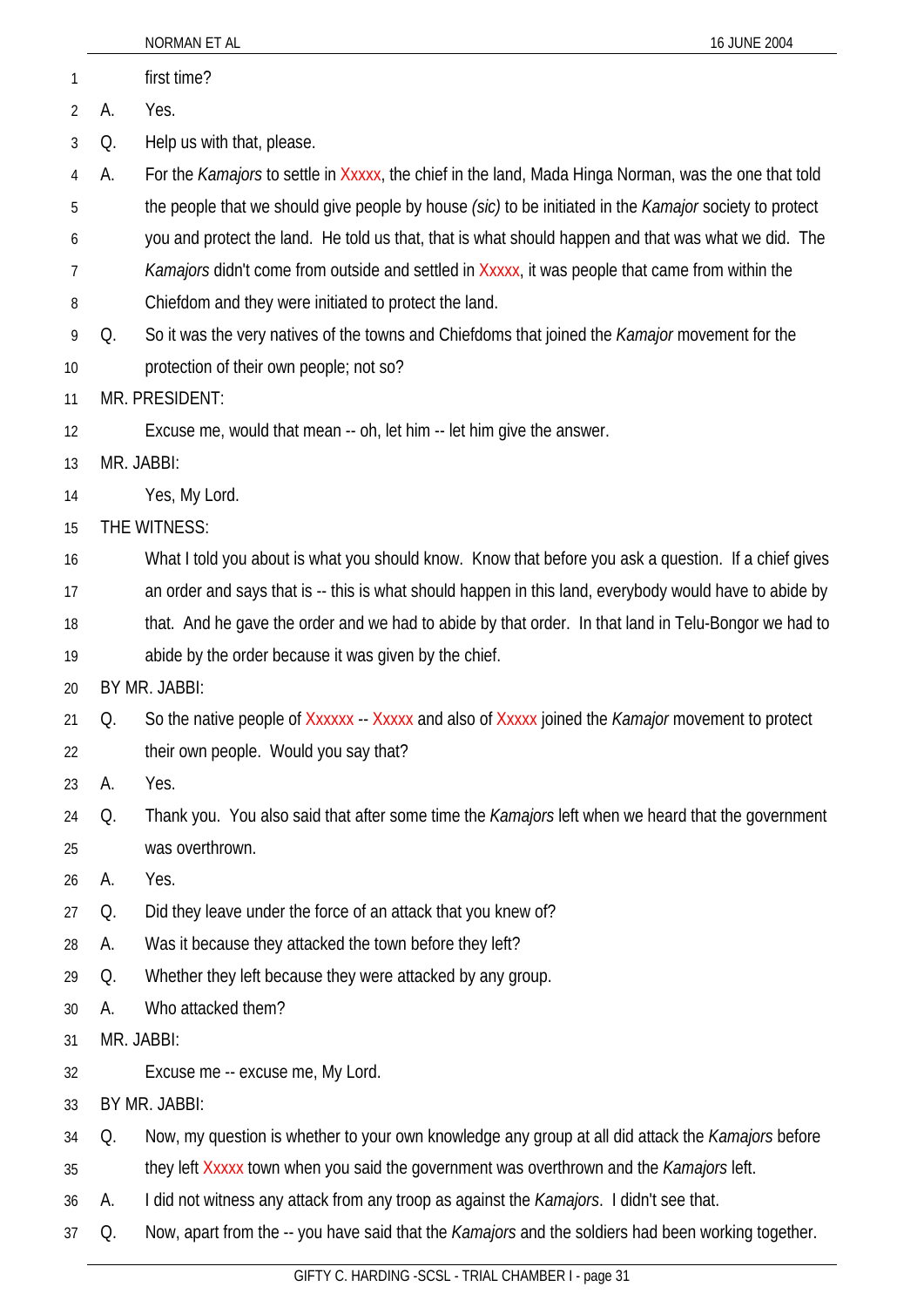|    |    | 16 JUNE 2004<br>NORMAN ET AL                                                                             |
|----|----|----------------------------------------------------------------------------------------------------------|
| 1  |    | first time?                                                                                              |
| 2  | А. | Yes.                                                                                                     |
| 3  | Q. | Help us with that, please.                                                                               |
| 4  | A. | For the Kamajors to settle in Xxxxx, the chief in the land, Mada Hinga Norman, was the one that told     |
| 5  |    | the people that we should give people by house (sic) to be initiated in the Kamajor society to protect   |
| 6  |    | you and protect the land. He told us that, that is what should happen and that was what we did. The      |
| 7  |    | Kamajors didn't come from outside and settled in Xxxxx, it was people that came from within the          |
| 8  |    | Chiefdom and they were initiated to protect the land.                                                    |
| 9  | Q. | So it was the very natives of the towns and Chiefdoms that joined the <i>Kamajor</i> movement for the    |
| 10 |    | protection of their own people; not so?                                                                  |
| 11 |    | MR. PRESIDENT:                                                                                           |
| 12 |    | Excuse me, would that mean -- oh, let him -- let him give the answer.                                    |
| 13 |    | MR. JABBI:                                                                                               |
| 14 |    | Yes, My Lord.                                                                                            |
| 15 |    | THE WITNESS:                                                                                             |
| 16 |    | What I told you about is what you should know. Know that before you ask a question. If a chief gives     |
| 17 |    | an order and says that is -- this is what should happen in this land, everybody would have to abide by   |
| 18 |    | that. And he gave the order and we had to abide by that order. In that land in Telu-Bongor we had to     |
| 19 |    | abide by the order because it was given by the chief.                                                    |
| 20 |    | BY MR. JABBI:                                                                                            |
| 21 | Q. | So the native people of Xxxxxx - Xxxxx and also of Xxxxx joined the Kamajor movement to protect          |
| 22 |    | their own people. Would you say that?                                                                    |
| 23 | А. | Yes.                                                                                                     |
| 24 | Q. | Thank you. You also said that after some time the Kamajors left when we heard that the government        |
| 25 |    | was overthrown.                                                                                          |
| 26 | А. | Yes.                                                                                                     |
| 27 | Q. | Did they leave under the force of an attack that you knew of?                                            |
| 28 | А. | Was it because they attacked the town before they left?                                                  |
| 29 | Q. | Whether they left because they were attacked by any group.                                               |
| 30 | А. | Who attacked them?                                                                                       |
| 31 |    | MR. JABBI:                                                                                               |
| 32 |    | Excuse me -- excuse me, My Lord.                                                                         |
| 33 |    | BY MR. JABBI:                                                                                            |
| 34 | Q. | Now, my question is whether to your own knowledge any group at all did attack the <i>Kamajors</i> before |
| 35 |    | they left Xxxxx town when you said the government was overthrown and the Kamajors left.                  |
| 36 | А. | I did not witness any attack from any troop as against the <i>Kamajors</i> . I didn't see that.          |
| 37 | Q. | Now, apart from the -- you have said that the Kamajors and the soldiers had been working together.       |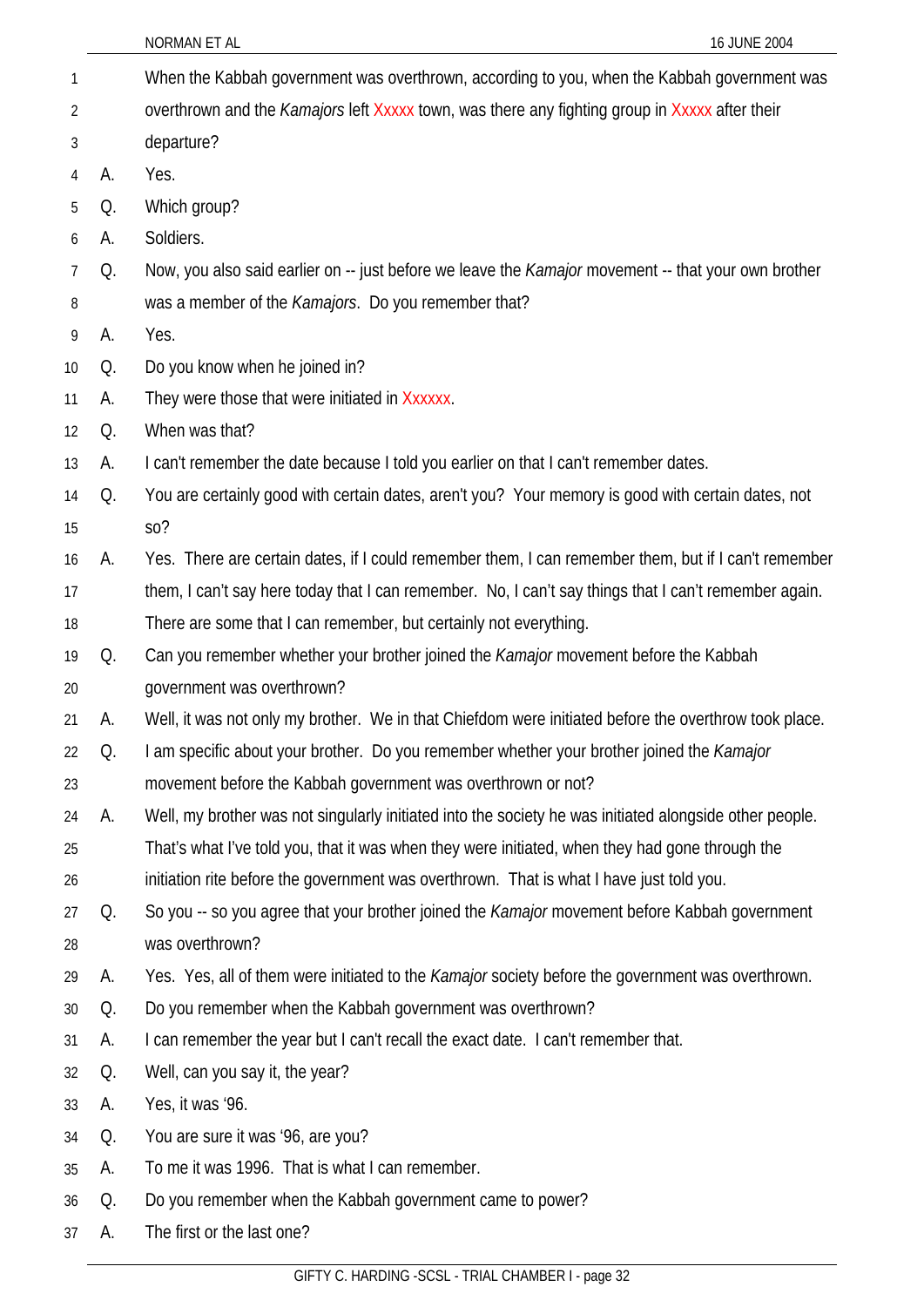| 1               |    | When the Kabbah government was overthrown, according to you, when the Kabbah government was                |
|-----------------|----|------------------------------------------------------------------------------------------------------------|
| 2               |    | overthrown and the Kamajors left Xxxxx town, was there any fighting group in Xxxxx after their             |
| 3               |    | departure?                                                                                                 |
| 4               | А. | Yes.                                                                                                       |
| 5               | Q. | Which group?                                                                                               |
| 6               | А. | Soldiers.                                                                                                  |
| 7               | Q. | Now, you also said earlier on -- just before we leave the <i>Kamajor</i> movement -- that your own brother |
| 8               |    | was a member of the <i>Kamajors</i> . Do you remember that?                                                |
| 9               | А. | Yes.                                                                                                       |
| 10 <sup>°</sup> | Q. | Do you know when he joined in?                                                                             |
| 11              | А. | They were those that were initiated in Xxxxxx.                                                             |
| 12              | Q. | When was that?                                                                                             |
| 13              | А. | I can't remember the date because I told you earlier on that I can't remember dates.                       |
| 14              | Q. | You are certainly good with certain dates, aren't you? Your memory is good with certain dates, not         |
| 15              |    | SO <sub>2</sub>                                                                                            |
| 16              | А. | Yes. There are certain dates, if I could remember them, I can remember them, but if I can't remember       |
| 17              |    | them, I can't say here today that I can remember. No, I can't say things that I can't remember again.      |
| 18              |    | There are some that I can remember, but certainly not everything.                                          |
| 19              | Q. | Can you remember whether your brother joined the Kamajor movement before the Kabbah                        |
| 20              |    | government was overthrown?                                                                                 |
| 21              | А. | Well, it was not only my brother. We in that Chiefdom were initiated before the overthrow took place.      |
| 22              | Q. | I am specific about your brother. Do you remember whether your brother joined the Kamajor                  |
| 23              |    | movement before the Kabbah government was overthrown or not?                                               |
| 24              | А. | Well, my brother was not singularly initiated into the society he was initiated alongside other people.    |
| 25              |    | That's what I've told you, that it was when they were initiated, when they had gone through the            |
| 26              |    | initiation rite before the government was overthrown. That is what I have just told you.                   |
| 27              | Q. | So you -- so you agree that your brother joined the Kamajor movement before Kabbah government              |
| 28              |    | was overthrown?                                                                                            |
| 29              | А. | Yes. Yes, all of them were initiated to the Kamajor society before the government was overthrown.          |
| 30              | Q. | Do you remember when the Kabbah government was overthrown?                                                 |
| 31              | А. | I can remember the year but I can't recall the exact date. I can't remember that.                          |
| 32              | Q. | Well, can you say it, the year?                                                                            |
| 33              | А. | Yes, it was '96.                                                                                           |
| 34              | Q. | You are sure it was '96, are you?                                                                          |
| 35              | А. | To me it was 1996. That is what I can remember.                                                            |
| 36              | Q. | Do you remember when the Kabbah government came to power?                                                  |
| 37              | А. | The first or the last one?                                                                                 |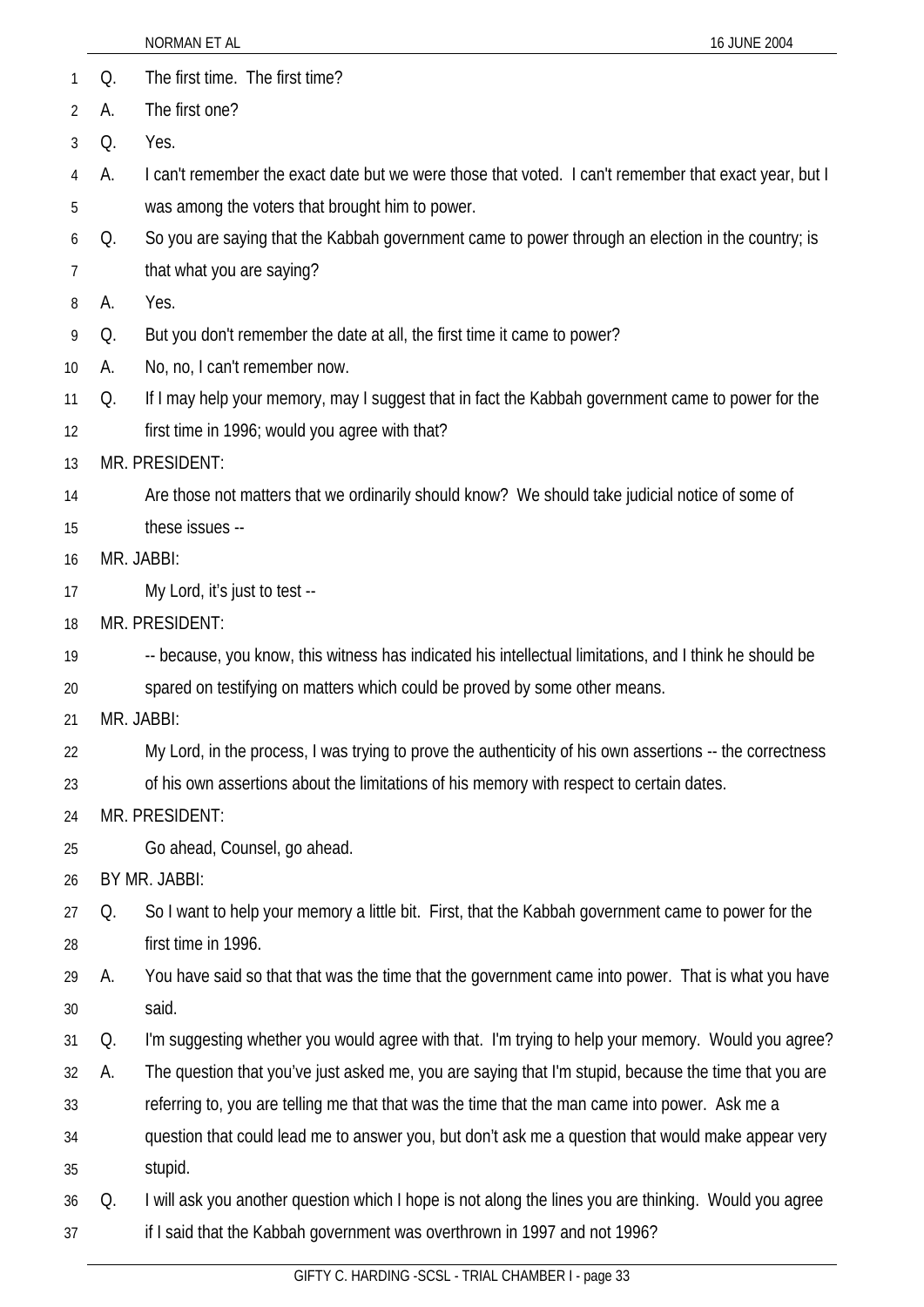|    |    | NORMAN ET AL<br>16 JUNE 2004                                                                             |
|----|----|----------------------------------------------------------------------------------------------------------|
| 1  | Q. | The first time. The first time?                                                                          |
| 2  | А. | The first one?                                                                                           |
| 3  | Q. | Yes.                                                                                                     |
| 4  | А. | I can't remember the exact date but we were those that voted. I can't remember that exact year, but I    |
| 5  |    | was among the voters that brought him to power.                                                          |
| 6  | Q. | So you are saying that the Kabbah government came to power through an election in the country; is        |
| 7  |    | that what you are saying?                                                                                |
| 8  | А. | Yes.                                                                                                     |
| 9  | Q. | But you don't remember the date at all, the first time it came to power?                                 |
| 10 | А. | No, no, I can't remember now.                                                                            |
| 11 | Q. | If I may help your memory, may I suggest that in fact the Kabbah government came to power for the        |
| 12 |    | first time in 1996; would you agree with that?                                                           |
| 13 |    | MR. PRESIDENT:                                                                                           |
| 14 |    | Are those not matters that we ordinarily should know? We should take judicial notice of some of          |
| 15 |    | these issues --                                                                                          |
| 16 |    | MR. JABBI:                                                                                               |
| 17 |    | My Lord, it's just to test --                                                                            |
| 18 |    | MR. PRESIDENT:                                                                                           |
| 19 |    | -- because, you know, this witness has indicated his intellectual limitations, and I think he should be  |
| 20 |    | spared on testifying on matters which could be proved by some other means.                               |
| 21 |    | MR. JABBI:                                                                                               |
| 22 |    | My Lord, in the process, I was trying to prove the authenticity of his own assertions -- the correctness |
| 23 |    | of his own assertions about the limitations of his memory with respect to certain dates.                 |
| 24 |    | MR. PRESIDENT:                                                                                           |
| 25 |    | Go ahead, Counsel, go ahead.                                                                             |
| 26 |    | BY MR. JABBI:                                                                                            |
| 27 | Q. | So I want to help your memory a little bit. First, that the Kabbah government came to power for the      |
| 28 |    | first time in 1996.                                                                                      |
| 29 | А. | You have said so that that was the time that the government came into power. That is what you have       |
| 30 |    | said.                                                                                                    |
| 31 | Q. | I'm suggesting whether you would agree with that. I'm trying to help your memory. Would you agree?       |
| 32 | А. | The question that you've just asked me, you are saying that I'm stupid, because the time that you are    |
| 33 |    | referring to, you are telling me that that was the time that the man came into power. Ask me a           |
| 34 |    | question that could lead me to answer you, but don't ask me a question that would make appear very       |
| 35 |    | stupid.                                                                                                  |
| 36 | Q. | I will ask you another question which I hope is not along the lines you are thinking. Would you agree    |
| 37 |    | if I said that the Kabbah government was overthrown in 1997 and not 1996?                                |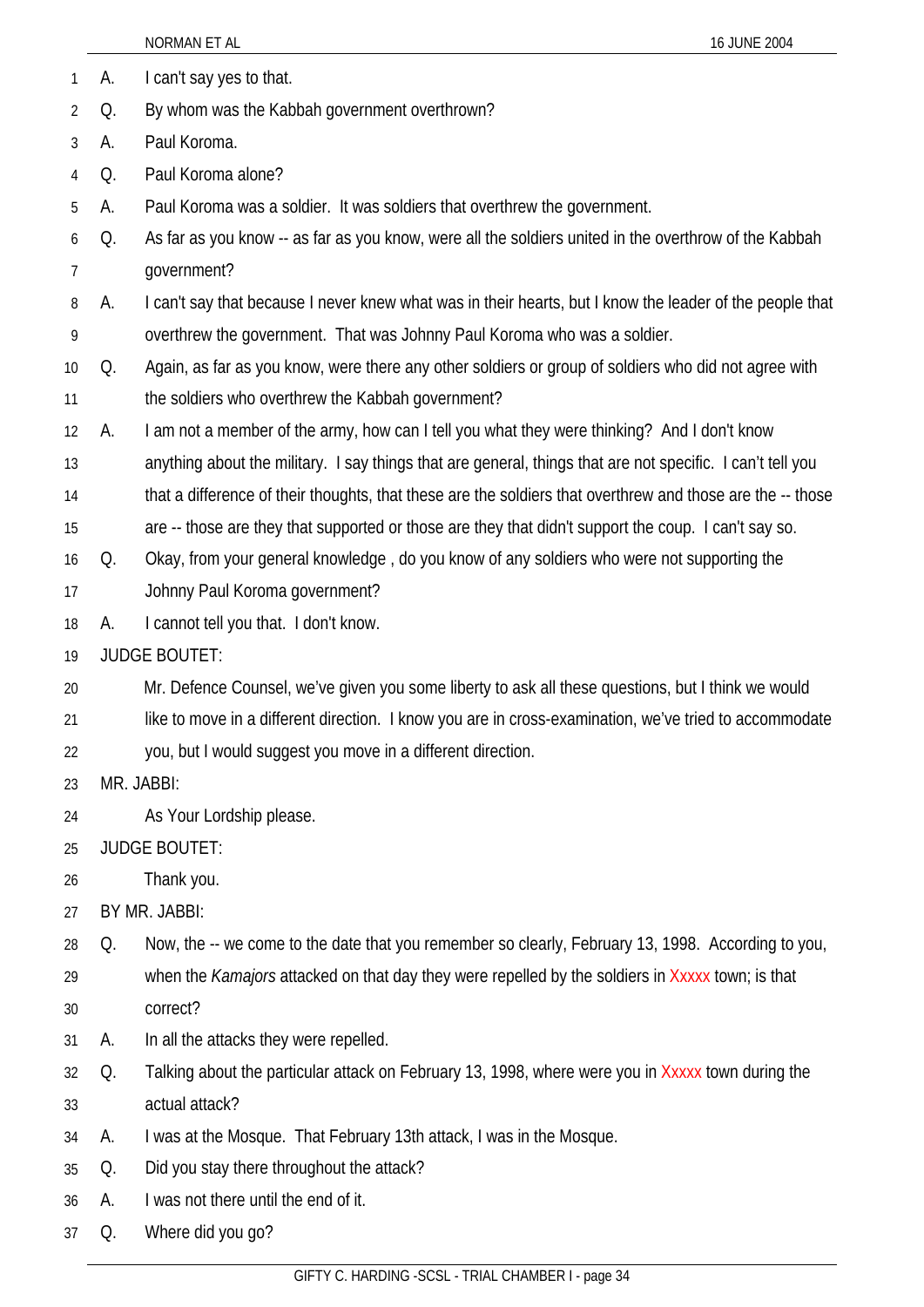|                |    | NORMAN ET AL                                                                                               | 16 JUNE 2004 |
|----------------|----|------------------------------------------------------------------------------------------------------------|--------------|
| $\mathbf{1}$   | А. | I can't say yes to that.                                                                                   |              |
| $\overline{2}$ | Q. | By whom was the Kabbah government overthrown?                                                              |              |
| 3              | А. | Paul Koroma.                                                                                               |              |
| 4              | Q. | Paul Koroma alone?                                                                                         |              |
| 5              | А. | Paul Koroma was a soldier. It was soldiers that overthrew the government.                                  |              |
| 6              | Q. | As far as you know -- as far as you know, were all the soldiers united in the overthrow of the Kabbah      |              |
| $\overline{7}$ |    | government?                                                                                                |              |
| 8              | А. | I can't say that because I never knew what was in their hearts, but I know the leader of the people that   |              |
| 9              |    | overthrew the government. That was Johnny Paul Koroma who was a soldier.                                   |              |
| 10             | Q. | Again, as far as you know, were there any other soldiers or group of soldiers who did not agree with       |              |
| 11             |    | the soldiers who overthrew the Kabbah government?                                                          |              |
| 12             | А. | I am not a member of the army, how can I tell you what they were thinking? And I don't know                |              |
| 13             |    | anything about the military. I say things that are general, things that are not specific. I can't tell you |              |
| 14             |    | that a difference of their thoughts, that these are the soldiers that overthrew and those are the -- those |              |
| 15             |    | are -- those are they that supported or those are they that didn't support the coup. I can't say so.       |              |
| 16             | Q. | Okay, from your general knowledge, do you know of any soldiers who were not supporting the                 |              |
| 17             |    | Johnny Paul Koroma government?                                                                             |              |
| 18             | А. | I cannot tell you that. I don't know.                                                                      |              |
| 19             |    | <b>JUDGE BOUTET:</b>                                                                                       |              |
| 20             |    | Mr. Defence Counsel, we've given you some liberty to ask all these questions, but I think we would         |              |
| 21             |    | like to move in a different direction. I know you are in cross-examination, we've tried to accommodate     |              |
| 22             |    | you, but I would suggest you move in a different direction.                                                |              |
| 23             |    | MR. JABBI:                                                                                                 |              |
| 24             |    | As Your Lordship please.                                                                                   |              |
| 25             |    | <b>JUDGE BOUTET:</b>                                                                                       |              |
| 26             |    | Thank you.                                                                                                 |              |
| 27             |    | BY MR. JABBI:                                                                                              |              |
| 28             | Q. | Now, the -- we come to the date that you remember so clearly, February 13, 1998. According to you,         |              |
| 29             |    | when the Kamajors attacked on that day they were repelled by the soldiers in Xxxxx town; is that           |              |
| 30             |    | correct?                                                                                                   |              |
| 31             | A. | In all the attacks they were repelled.                                                                     |              |
| 32             | Q. | Talking about the particular attack on February 13, 1998, where were you in Xxxxx town during the          |              |

- 33 actual attack?
- 34 A. I was at the Mosque. That February 13th attack, I was in the Mosque.
- 35 Q. Did you stay there throughout the attack?
- 36 A. I was not there until the end of it.
- 37 Q. Where did you go?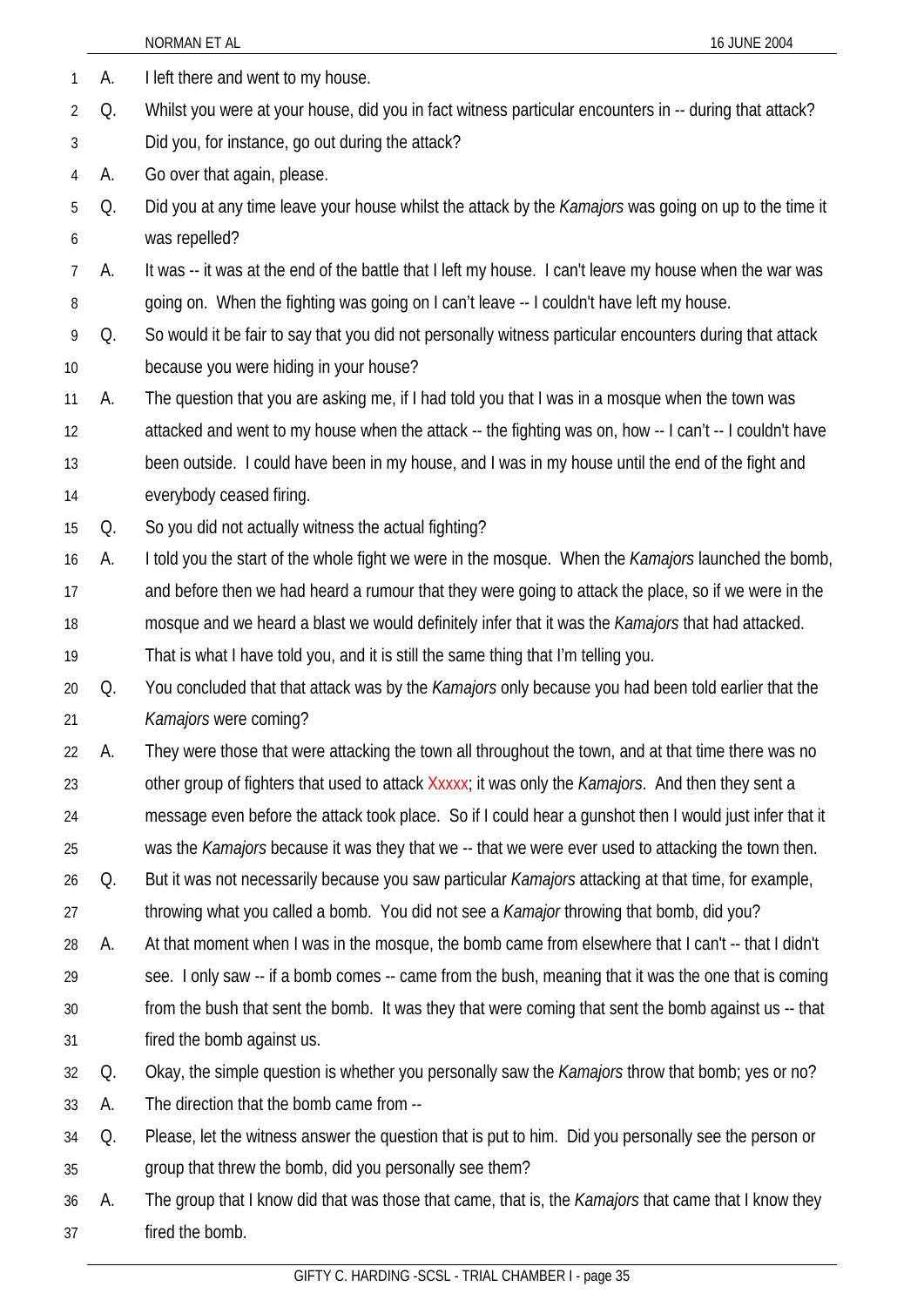|                |    | NORMAN ET AL<br>16 JUNE 2004                                                                                 |
|----------------|----|--------------------------------------------------------------------------------------------------------------|
| 1              | А. | I left there and went to my house.                                                                           |
| 2              | Q. | Whilst you were at your house, did you in fact witness particular encounters in -- during that attack?       |
| 3              |    | Did you, for instance, go out during the attack?                                                             |
| $\overline{4}$ | A. | Go over that again, please.                                                                                  |
| 5              | Q. | Did you at any time leave your house whilst the attack by the <i>Kamajors</i> was going on up to the time it |
| 6              |    | was repelled?                                                                                                |
| 7              | А. | It was -- it was at the end of the battle that I left my house. I can't leave my house when the war was      |
| 8              |    | going on. When the fighting was going on I can't leave -- I couldn't have left my house.                     |
| 9              | Q. | So would it be fair to say that you did not personally witness particular encounters during that attack      |
| 10             |    | because you were hiding in your house?                                                                       |
| 11             | А. | The question that you are asking me, if I had told you that I was in a mosque when the town was              |
| 12             |    | attacked and went to my house when the attack -- the fighting was on, how -- I can't -- I couldn't have      |
| 13             |    | been outside. I could have been in my house, and I was in my house until the end of the fight and            |
| 14             |    | everybody ceased firing.                                                                                     |
| 15             | Q. | So you did not actually witness the actual fighting?                                                         |
| 16             | А. | I told you the start of the whole fight we were in the mosque. When the Kamajors launched the bomb,          |
| 17             |    | and before then we had heard a rumour that they were going to attack the place, so if we were in the         |
| 18             |    | mosque and we heard a blast we would definitely infer that it was the Kamajors that had attacked.            |
| 19             |    | That is what I have told you, and it is still the same thing that I'm telling you.                           |
| 20             | Q. | You concluded that that attack was by the Kamajors only because you had been told earlier that the           |
| 21             |    | Kamajors were coming?                                                                                        |
| 22             | А. | They were those that were attacking the town all throughout the town, and at that time there was no          |
| 23             |    | other group of fighters that used to attack Xxxxx; it was only the Kamajors. And then they sent a            |
| 24             |    | message even before the attack took place. So if I could hear a gunshot then I would just infer that it      |
| 25             |    | was the Kamajors because it was they that we -- that we were ever used to attacking the town then.           |
| 26             | Q. | But it was not necessarily because you saw particular <i>Kamajors</i> attacking at that time, for example,   |
| 27             |    | throwing what you called a bomb. You did not see a <i>Kamajor</i> throwing that bomb, did you?               |
| 28             | А. | At that moment when I was in the mosque, the bomb came from elsewhere that I can't -- that I didn't          |
| 29             |    | see. I only saw -- if a bomb comes -- came from the bush, meaning that it was the one that is coming         |
| 30             |    | from the bush that sent the bomb. It was they that were coming that sent the bomb against us -- that         |
| 31             |    | fired the bomb against us.                                                                                   |
| 32             | Q. | Okay, the simple question is whether you personally saw the Kamajors throw that bomb; yes or no?             |
| 33             | A. | The direction that the bomb came from --                                                                     |
| 34             | Q. | Please, let the witness answer the question that is put to him. Did you personally see the person or         |
| 35             |    | group that threw the bomb, did you personally see them?                                                      |
| 36             | A. | The group that I know did that was those that came, that is, the <i>Kamajors</i> that came that I know they  |
| 37             |    | fired the bomb.                                                                                              |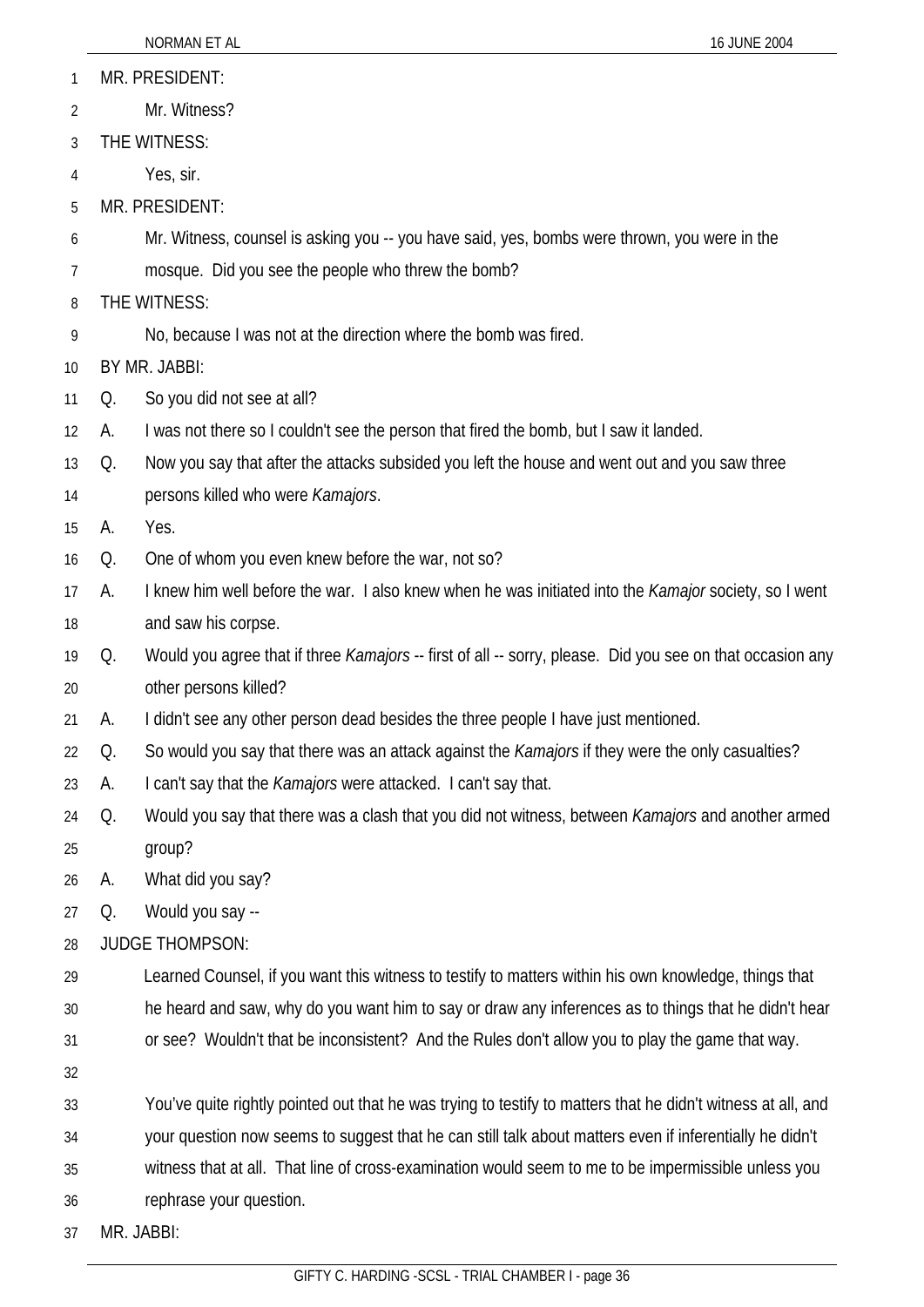- MR. PRESIDENT: 1
- Mr. Witness? 2
- 3 THE WITNESS:
- 4 Yes, sir.
- 5 MR. PRESIDENT:
- 6 Mr. Witness, counsel is asking you -- you have said, yes, bombs were thrown, you were in the
- 7 mosque. Did you see the people who threw the bomb?
- 8 THE WITNESS:
- 9 No, because I was not at the direction where the bomb was fired.

10 BY MR. JABBI:

- 11 Q. So you did not see at all?
- 12 A. I was not there so I couldn't see the person that fired the bomb, but I saw it landed.
- 13 Q. Now you say that after the attacks subsided you left the house and went out and you saw three
- 14 persons killed who were *Kamajors*.

15 A. Yes.

- 16 Q. One of whom you even knew before the war, not so?
- 17 18 A. I knew him well before the war. I also knew when he was initiated into the *Kamajor* society, so I went and saw his corpse.
- 19 20 Q. Would you agree that if three *Kamajors* -- first of all -- sorry, please. Did you see on that occasion any other persons killed?
- 21 A. I didn't see any other person dead besides the three people I have just mentioned.
- 22 Q. So would you say that there was an attack against the *Kamajors* if they were the only casualties?
- 23 A. I can't say that the *Kamajors* were attacked. I can't say that.
- 24 25 Q. Would you say that there was a clash that you did not witness, between *Kamajors* and another armed group?

26 A. What did you say?

27 Q. Would you say --

28 JUDGE THOMPSON:

29 Learned Counsel, if you want this witness to testify to matters within his own knowledge, things that

- 30 he heard and saw, why do you want him to say or draw any inferences as to things that he didn't hear
- 31 or see? Wouldn't that be inconsistent? And the Rules don't allow you to play the game that way.
- 32

33 You've quite rightly pointed out that he was trying to testify to matters that he didn't witness at all, and

34 your question now seems to suggest that he can still talk about matters even if inferentially he didn't

35 witness that at all. That line of cross-examination would seem to me to be impermissible unless you

36 rephrase your question.

37 MR. JABBI: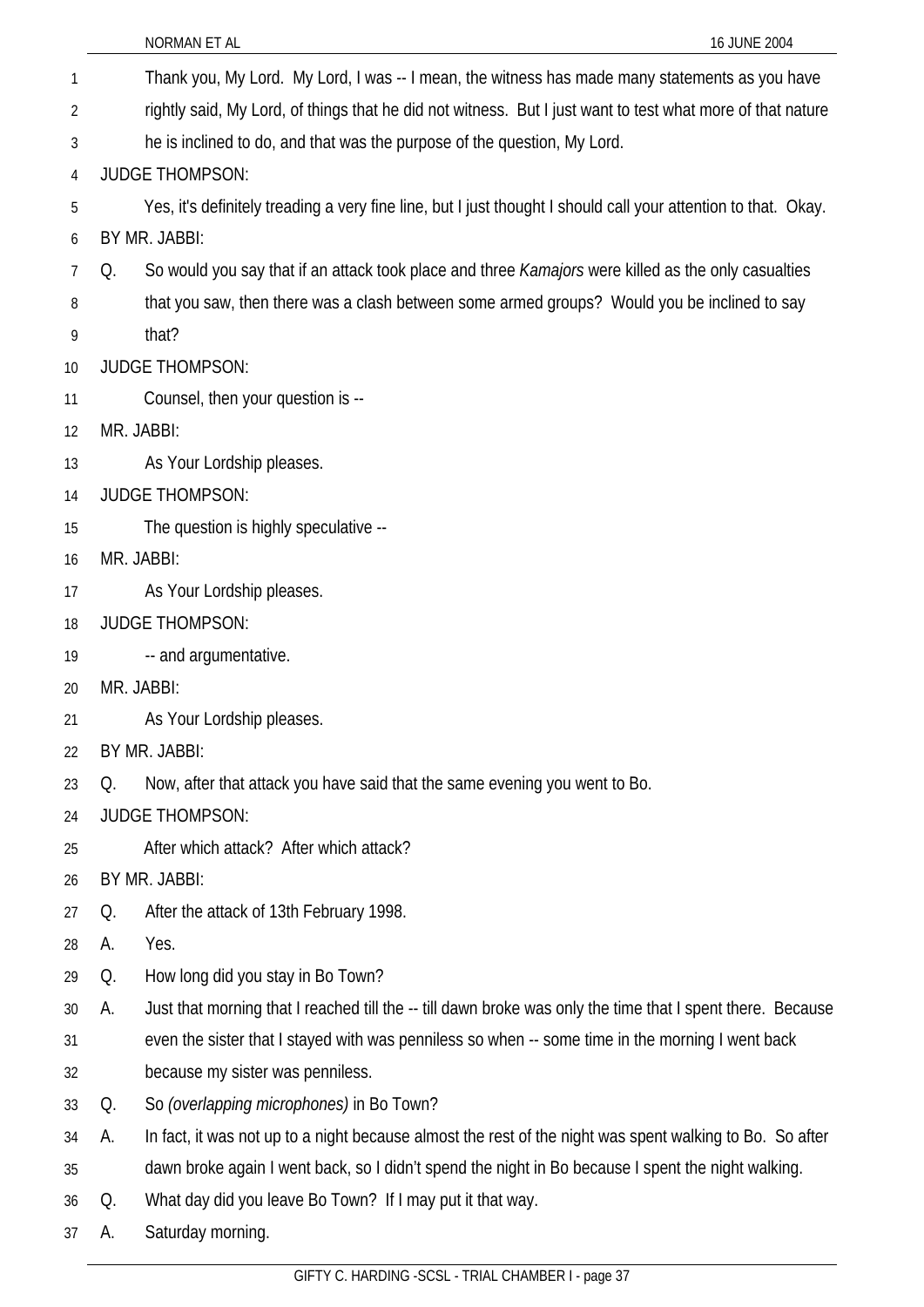| 1               |            | Thank you, My Lord. My Lord, I was -- I mean, the witness has made many statements as you have                 |
|-----------------|------------|----------------------------------------------------------------------------------------------------------------|
| $\overline{2}$  |            | rightly said, My Lord, of things that he did not witness. But I just want to test what more of that nature     |
| 3               |            | he is inclined to do, and that was the purpose of the question, My Lord.                                       |
| 4               |            | <b>JUDGE THOMPSON:</b>                                                                                         |
| 5               |            | Yes, it's definitely treading a very fine line, but I just thought I should call your attention to that. Okay. |
| 6               |            | BY MR. JABBI:                                                                                                  |
| $\overline{7}$  | Q.         | So would you say that if an attack took place and three Kamajors were killed as the only casualties            |
| 8               |            | that you saw, then there was a clash between some armed groups? Would you be inclined to say                   |
| 9               |            | that?                                                                                                          |
| 10 <sup>°</sup> |            | <b>JUDGE THOMPSON:</b>                                                                                         |
| 11              |            | Counsel, then your question is --                                                                              |
| 12              | MR. JABBI: |                                                                                                                |
| 13              |            | As Your Lordship pleases.                                                                                      |
| 14              |            | <b>JUDGE THOMPSON:</b>                                                                                         |
| 15              |            | The question is highly speculative --                                                                          |
| 16              | MR. JABBI: |                                                                                                                |
| 17              |            | As Your Lordship pleases.                                                                                      |
| 18              |            | <b>JUDGE THOMPSON:</b>                                                                                         |
| 19              |            | -- and argumentative.                                                                                          |
| 20              | MR. JABBI: |                                                                                                                |
| 21              |            | As Your Lordship pleases.                                                                                      |
| 22              |            | BY MR. JABBI:                                                                                                  |
| 23              | Q.         | Now, after that attack you have said that the same evening you went to Bo.                                     |
| 24              |            | <b>JUDGE THOMPSON:</b>                                                                                         |
| 25              |            | After which attack? After which attack?                                                                        |
| 26              |            | BY MR. JABBI:                                                                                                  |
| 27              | Q.         | After the attack of 13th February 1998.                                                                        |
| 28              | А.         | Yes.                                                                                                           |
| 29              | Q.         | How long did you stay in Bo Town?                                                                              |
| 30              | А.         | Just that morning that I reached till the -- till dawn broke was only the time that I spent there. Because     |
| 31              |            | even the sister that I stayed with was penniless so when -- some time in the morning I went back               |
| 32              |            | because my sister was penniless.                                                                               |
| 33              | Q.         | So (overlapping microphones) in Bo Town?                                                                       |
| 34              | А.         | In fact, it was not up to a night because almost the rest of the night was spent walking to Bo. So after       |
| 35              |            | dawn broke again I went back, so I didn't spend the night in Bo because I spent the night walking.             |
| 36              | Q.         | What day did you leave Bo Town? If I may put it that way.                                                      |
| 37              | А.         | Saturday morning.                                                                                              |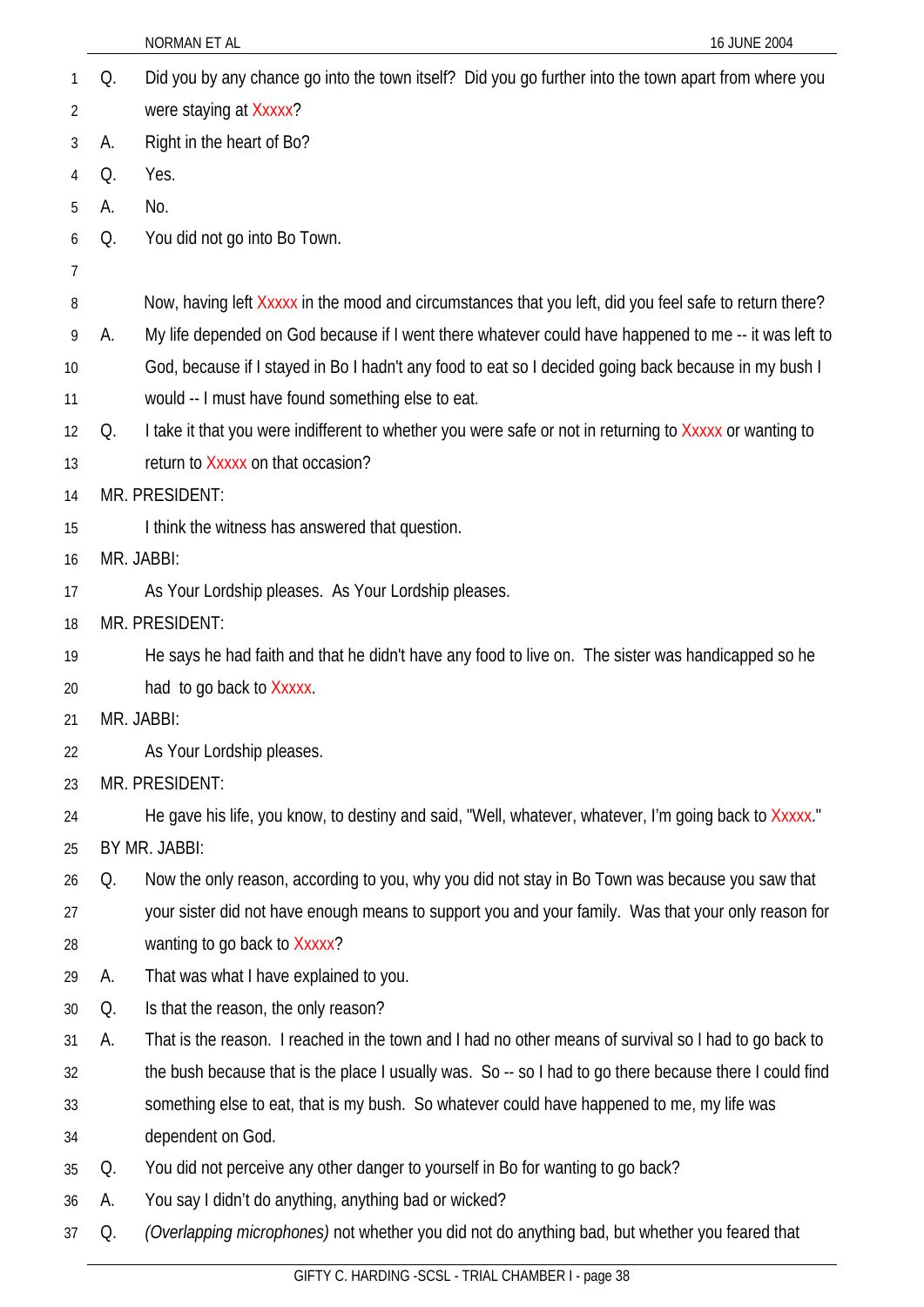| 1              | Q.            | Did you by any chance go into the town itself? Did you go further into the town apart from where you    |
|----------------|---------------|---------------------------------------------------------------------------------------------------------|
| $\overline{2}$ |               | were staying at Xxxxx?                                                                                  |
| 3              | А.            | Right in the heart of Bo?                                                                               |
| 4              | Q.            | Yes.                                                                                                    |
| 5              | А.            | No.                                                                                                     |
| 6              | Q.            | You did not go into Bo Town.                                                                            |
| 7              |               |                                                                                                         |
| 8              |               | Now, having left Xxxxx in the mood and circumstances that you left, did you feel safe to return there?  |
| 9              | А.            | My life depended on God because if I went there whatever could have happened to me -- it was left to    |
| 10             |               | God, because if I stayed in Bo I hadn't any food to eat so I decided going back because in my bush I    |
| 11             |               | would -- I must have found something else to eat.                                                       |
| 12             | Q.            | I take it that you were indifferent to whether you were safe or not in returning to Xxxxx or wanting to |
| 13             |               | return to Xxxxx on that occasion?                                                                       |
| 14             |               | MR. PRESIDENT:                                                                                          |
| 15             |               | I think the witness has answered that question.                                                         |
| 16             | MR. JABBI:    |                                                                                                         |
| 17             |               | As Your Lordship pleases. As Your Lordship pleases.                                                     |
| 18             |               | MR. PRESIDENT:                                                                                          |
| 19             |               | He says he had faith and that he didn't have any food to live on. The sister was handicapped so he      |
| 20             |               | had to go back to Xxxxx.                                                                                |
| 21             | MR. JABBI:    |                                                                                                         |
| 22             |               | As Your Lordship pleases.                                                                               |
| 23             |               | MR. PRESIDENT:                                                                                          |
| 24             |               | He gave his life, you know, to destiny and said, "Well, whatever, whatever, I'm going back to Xxxxx."   |
| 25             | BY MR. JABBI: |                                                                                                         |
| 26             | Q.            | Now the only reason, according to you, why you did not stay in Bo Town was because you saw that         |
| 27             |               | your sister did not have enough means to support you and your family. Was that your only reason for     |
| 28             |               | wanting to go back to Xxxxx?                                                                            |
| 29             | А.            | That was what I have explained to you.                                                                  |
| 30             | Q.            | Is that the reason, the only reason?                                                                    |
| 31             | А.            | That is the reason. I reached in the town and I had no other means of survival so I had to go back to   |
| 32             |               | the bush because that is the place I usually was. So -- so I had to go there because there I could find |
| 33             |               | something else to eat, that is my bush. So whatever could have happened to me, my life was              |
| 34             |               | dependent on God.                                                                                       |
| 35             | Q.            | You did not perceive any other danger to yourself in Bo for wanting to go back?                         |
| 36             | А.            | You say I didn't do anything, anything bad or wicked?                                                   |
| 37             | Q.            | (Overlapping microphones) not whether you did not do anything bad, but whether you feared that          |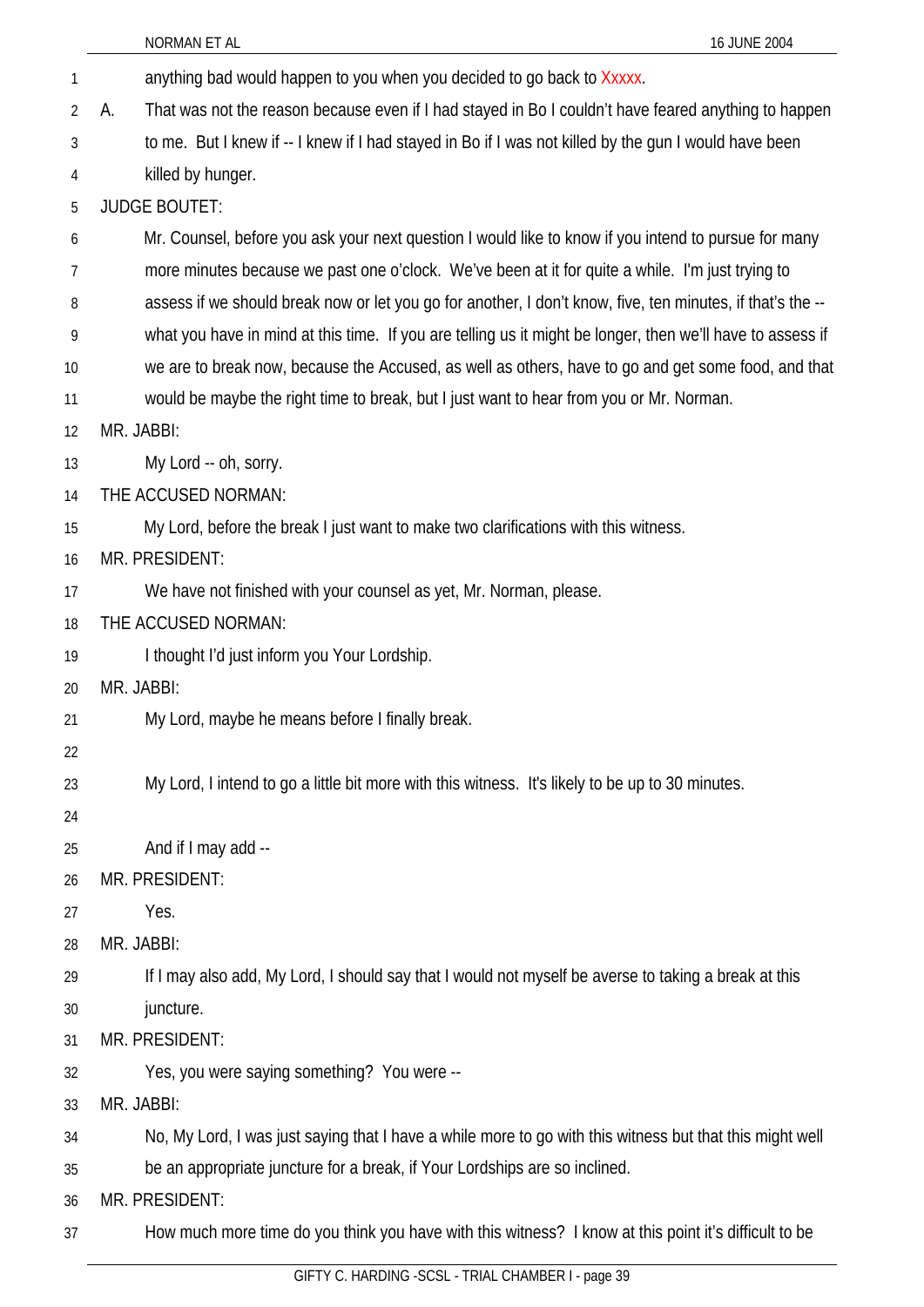|                | NORMAN ET AL<br>16 JUNE 2004                                                                               |
|----------------|------------------------------------------------------------------------------------------------------------|
| 1              | anything bad would happen to you when you decided to go back to Xxxxx.                                     |
| $\overline{2}$ | That was not the reason because even if I had stayed in Bo I couldn't have feared anything to happen<br>А. |
| 3              | to me. But I knew if -- I knew if I had stayed in Bo if I was not killed by the gun I would have been      |
| 4              | killed by hunger.                                                                                          |
| 5              | <b>JUDGE BOUTET:</b>                                                                                       |
| 6              | Mr. Counsel, before you ask your next question I would like to know if you intend to pursue for many       |
| 7              | more minutes because we past one o'clock. We've been at it for quite a while. I'm just trying to           |
| 8              | assess if we should break now or let you go for another, I don't know, five, ten minutes, if that's the -- |
| 9              | what you have in mind at this time. If you are telling us it might be longer, then we'll have to assess if |
| 10             | we are to break now, because the Accused, as well as others, have to go and get some food, and that        |
| 11             | would be maybe the right time to break, but I just want to hear from you or Mr. Norman.                    |
| 12             | MR. JABBI:                                                                                                 |
| 13             | My Lord -- oh, sorry.                                                                                      |
| 14             | THE ACCUSED NORMAN:                                                                                        |
| 15             | My Lord, before the break I just want to make two clarifications with this witness.                        |
| 16             | MR. PRESIDENT:                                                                                             |
| 17             | We have not finished with your counsel as yet, Mr. Norman, please.                                         |
| 18             | THE ACCUSED NORMAN:                                                                                        |
| 19             | I thought I'd just inform you Your Lordship.                                                               |
| 20             | MR. JABBI:                                                                                                 |
| 21             | My Lord, maybe he means before I finally break.                                                            |
| 22             |                                                                                                            |
| 23             | My Lord, I intend to go a little bit more with this witness. It's likely to be up to 30 minutes.           |
| 24             |                                                                                                            |
| 25             | And if I may add --                                                                                        |
| 26             | MR. PRESIDENT:                                                                                             |
| 27             | Yes.                                                                                                       |
| 28             | MR. JABBI:                                                                                                 |
| 29             | If I may also add, My Lord, I should say that I would not myself be averse to taking a break at this       |
| 30             | juncture.                                                                                                  |
| 31             | MR. PRESIDENT:                                                                                             |
| 32             | Yes, you were saying something? You were --                                                                |
| 33             | MR. JABBI:                                                                                                 |
| 34             | No, My Lord, I was just saying that I have a while more to go with this witness but that this might well   |
| 35             | be an appropriate juncture for a break, if Your Lordships are so inclined.                                 |
| 36             | MR. PRESIDENT:                                                                                             |
| 37             | How much more time do you think you have with this witness? I know at this point it's difficult to be      |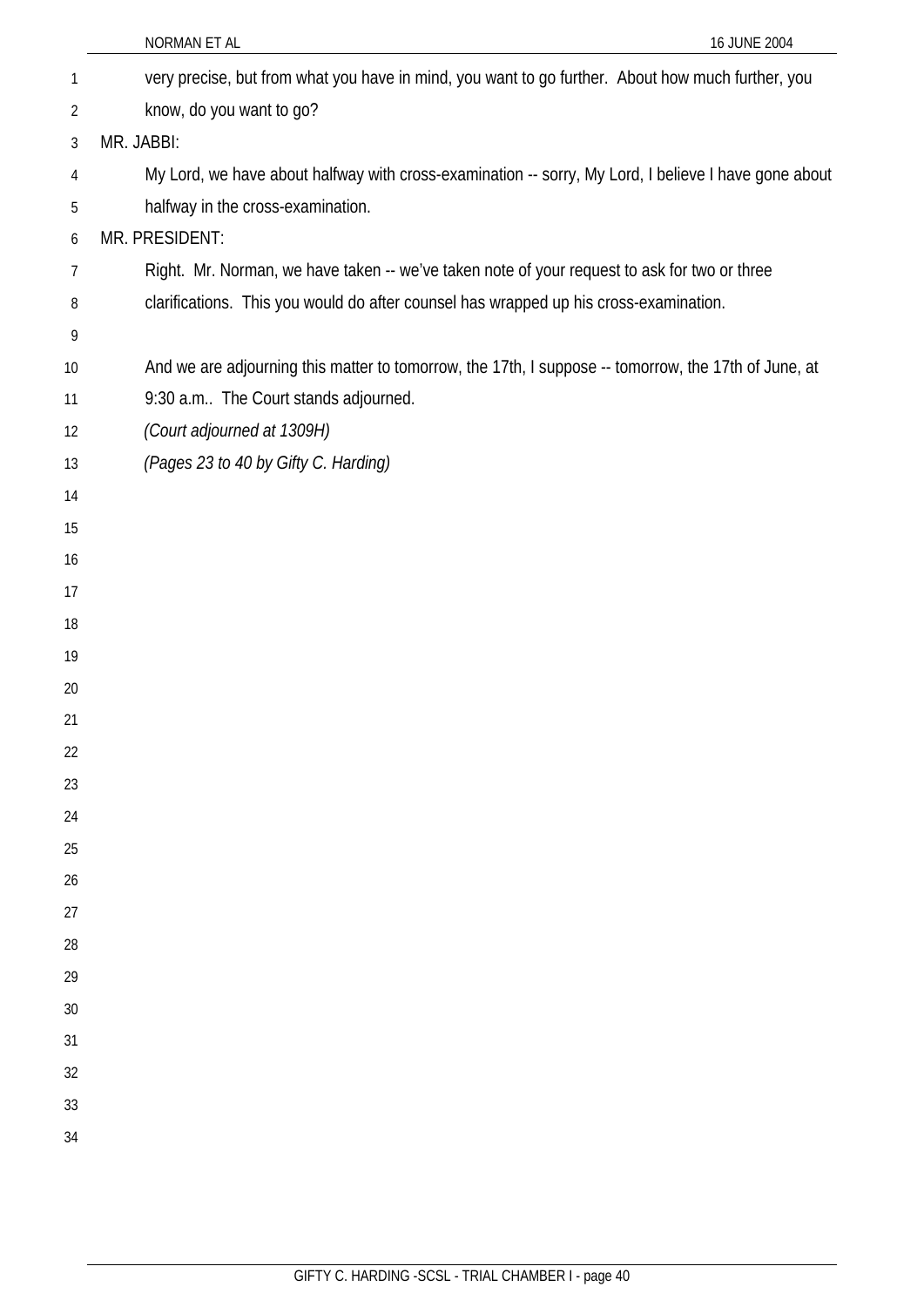|                | NORMAN ET AL<br>16 JUNE 2004                                                                         |
|----------------|------------------------------------------------------------------------------------------------------|
| 1              | very precise, but from what you have in mind, you want to go further. About how much further, you    |
| $\overline{2}$ | know, do you want to go?                                                                             |
| 3              | MR. JABBI:                                                                                           |
| 4              | My Lord, we have about halfway with cross-examination -- sorry, My Lord, I believe I have gone about |
| 5              | halfway in the cross-examination.                                                                    |
| 6              | MR. PRESIDENT:                                                                                       |
| 7              | Right. Mr. Norman, we have taken -- we've taken note of your request to ask for two or three         |
| 8              | clarifications. This you would do after counsel has wrapped up his cross-examination.                |
| 9              |                                                                                                      |
| 10             | And we are adjourning this matter to tomorrow, the 17th, I suppose -- tomorrow, the 17th of June, at |
| 11             | 9:30 a.m The Court stands adjourned.                                                                 |
| 12             | (Court adjourned at 1309H)                                                                           |
| 13             | (Pages 23 to 40 by Gifty C. Harding)                                                                 |
| 14             |                                                                                                      |
| 15             |                                                                                                      |
| 16             |                                                                                                      |
| 17             |                                                                                                      |
| 18             |                                                                                                      |
| 19             |                                                                                                      |
| 20             |                                                                                                      |
| 21             |                                                                                                      |
| 22<br>23       |                                                                                                      |
| 24             |                                                                                                      |
| 25             |                                                                                                      |
| 26             |                                                                                                      |
| 27             |                                                                                                      |
| 28             |                                                                                                      |
| 29             |                                                                                                      |
| 30             |                                                                                                      |
| 31             |                                                                                                      |
| 32             |                                                                                                      |
| 33             |                                                                                                      |
| 34             |                                                                                                      |
|                |                                                                                                      |